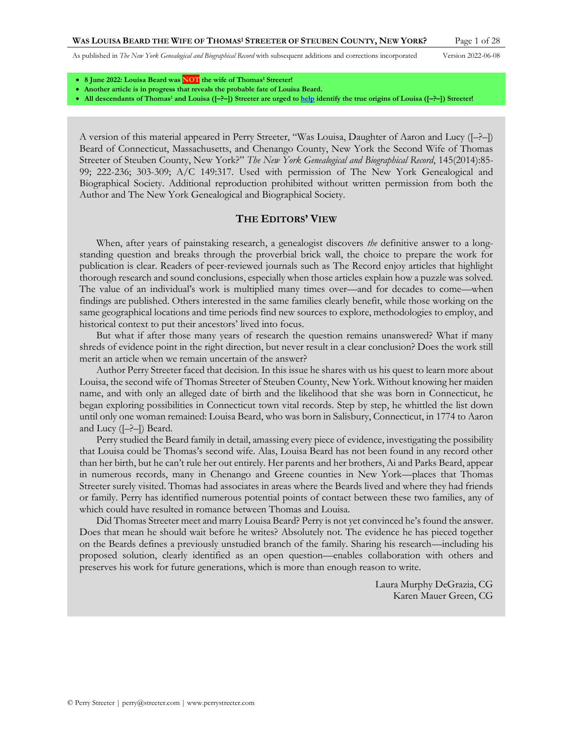- **8 June 2022: Louisa Beard was NOT the wife of Thomas<sup>1</sup> Streeter!**
- **Another article is in progress that reveals the probable fate of Louisa Beard.**
- **All descendants of Thomas<sup>1</sup> and Louisa ([–?–]) Streeter are urged t[o help](http://www.perrystreeter.com/help/streeter.pdf) identify the true origins of Louisa ([–?–]) Streeter!**

A version of this material appeared in Perry Streeter, "Was Louisa, Daughter of Aaron and Lucy ([–?–]) Beard of Connecticut, Massachusetts, and Chenango County, New York the Second Wife of Thomas Streeter of Steuben County, New York?" *The New York Genealogical and Biographical Record*, 145(2014):85- 99; 222-236; 303-309; A/C 149:317. Used with permission of The New York Genealogical and Biographical Society. Additional reproduction prohibited without written permission from both the Author and The New York Genealogical and Biographical Society.

### **THE EDITORS' VIEW**

When, after years of painstaking research, a genealogist discovers *the* definitive answer to a longstanding question and breaks through the proverbial brick wall, the choice to prepare the work for publication is clear. Readers of peer-reviewed journals such as The Record enjoy articles that highlight thorough research and sound conclusions, especially when those articles explain how a puzzle was solved. The value of an individual's work is multiplied many times over—and for decades to come—when findings are published. Others interested in the same families clearly benefit, while those working on the same geographical locations and time periods find new sources to explore, methodologies to employ, and historical context to put their ancestors' lived into focus.

But what if after those many years of research the question remains unanswered? What if many shreds of evidence point in the right direction, but never result in a clear conclusion? Does the work still merit an article when we remain uncertain of the answer?

Author Perry Streeter faced that decision. In this issue he shares with us his quest to learn more about Louisa, the second wife of Thomas Streeter of Steuben County, New York. Without knowing her maiden name, and with only an alleged date of birth and the likelihood that she was born in Connecticut, he began exploring possibilities in Connecticut town vital records. Step by step, he whittled the list down until only one woman remained: Louisa Beard, who was born in Salisbury, Connecticut, in 1774 to Aaron and Lucy ([–?–]) Beard.

Perry studied the Beard family in detail, amassing every piece of evidence, investigating the possibility that Louisa could be Thomas's second wife. Alas, Louisa Beard has not been found in any record other than her birth, but he can't rule her out entirely. Her parents and her brothers, Ai and Parks Beard, appear in numerous records, many in Chenango and Greene counties in New York—places that Thomas Streeter surely visited. Thomas had associates in areas where the Beards lived and where they had friends or family. Perry has identified numerous potential points of contact between these two families, any of which could have resulted in romance between Thomas and Louisa.

Did Thomas Streeter meet and marry Louisa Beard? Perry is not yet convinced he's found the answer. Does that mean he should wait before he writes? Absolutely not. The evidence he has pieced together on the Beards defines a previously unstudied branch of the family. Sharing his research—including his proposed solution, clearly identified as an open question—enables collaboration with others and preserves his work for future generations, which is more than enough reason to write.

> Laura Murphy DeGrazia, CG Karen Mauer Green, CG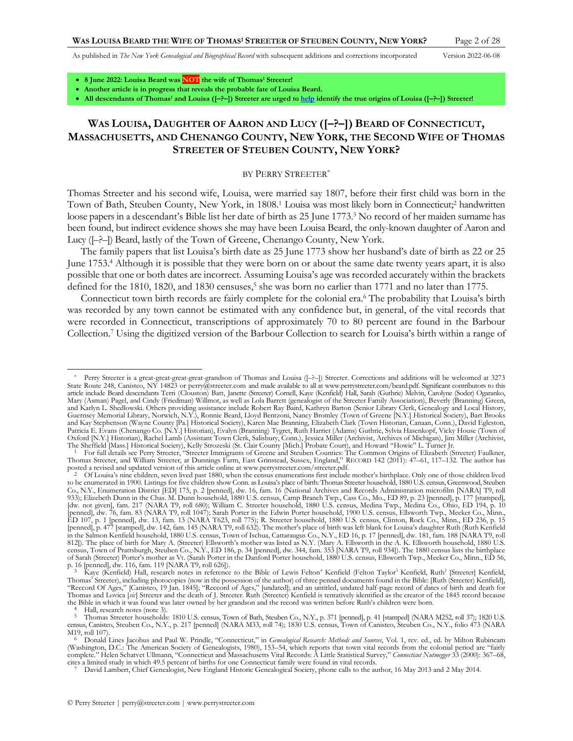<span id="page-1-2"></span>

- **8 June 2022: Louisa Beard was NOT the wife of Thomas<sup>1</sup> Streeter!**
- **Another article is in progress that reveals the probable fate of Louisa Beard.**

• **All descendants of Thomas<sup>1</sup> and Louisa ([–?–]) Streeter are urged t[o help](http://www.perrystreeter.com/help/streeter.pdf) identify the true origins of Louisa ([–?–]) Streeter!**

# **WAS LOUISA, DAUGHTER OF AARON AND LUCY ([–?–]) BEARD OF CONNECTICUT, MASSACHUSETTS, AND CHENANGO COUNTY, NEW YORK, THE SECOND WIFE OF THOMAS STREETER OF STEUBEN COUNTY, NEW YORK?**

### <span id="page-1-1"></span><span id="page-1-0"></span>BY PERRY STREETER\*

Thomas Streeter and his second wife, Louisa, were married say 1807, before their first child was born in the Town of Bath, Steuben County, New York, in 1808.<sup>1</sup> Louisa was most likely born in Connecticut;<sup>2</sup> handwritten loose papers in a descendant's Bible list her date of birth as 25 June 1773.<sup>3</sup> No record of her maiden surname has been found, but indirect evidence shows she may have been Louisa Beard, the only-known daughter of Aaron and Lucy ([–?–]) Beard, lastly of the Town of Greene, Chenango County, New York.

The family papers that list Louisa's birth date as 25 June 1773 show her husband's date of birth as 22 or 25 June 1753.<sup>4</sup> Although it is possible that they were born on or about the same date twenty years apart, it is also possible that one or both dates are incorrect. Assuming Louisa's age was recorded accurately within the brackets defined for the 1810, 1820, and 1830 censuses,<sup>5</sup> she was born no earlier than 1771 and no later than 1775.

Connecticut town birth records are fairly complete for the colonial era. <sup>6</sup> The probability that Louisa's birth was recorded by any town cannot be estimated with any confidence but, in general, of the vital records that were recorded in Connecticut, transcriptions of approximately 70 to 80 percent are found in the Barbour Collection.<sup>7</sup> Using the digitized version of the Barbour Collection to search for Louisa's birth within a range of

 $\frac{4}{5}$  Hall, research notes (not[e 3\)](#page-1-0).

Perry Streeter is a great-great-great-great-grandson of Thomas and Louisa ( $[-2-]$ ) Streeter. Corrections and additions will be welcomed at 3273 State Route 248, Canisteo, NY 14823 or perry@streeter.com and made available to all at www.perrystreeter.com/beard.pdf. Significant contributors to this<br>article include Beard descendants Terri (Clouston) Batt, Janette (Str Mary (Asman) Pagel, and Cindy (Friedman) Willmot, as well as Lola Barrett (genealogist of the Streeter Family Association), Beverly (Branning) Green, and Karlyn L. Shedlowski. Others providing assistance include Robert Ray Baird, Kathryn Barton (Senior Library Clerk, Genealogy and Local History,<br>Guernsey Memorial Library, Norwich, N.Y.), Ronnie Beard, Lloyd Bentzoni, Na and Kay Stephenson (Wayne County [Pa.] Historical Society), Karen Mae Branning, Elizabeth Clark (Town Historian, Canaan, Conn.), David Egleston, Patricia E. Evans (Chenango Co. [N.Y.] Historian), Evalyn (Branning) Tygret, Ruth Harriet (Adams) Guthrie, Sylvia Hasenkopf, Vicky House (Town of<br>Oxford [N.Y.] Historian), Rachel Lamb (Assistant Town Clerk, Salisbury, Conn

The Sheffield [Mass.] Historical Society), Kelly Strozeski (St. Clair County [Mich.] Probate Court), and Howard "Howie" L. Turner Jr.<br><sup>1</sup> For full details see Perry Streeter, "Streeter Immigrants of Greene and Steuben Coun posted a revised and updated version of this article online at www.perrystreeter.com/streeter.pdf.

<sup>2</sup> Of Louisa's nine children, seven lived past 1880, when the census enumerations first include mother's birthplace. Only one of those children lived<br>to be enumerated in 1900. Listings for five children show Conn. as Louisa Co., N.Y., Enumeration District [ED] 175, p. 2 [penned], dw. 16, fam. 16 (National Archives and Records Administration microfilm [NARA] T9, roll 933); Elizebeth Dunn in the Chas. M. Dunn household, 1880 U.S. census, Camp Branch Twp., Cass Co., Mo., ED 89, p. 23 [penned], p. 177 [stamped],<br>[dw. not given], fam. 217 (NARA T9, roll 680); William C. Streeter household, [penned], dw. 76, fam. 83 (NARA T9, roll 1047); Sarah Porter in the Edwin Porter household, 1900 U.S. census, Ellsworth Twp., Meeker Co., Minn., ED 107, p. 1 [penned], dw. 13, fam. 13 (NARA T623, roll 775); R. Streeter household, 1880 U.S. census, Clinton, Rock Co., Minn., ED 236, p. 15<br>[penned], p. 477 [stamped], dw. 142, fam. 145 (NARA T9, roll 632). The mother's in the Salmon Kenfield household, 1880 U.S. census, Town of Ischua, Cattaraugus Co., N.Y., ED 16, p. 17 [penned], dw. 181, fam. 188 [NARA T9, roll 812]). The place of birth for Mary A. (Streeter) Ellsworth's mother was listed as N.Y. (Mary A. Ellsworth in the A. K. Ellsworth household, 1880 U.S.<br>census, Town of Prattsburgh, Steuben Co., N.Y., ED 186, p. 34 [penned], of Sarah (Streeter) Porter's mother as Vt. (Sarah Porter in the Danford Porter household, 1880 U.S. census, Ellsworth Twp., Meeker Co., Minn., ED 56, p. 16 [penned], dw. 116, fam. 119 [NARA T9, roll 626]).

<sup>&</sup>lt;sup>3</sup> Kaye (Kenfield) Hall, research notes in reference to the Bible of Lewis Felton<sup>4</sup> Kenfield (Felton Taylor<sup>3</sup> Kenfield, Ruth<sup>2</sup> [Streeter] Kenfield, Thomas<sup>1</sup> Streeter), including photocopies (now in the possession of the author) of three penned documents found in the Bible: [Ruth (Streeter) Kenfield], "Reccord Of Ages," [Canisteo, 19 Jan. 1845]; "Reccord of Ages," [undated]; and an untitled, undated half-page record of dates of birth and death for<br>Thomas and Lovica [sit] Streeter and the death of J. Streeter. Ruth (Stre the Bible in which it was found was later owned by her grandson and the record was written before Ruth's children were born.

<sup>5</sup> Thomas Streeter households: 1810 U.S. census, Town of Bath, Steuben Co., N.Y., p. 371 [penned], p. 41 [stamped] (NARA M252, roll 37); 1820 U.S. census, Canisteo, Steuben Co., N.Y., p. 217 [penned] (NARA M33, roll 74); 1830 U.S. census, Town of Canisteo, Steuben Co., N.Y., folio 473 (NARA M19, roll 107).

<sup>&</sup>lt;sup>6</sup> Donald Lines Jacobus and Paul W. Prindle, "Connecticut," in *Genealogical Research: Methods and Sources*, Vol. 1, rev. ed., ed. by Milton Rubincam (Washington, D.C.: The American Society of Genealogists, 1980), 153–54, which reports that town vital records from the colonial period are "fairly complete." Helen Schatvet Ullmann, "Connecticut and Massachusetts Vital Records: A Little Statistical Survey," *Connecticut Nutmegger* 33 (2000): 367–68, cites a limited study in which 49.5 percent of births for one Connecticut family were found in vital records.<br>7 David Lambert, Chief Genealogist, New England Historic Genealogical Society, phone calls to the author, 16 May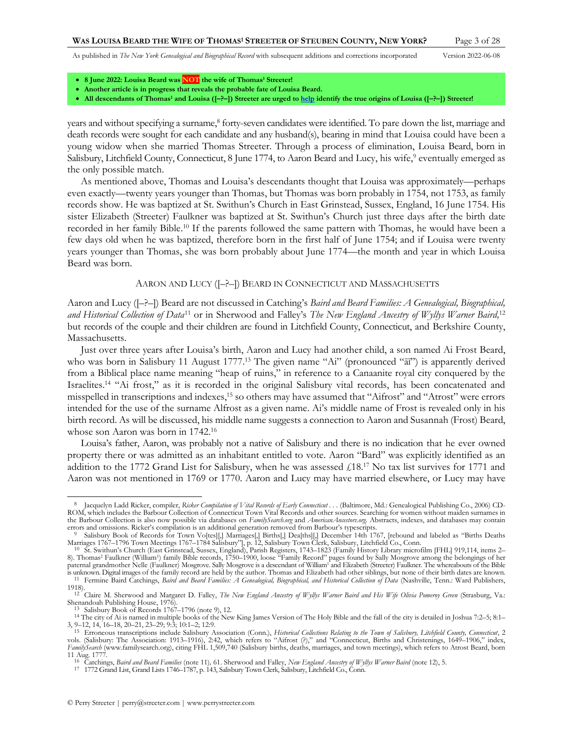<span id="page-2-2"></span><span id="page-2-0"></span>

- **8 June 2022: Louisa Beard was NOT the wife of Thomas<sup>1</sup> Streeter!**
- **Another article is in progress that reveals the probable fate of Louisa Beard.**
- **All descendants of Thomas<sup>1</sup> and Louisa ([–?–]) Streeter are urged t[o help](http://www.perrystreeter.com/help/streeter.pdf) identify the true origins of Louisa ([–?–]) Streeter!**

years and without specifying a surname,<sup>8</sup> forty-seven candidates were identified. To pare down the list, marriage and death records were sought for each candidate and any husband(s), bearing in mind that Louisa could have been a young widow when she married Thomas Streeter. Through a process of elimination, Louisa Beard, born in Salisbury, Litchfield County, Connecticut, 8 June 1774, to Aaron Beard and Lucy, his wife,<sup>9</sup> eventually emerged as the only possible match.

As mentioned above, Thomas and Louisa's descendants thought that Louisa was approximately—perhaps even exactly—twenty years younger than Thomas, but Thomas was born probably in 1754, not 1753, as family records show. He was baptized at St. Swithun's Church in East Grinstead, Sussex, England, 16 June 1754. His sister Elizabeth (Streeter) Faulkner was baptized at St. Swithun's Church just three days after the birth date recorded in her family Bible. <sup>10</sup> If the parents followed the same pattern with Thomas, he would have been a few days old when he was baptized, therefore born in the first half of June 1754; and if Louisa were twenty years younger than Thomas, she was born probably about June 1774—the month and year in which Louisa Beard was born.

## <span id="page-2-4"></span><span id="page-2-3"></span><span id="page-2-1"></span>AARON AND LUCY ([–?–]) BEARD IN CONNECTICUT AND MASSACHUSETTS

Aaron and Lucy ([–?–]) Beard are not discussed in Catching's *Baird and Beard Families: A Genealogical, Biographical,*  and Historical Collection of Data<sup>11</sup> or in Sherwood and Falley's *The New England Ancestry of Wyllys Warner Baird*,<sup>12</sup> but records of the couple and their children are found in Litchfield County, Connecticut, and Berkshire County, Massachusetts.

Just over three years after Louisa's birth, Aaron and Lucy had another child, a son named Ai Frost Beard, who was born in Salisbury 11 August 1777.<sup>13</sup> The given name "Ai" (pronounced "aii") is apparently derived from a Biblical place name meaning "heap of ruins," in reference to a Canaanite royal city conquered by the Israelites.<sup>14</sup> "Ai frost," as it is recorded in the original Salisbury vital records, has been concatenated and misspelled in transcriptions and indexes, <sup>15</sup> so others may have assumed that "Aifrost" and "Atrost" were errors intended for the use of the surname Alfrost as a given name. Ai's middle name of Frost is revealed only in his birth record. As will be discussed, his middle name suggests a connection to Aaron and Susannah (Frost) Beard, whose son Aaron was born in 1742.<sup>16</sup>

Louisa's father, Aaron, was probably not a native of Salisbury and there is no indication that he ever owned property there or was admitted as an inhabitant entitled to vote. Aaron "Bard" was explicitly identified as an addition to the 1772 Grand List for Salisbury, when he was assessed  $\text{\textsterling}18.17$  No tax list survives for 1771 and Aaron was not mentioned in 1769 or 1770. Aaron and Lucy may have married elsewhere, or Lucy may have

<sup>&</sup>lt;sup>8</sup> Jacquelyn Ladd Ricker, compiler, *Ricker Compilation of Vital Records of Early Connecticut . . . (Baltimore, Md.: Genealogical Publishing Co., 2006) CD-*ROM, which includes the Barbour Collection of Connecticut Town Vital Records and other sources. Searching for women without maiden surnames in the Barbour Collection is also now possible via databases on *FamilySearch.org* and *AmericanAncestors.org.* Abstracts, indexes, and databases may contain errors and omissions. Ricker's compilation is an additional generation removed from Barbour's typescripts.

Salisbury Book of Records for Town Vo[tes][,] Marriages[,] Births[,] Dea[ths][,] December 14th 1767, [rebound and labeled as "Births Deaths Marriages 1767–1796 Town Meetings 1767–1784 Salisbury"], p. 12, Salisbury Town Clerk, Salisbury, Litchfield Co., Conn.<br><sup>10</sup> St. Swithun's Church (East Grinstead, Sussex, England), Parish Registers, 1743–1823 (Family Histor

<sup>8).</sup> Thomas<sup>2</sup> Faulkner (William<sup>1</sup> ) family Bible records, 1750–1900, loose "Family Record" pages found by Sally Mosgrove among the belongings of her paternal grandmother Nelle (Faulkner) Mosgrove. Sally Mosgrove is a descendant of William<sup>1</sup> and Elizabeth (Streeter) Faulkner. The whereabouts of the Bible is unknown. Digital images of the family record are held by the author. Thomas and Elizabeth had other siblings, but none of their birth dates are known. 11 Fermine Baird Catchings, *Baird and Beard Families: A Genealogical, Biographical, and Historical Collection of Data* (Nashville, Tenn.: Ward Publishers, 1918).

<sup>&</sup>lt;sup>12</sup> Claire M. Sherwood and Margaret D. Falley, *The New England Ancestry of Wyllys Warner Baird and His Wife Olivia Pomeroy Green (Strasburg, Va.:* 

Shenandoah Publishing House, 1976). 13 Salisbury Book of Records 1767–1796 (not[e 9\),](#page-2-0) 12.

<sup>14</sup> The city of Ai is named in multiple books of the New King James Version of The Holy Bible and the fall of the city is detailed in Joshua 7:2–5; 8:1– 3, 9–12, 14, 16–18, 20–21, 23–29; 9:3; 10:1–2; 12:9.

<sup>&</sup>lt;sup>15</sup> Erroneous transcriptions include Salisbury Association (Conn.), Historical Collections Relating to the Town of Salisbury, Litchfield County, Connecticut, 2<br>vols. (Salisbury: The Association: 1913–1916), 2:42, which re *FamilySearch* (www.familysearch.org), citing FHL 1,509,740 (Salisbury births, deaths, marriages, and town meetings), which refers to Atrost Beard, born 11 Aug. 1777.

<sup>16</sup> Catchings, *Baird and Beard Families* (note [11\)](#page-2-1)*,* 61. Sherwood and Falley, *New England Ancestry of Wyllys Warner Baird* (not[e 12\)](#page-2-2), 5.

<sup>17</sup> 1772 Grand List, Grand Lists 1746–1787, p. 143, Salisbury Town Clerk, Salisbury, Litchfield Co., Conn.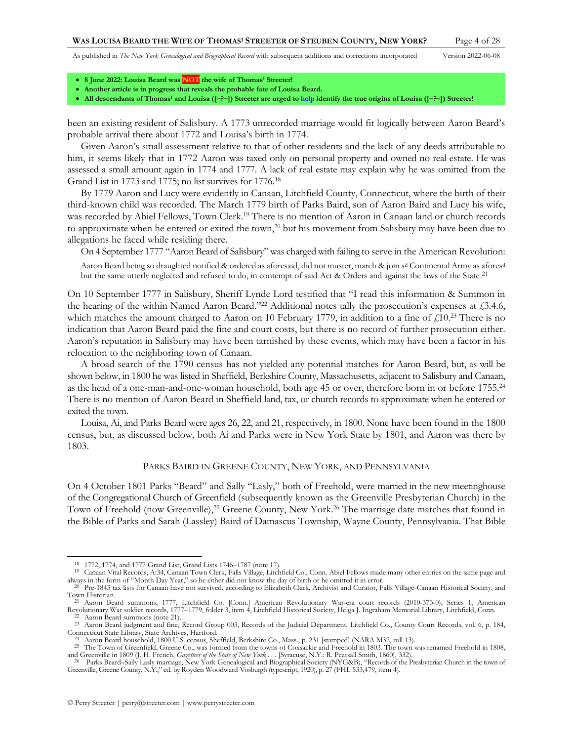<span id="page-3-0"></span>

- **8 June 2022: Louisa Beard was NOT the wife of Thomas<sup>1</sup> Streeter!**
- **Another article is in progress that reveals the probable fate of Louisa Beard.**
- **All descendants of Thomas<sup>1</sup> and Louisa ([–?–]) Streeter are urged t[o help](http://www.perrystreeter.com/help/streeter.pdf) identify the true origins of Louisa ([–?–]) Streeter!**

been an existing resident of Salisbury. A 1773 unrecorded marriage would fit logically between Aaron Beard's probable arrival there about 1772 and Louisa's birth in 1774.

Given Aaron's small assessment relative to that of other residents and the lack of any deeds attributable to him, it seems likely that in 1772 Aaron was taxed only on personal property and owned no real estate. He was assessed a small amount again in 1774 and 1777. A lack of real estate may explain why he was omitted from the Grand List in 1773 and 1775; no list survives for 1776.<sup>18</sup>

By 1779 Aaron and Lucy were evidently in Canaan, Litchfield County, Connecticut, where the birth of their third-known child was recorded. The March 1779 birth of Parks Baird, son of Aaron Baird and Lucy his wife, was recorded by Abiel Fellows, Town Clerk.<sup>19</sup> There is no mention of Aaron in Canaan land or church records to approximate when he entered or exited the town,<sup>20</sup> but his movement from Salisbury may have been due to allegations he faced while residing there.

On 4 September 1777 "Aaron Beard of Salisbury"was charged with failing to serve in the American Revolution:

Aaron Beard being so draughted notified & ordered as aforesaid, did not muster, march & join s<sup>d</sup> Continental Army as afores<sup>d</sup> but the same utterly neglected and refused to do, in contempt of said Act & Orders and against the laws of the State.<sup>21</sup>

On 10 September 1777 in Salisbury, Sheriff Lynde Lord testified that "I read this information & Summon in the hearing of the within Named Aaron Beard."<sup>22</sup> Additional notes tally the prosecution's expenses at £3.4.6, which matches the amount charged to Aaron on 10 February 1779, in addition to a fine of  $\text{\pounds}10^{23}$  There is no indication that Aaron Beard paid the fine and court costs, but there is no record of further prosecution either. Aaron's reputation in Salisbury may have been tarnished by these events, which may have been a factor in his relocation to the neighboring town of Canaan.

A broad search of the 1790 census has not yielded any potential matches for Aaron Beard, but, as will be shown below, in 1800 he was listed in Sheffield, Berkshire County, Massachusetts, adjacent to Salisbury and Canaan, as the head of a one-man-and-one-woman household, both age 45 or over, therefore born in or before 1755.<sup>24</sup> There is no mention of Aaron Beard in Sheffield land, tax, or church records to approximate when he entered or exited the town.

Louisa, Ai, and Parks Beard were ages 26, 22, and 21, respectively, in 1800. None have been found in the 1800 census, but, as discussed below, both Ai and Parks were in New York State by 1801, and Aaron was there by 1803.

#### <span id="page-3-1"></span>PARKS BAIRD IN GREENE COUNTY, NEW YORK, AND PENNSYLVANIA

On 4 October 1801 Parks "Beard" and Sally "Lasly," both of Freehold, were married in the new meetinghouse of the Congregational Church of Greenfield (subsequently known as the Greenville Presbyterian Church) in the Town of Freehold (now Greenville), <sup>25</sup> Greene County, New York. <sup>26</sup> The marriage date matches that found in the Bible of Parks and Sarah (Lassley) Baird of Damascus Township, Wayne County, Pennsylvania. That Bible

<sup>18</sup> 1772, 1774, and 1777 Grand List, Grand Lists 1746–1787 (not[e 17\)](#page-2-3).

<sup>19</sup> Canaan Vital Records, A:34, Canaan Town Clerk, Falls Village, Litchfield Co., Conn. Abiel Fellows made many other entries on the same page and always in the form of "Month Day Year," so he either did not know the day of birth or he omitted it in error.

<sup>&</sup>lt;sup>20</sup> Pre-1843 tax lists for Canaan have not survived, according to Elizabeth Clark, Archivist and Curator, Falls Village-Canaan Historical Society, and Town Historian.

<sup>21</sup> Aaron Beard summons, 1777, Litchfield Co. [Conn.] American Revolutionary War-era court records (2010-373-0), Series 1, American Revolutionary War soldier records, 1777–1779, folder 3, item 4, Litchfield Historical Society, Helga J. Ingraham Memorial Library, Litchfield, Conn. Aaron Beard summons (not[e 21\)](#page-3-0).

<sup>&</sup>lt;sup>23</sup> Aaron Beard judgment and fine, Record Group 003, Records of the Judicial Department, Litchfield Co., County Court Records, vol. 6, p. 184, Connecticut State Library, State Archives, Hartford.

<sup>24</sup> Aaron Beard household, 1800 U.S. census, Sheffield, Berkshire Co., Mass., p. 231 [stamped] (NARA M32, roll 13).

<sup>25</sup> The Town of Greenfield, Greene Co., was formed from the towns of Coxsackie and Freehold in 1803. The town was renamed Freehold in 1808, and Greenville in 1809 (J. H. French, Gazetteer of the State of New York . . . [Syracuse, N.Y.: R. Pearsall Smith, 1860], 332).<br><sup>26</sup> Parks Beard–Sally Lasly marriage, New York Genealogical and Biographical Society (NYG&B),

Greenville, Greene County, N.Y.," ed. by Royden Woodward Vosburgh (typescript, 1920), p. 27 (FHL 533,479, item 4).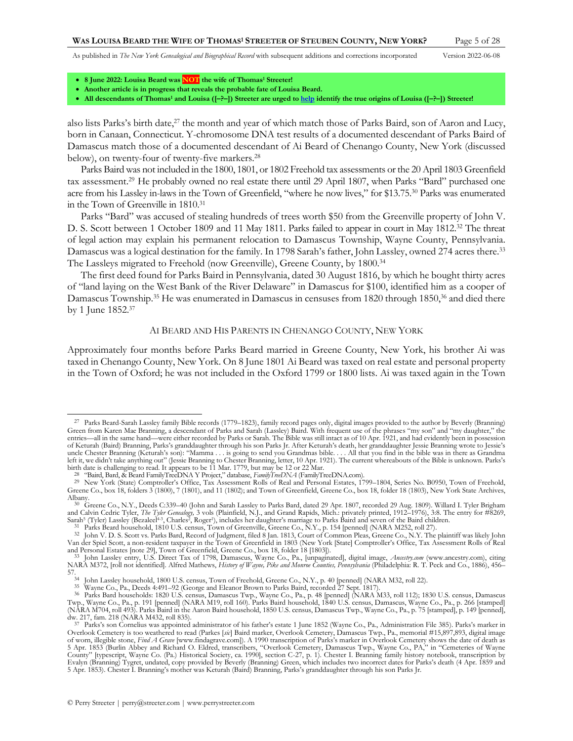<span id="page-4-5"></span><span id="page-4-2"></span>

- **8 June 2022: Louisa Beard was NOT the wife of Thomas<sup>1</sup> Streeter!**
- **Another article is in progress that reveals the probable fate of Louisa Beard.**
- **All descendants of Thomas<sup>1</sup> and Louisa ([–?–]) Streeter are urged t[o help](http://www.perrystreeter.com/help/streeter.pdf) identify the true origins of Louisa ([–?–]) Streeter!**

also lists Parks's birth date,<sup>27</sup> the month and year of which match those of Parks Baird, son of Aaron and Lucy, born in Canaan, Connecticut. Y-chromosome DNA test results of a documented descendant of Parks Baird of Damascus match those of a documented descendant of Ai Beard of Chenango County, New York (discussed below), on twenty-four of twenty-five markers.<sup>28</sup>

<span id="page-4-0"></span>Parks Baird was not included in the 1800, 1801, or 1802 Freehold tax assessments or the 20 April 1803 Greenfield tax assessment.<sup>29</sup> He probably owned no real estate there until 29 April 1807, when Parks "Bard" purchased one acre from his Lassley in-laws in the Town of Greenfield, "where he now lives," for \$13.75.<sup>30</sup> Parks was enumerated in the Town of Greenville in 1810.<sup>31</sup>

<span id="page-4-3"></span>Parks "Bard" was accused of stealing hundreds of trees worth \$50 from the Greenville property of John V. D. S. Scott between 1 October 1809 and 11 May 1811. Parks failed to appear in court in May 1812.<sup>32</sup> The threat of legal action may explain his permanent relocation to Damascus Township, Wayne County, Pennsylvania. Damascus was a logical destination for the family. In 1798 Sarah's father, John Lassley, owned 274 acres there. 33 The Lassleys migrated to Freehold (now Greenville), Greene County, by 1800.<sup>34</sup>

The first deed found for Parks Baird in Pennsylvania, dated 30 August 1816, by which he bought thirty acres of "land laying on the West Bank of the River Delaware" in Damascus for \$100, identified him as a cooper of Damascus Township.<sup>35</sup> He was enumerated in Damascus in censuses from 1820 through 1850,<sup>36</sup> and died there by 1 June 1852. 37

### <span id="page-4-4"></span><span id="page-4-1"></span>AI BEARD AND HIS PARENTS IN CHENANGO COUNTY, NEW YORK

Approximately four months before Parks Beard married in Greene County, New York, his brother Ai was taxed in Chenango County, New York. On 8 June 1801 Ai Beard was taxed on real estate and personal property in the Town of Oxford; he was not included in the Oxford 1799 or 1800 lists. Ai was taxed again in the Town

<sup>27</sup> Parks Beard-Sarah Lassley family Bible records (1779–1823), family record pages only, digital images provided to the author by Beverly (Branning) Green from Karen Mae Branning, a descendant of Parks and Sarah (Lassley) Baird. With frequent use of the phrases "my son" and "my daughter," the<br>entries—all in the same hand—were either recorded by Parks or Sarah. The Bibl of Keturah (Baird) Branning, Parks's granddaughter through his son Parks Jr. After Keturah's death, her granddaughter Jessie Branning wrote to Jessie's uncle Chester Branning (Keturah's son): "Mamma . . . is going to send you Grandmas bible. . . . All that you find in the bible was in there as Grandma<br>left it, we didn't take anything out" (Jessie Branning to Chester Brann birth date is challenging to read. It appears to be 11 Mar. 1779, but may be 12 or 22 Mar.

<sup>&</sup>lt;sup>28</sup> "Baird, Bard, & Beard FamilyTreeDNA Y Project," database, FamilyTreeDNA (FamilyTreeDNA.com).<br><sup>29</sup> New York (State) Comptroller's Office, Tax Assessment Rolls of Real and Personal Estates, 1799–1804, Series No. B0950, Greene Co., box 18, folders 3 (1800), 7 (1801), and 11 (1802); and Town of Greenfield, Greene Co., box 18, folder 18 (1803), New York State Archives, Albany. 30 Greene Co., N.Y., Deeds C:339–40 (John and Sarah Lassley to Parks Bard, dated 29 Apr. 1807, recorded 29 Aug. 1809). Willard I. Tyler Brigham

and Calvin Cedric Tyler, *The Tyler Genealogy,* 3 vols (Plainfield, N.J., and Grand Rapids, Mich.: privately printed, 1912–1976), 3:8. The entry for #8269, Sarah<sup>5</sup> (Tyler) Lassley (Bezaleel<sup>4-3</sup>, Charles<sup>2</sup>, Roger'), includes her daughter's marriage to Parks Baird and seven of the Baird children.<br><sup>31</sup> Parks Beard household, 1810 U.S. census, Town of Greenville, Greene Co., N

<sup>32</sup> John V. D. S. Scott vs. Parks Bard, Record of Judgment, filed 8 Jan. 1813, Court of Common Pleas, Greene Co., N.Y. The plaintiff was likely John Van der Spiel Scott, a non-resident taxpayer in the Town of Greenfield in 1803 (New York [State] Comptroller's Office, Tax Assessment Rolls of Real and Personal Estates [not[e 29\]](#page-4-0), Town of Greenfield, Greene Co., box 18, folder 18 [1803]).<br><sup>33</sup> John Lassley entry, U.S. Direct Tax of 1798, Damascus, Wayne Co., Pa., [unpaginated], digital image, *Ancestry.com* (www.ances

NARA M372, [roll not identified]. Alfred Mathews, *History of Wayne, Pike and Monroe Counties, Pennsylvania* (Philadelphia: R. T. Peck and Co., 1886), 456– 57. 34 John Lassley household, 1800 U.S. census, Town of Freehold, Greene Co., N.Y., p. 40 [penned] (NARA M32, roll 22).

<sup>&</sup>lt;sup>35</sup> Wayne Co., Pa., Deeds 4:491–92 (George and Eleanor Brown to Parks Baird, recorded 27 Sept. 1817).<br><sup>36</sup> Parks Bard households: 1820 U.S. census, Damascus Twp., Wayne Co., Pa., p. 48 [penned] (NARA M33, roll 112); 1830 Twp., Wayne Co., Pa., p. 191 [penned] (NARA M19, roll 160). Parks Baird household, 1840 U.S. census, Damascus, Wayne Co., Pa., p. 266 [stamped] (NARA M704, roll 493). Parks Baird in the Aaron Baird household, 1850 U.S. census, Damascus Twp., Wayne Co., Pa., p. 75 [stamped], p. 149 [penned], dw. 217, fam. 218 (NARA M432, roll 835). 37 Parks's son Cornelius was appointed administrator of his father's estate 1 June 1852 (Wayne Co., Pa., Administration File 385). Parks's marker in

Overlook Cemetery is too weathered to read (Parkes [sic] Baird marker, Overlook Cemetery, Damascus Twp., Pa., memorial #15,897,893, digital image<br>of worn, illegible stone, Find A Grave [www.findagrave.com]). A 1990 transcr 5 Apr. 1853 (Burlin Abbey and Richard O. Eldred, transcribers, "Overlook Cemetery, Damascus Twp., Wayne Co., PA," in "Cemeteries of Wayne County" [typescript, Wayne Co. (Pa.) Historical Society, ca. 1990], section C-27, p. 1). Chester I. Branning family history notebook, transcription by<br>Evalyn (Branning) Tygret, undated, copy provided by Beverly (Branning) 5 Apr. 1853). Chester I. Branning's mother was Keturah (Baird) Branning, Parks's granddaughter through his son Parks Jr.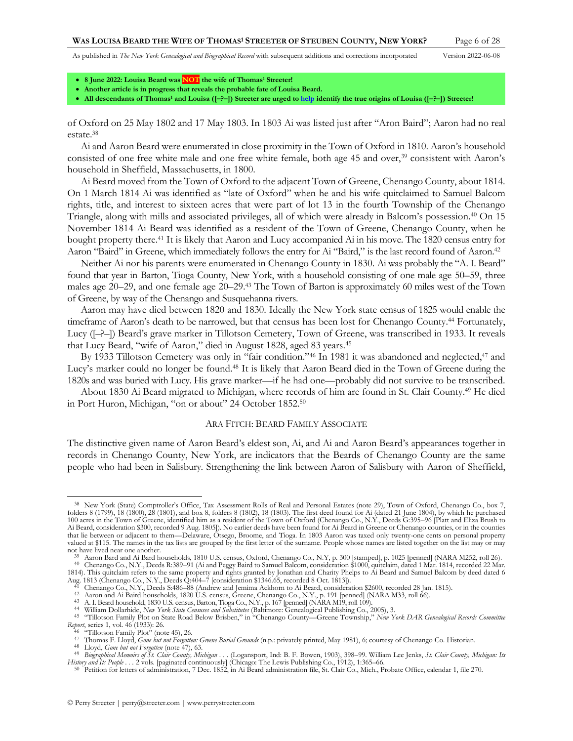<span id="page-5-4"></span><span id="page-5-3"></span>

- **8 June 2022: Louisa Beard was NOT the wife of Thomas<sup>1</sup> Streeter!**
- **Another article is in progress that reveals the probable fate of Louisa Beard.**
- **All descendants of Thomas<sup>1</sup> and Louisa ([–?–]) Streeter are urged t[o help](http://www.perrystreeter.com/help/streeter.pdf) identify the true origins of Louisa ([–?–]) Streeter!**

<span id="page-5-2"></span>of Oxford on 25 May 1802 and 17 May 1803. In 1803 Ai was listed just after "Aron Baird"; Aaron had no real estate.<sup>38</sup>

Ai and Aaron Beard were enumerated in close proximity in the Town of Oxford in 1810. Aaron's household consisted of one free white male and one free white female, both age 45 and over,<sup>39</sup> consistent with Aaron's household in Sheffield, Massachusetts, in 1800.

Ai Beard moved from the Town of Oxford to the adjacent Town of Greene, Chenango County, about 1814. On 1 March 1814 Ai was identified as "late of Oxford" when he and his wife quitclaimed to Samuel Balcom rights, title, and interest to sixteen acres that were part of lot 13 in the fourth Township of the Chenango Triangle, along with mills and associated privileges, all of which were already in Balcom's possession.<sup>40</sup> On 15 November 1814 Ai Beard was identified as a resident of the Town of Greene, Chenango County, when he bought property there.<sup>41</sup> It is likely that Aaron and Lucy accompanied Ai in his move. The 1820 census entry for Aaron "Baird" in Greene, which immediately follows the entry for Ai "Baird," is the last record found of Aaron.<sup>42</sup>

Neither Ai nor his parents were enumerated in Chenango County in 1830. Ai was probably the "A. I. Beard" found that year in Barton, Tioga County, New York, with a household consisting of one male age 50–59, three males age 20–29, and one female age 20–29.<sup>43</sup> The Town of Barton is approximately 60 miles west of the Town of Greene, by way of the Chenango and Susquehanna rivers.

Aaron may have died between 1820 and 1830. Ideally the New York state census of 1825 would enable the timeframe of Aaron's death to be narrowed, but that census has been lost for Chenango County.<sup>44</sup> Fortunately, Lucy ([–?–]) Beard's grave marker in Tillotson Cemetery, Town of Greene, was transcribed in 1933. It reveals that Lucy Beard, "wife of Aaron," died in August 1828, aged 83 years.<sup>45</sup>

By 1933 Tillotson Cemetery was only in "fair condition."<sup>46</sup> In 1981 it was abandoned and neglected,<sup>47</sup> and Lucy's marker could no longer be found.<sup>48</sup> It is likely that Aaron Beard died in the Town of Greene during the 1820s and was buried with Lucy. His grave marker—if he had one—probably did not survive to be transcribed.

About 1830 Ai Beard migrated to Michigan, where records of him are found in St. Clair County. <sup>49</sup> He died in Port Huron, Michigan, "on or about" 24 October 1852.<sup>50</sup>

### <span id="page-5-5"></span><span id="page-5-1"></span><span id="page-5-0"></span>ARA FITCH: BEARD FAMILY ASSOCIATE

The distinctive given name of Aaron Beard's eldest son, Ai, and Ai and Aaron Beard's appearances together in records in Chenango County, New York, are indicators that the Beards of Chenango County are the same people who had been in Salisbury. Strengthening the link between Aaron of Salisbury with Aaron of Sheffield,

<sup>38</sup> New York (State) Comptroller's Office, Tax Assessment Rolls of Real and Personal Estates (note [29\)](#page-4-0), Town of Oxford, Chenango Co., box 7, folders 8 (1799), 18 (1800), 28 (1801), and box 8, folders 8 (1802), 18 (1803). The first deed found for Ai (dated 21 June 1804), by which he purchased 100 acres in the Town of Greene, identified him as a resident of the Town of Oxford (Chenango Co., N.Y., Deeds G:395–96 [Platt and Eliza Brush to<br>Ai Beard, consideration \$300, recorded 9 Aug. 1805]). No earlier deeds have that lie between or adjacent to them—Delaware, Otsego, Broome, and Tioga. In 1803 Aaron was taxed only twenty-one cents on personal property valued at \$115. The names in the tax lists are grouped by the first letter of the surname. People whose names are listed together on the list may or may not have lived near one another.

<sup>39</sup> Aaron Bard and Ai Bard households, 1810 U.S. census, Oxford, Chenango Co., N.Y, p. 300 [stamped], p. 1025 [penned] (NARA M252, roll 26).

<sup>&</sup>lt;sup>40</sup> Chenango Co., N.Y., Deeds R:389-91 (Ai and Peggy Baird to Samuel Balcom, consideration \$1000, quitclaim, dated 1 Mar. 1814, recorded 22 Mar.<br>1814). This quitclaim refers to the same property and rights granted by Jona

Aug. 1813 (Chenango Co., N.Y., Deeds Q:404-7 [consideration \$1346.65, recorded 8 Oct. 1813]).<br><sup>41</sup> Chenango Co., N.Y., Deeds S:486–88 (Andrew and Jemima Ackhorn to Ai Beard, consideration \$2600, recorded 28 Jan. 1815).<br><sup>42</sup>

<sup>43</sup> A. I. Beard household, 1830 U.S. census, Barton, Tioga Co., N.Y., p. 167 [penned] (NARA M19, roll 109).

<sup>44</sup> William Dollarhide, New York State Censuses and Substitutes (Baltimore: Genealogical Publishing Co., 2005), 3.<br><sup>45</sup> "Tillotson Family Plot on State Road Below Brisben," in "Chenango County—Greene Township," New York DAR *Report*, series 1, vol. 46 (1933): 26.

<sup>&</sup>lt;sup>46</sup> "Tillotson Family Plot" (note [45\),](#page-5-0) 26.<br><sup>47</sup> Thomas F. Lloyd, *Gone but not Forgotten: Greene Burial Grounds* (n.p.: privately printed, May 1981), 6; courtesy of Chenango Co. Historian.

<sup>48</sup> Lloyd, *Gone but not Forgotten* (not[e 47\),](#page-5-1) 63.

<sup>&</sup>lt;sup>49</sup> Biographical Memoirs of St. Clair County, Michigan . . . (Logansport, Ind: B. F. Bowen, 1903), 398–99. William Lee Jenks, St. Clair County, Michigan: Its History and Its People . . . 2 vols. [paginated continuously] (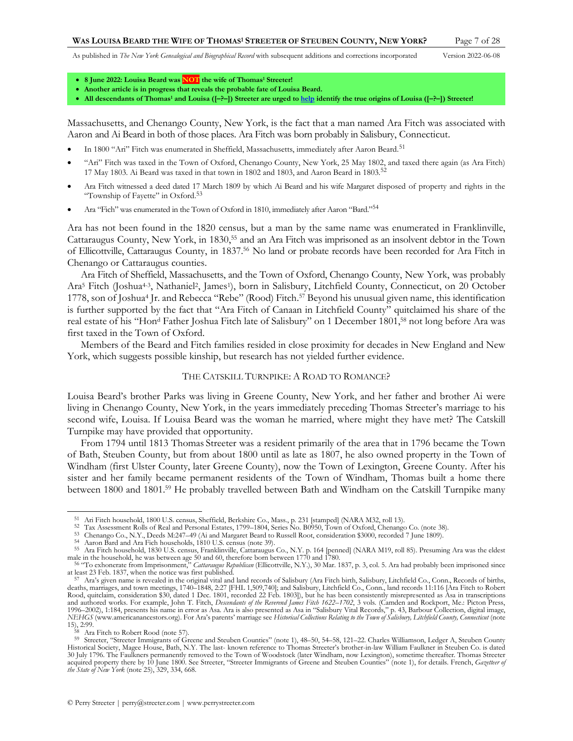- **8 June 2022: Louisa Beard was NOT the wife of Thomas<sup>1</sup> Streeter!**
- **Another article is in progress that reveals the probable fate of Louisa Beard.**
- **All descendants of Thomas<sup>1</sup> and Louisa ([–?–]) Streeter are urged t[o help](http://www.perrystreeter.com/help/streeter.pdf) identify the true origins of Louisa ([–?–]) Streeter!**

Massachusetts, and Chenango County, New York, is the fact that a man named Ara Fitch was associated with Aaron and Ai Beard in both of those places. Ara Fitch was born probably in Salisbury, Connecticut.

- In 1800 "Ari" Fitch was enumerated in Sheffield, Massachusetts, immediately after Aaron Beard.<sup>51</sup>
- "Ari" Fitch was taxed in the Town of Oxford, Chenango County, New York, 25 May 1802, and taxed there again (as Ara Fitch) 17 May 1803. Ai Beard was taxed in that town in 1802 and 1803, and Aaron Beard in 1803.<sup>52</sup>
- Ara Fitch witnessed a deed dated 17 March 1809 by which Ai Beard and his wife Margaret disposed of property and rights in the "Township of Fayette" in Oxford.<sup>53</sup>
- Ara "Fich" was enumerated in the Town of Oxford in 1810, immediately after Aaron "Bard."<sup>54</sup>

Ara has not been found in the 1820 census, but a man by the same name was enumerated in Franklinville, Cattaraugus County, New York, in 1830, <sup>55</sup> and an Ara Fitch was imprisoned as an insolvent debtor in the Town of Ellicottville, Cattaraugus County, in 1837.<sup>56</sup> No land or probate records have been recorded for Ara Fitch in Chenango or Cattaraugus counties.

Ara Fitch of Sheffield, Massachusetts, and the Town of Oxford, Chenango County, New York, was probably Ara<sup>5</sup> Fitch (Joshua<sup>4-3</sup>, Nathaniel<sup>2</sup>, James<sup>1</sup>), born in Salisbury, Litchfield County, Connecticut, on 20 October 1778, son of Joshua<sup>4</sup> Jr. and Rebecca "Rebe" (Rood) Fitch.<sup>57</sup> Beyond his unusual given name, this identification is further supported by the fact that "Ara Fitch of Canaan in Litchfield County" quitclaimed his share of the real estate of his "Hon<sup>d</sup> Father Joshua Fitch late of Salisbury" on 1 December 1801,<sup>58</sup> not long before Ara was first taxed in the Town of Oxford.

Members of the Beard and Fitch families resided in close proximity for decades in New England and New York, which suggests possible kinship, but research has not yielded further evidence.

### <span id="page-6-0"></span>THE CATSKILL TURNPIKE: A ROAD TO ROMANCE?

Louisa Beard's brother Parks was living in Greene County, New York, and her father and brother Ai were living in Chenango County, New York, in the years immediately preceding Thomas Streeter's marriage to his second wife, Louisa. If Louisa Beard was the woman he married, where might they have met? The Catskill Turnpike may have provided that opportunity.

From 1794 until 1813 Thomas Streeter was a resident primarily of the area that in 1796 became the Town of Bath, Steuben County, but from about 1800 until as late as 1807, he also owned property in the Town of Windham (first Ulster County, later Greene County), now the Town of Lexington, Greene County. After his sister and her family became permanent residents of the Town of Windham, Thomas built a home there between 1800 and 1801.<sup>59</sup> He probably travelled between Bath and Windham on the Catskill Turnpike many

<sup>&</sup>lt;sup>51</sup> Ari Fitch household, 1800 U.S. census, Sheffield, Berkshire Co., Mass., p. 231 [stamped] (NARA M32, roll 13).<br><sup>52</sup> Tax Assessment Rolls of Real and Personal Estates, 1799–1804, Series No. B0950, Town of Oxford, Chenan

<sup>53</sup> Chenango Co., N.Y., Deeds M:247–49 (Ai and Margaret Beard to Russell Root, consideration \$3000, recorded 7 June 1809).

<sup>54</sup> Aaron Bard and Ara Fich households, 1810 U.S. census (not[e 39\)](#page-5-3).

<sup>55</sup> Ara Fitch household, 1830 U.S. census, Franklinville, Cattaraugus Co., N.Y. p. 164 [penned] (NARA M19, roll 85). Presuming Ara was the eldest male in the household, he was between age 50 and 60, therefore born between 1770 and 1780.<br><sup>56</sup> "To exhonerate from Imprisonment," *Cattaraugus Republican* (Ellicottville, N.Y.), 30 Mar. 1837, p. 3, col. 5. Ara had probabl

at least 23 Feb. 1837, when the notice was first published.

<sup>57</sup> Ara's given name is revealed in the original vital and land records of Salisbury (Ara Fitch birth, Salisbury, Litchfield Co., Conn., Records of births, deaths, marriages, and town meetings, 1740–1848, 2:27 [FHL 1,509,740]; and Salisbury, Litchfield Co., Conn., land records 11:116 [Ara Fitch to Robert<br>Rood, quitclaim, consideration \$30, dated 1 Dec. 1801, recorded 22 Feb. and authored works. For example, John T. Fitch, *Descendants of the Reverend James Fitch 1622–1702*, 3 vols. (Camden and Rockport, Me.: Picton Press, 1996–2002), 1:184, presents his name in error as Asa. Ara is also presented as Asa in "Salisbury Vital Records," p. 43, Barbour Collection, digital image,<br>NEHGS (www.americanancestors.org). For Ara's parents' marriage see [15\),](#page-2-4) 2:99.

Ara Fitch to Robert Rood (not[e 57\)](#page-6-0).

<sup>59</sup> Streeter, "Streeter Immigrants of Greene and Steuben Counties" (note [1\)](#page-1-1), 48–50, 54–58, 121–22. Charles Williamson, Ledger A, Steuben County Historical Society, Magee House, Bath, N.Y. The last- known reference to Thomas Streeter's brother-in-law William Faulkner in Steuben Co. is dated 30 July 1796. The Faulkners permanently removed to the Town of Woodstock (later Windham, now Lexington), sometime thereafter. Thomas Streeter acquired property there by 10 June 1800. See Streeter, "Streeter Immigrants of Greene and Steuben Counties" (not[e 1\)](#page-1-1), for details. French, *Gazetteer of the State of New York* (not[e 25\)](#page-3-1), 329, 334, 668.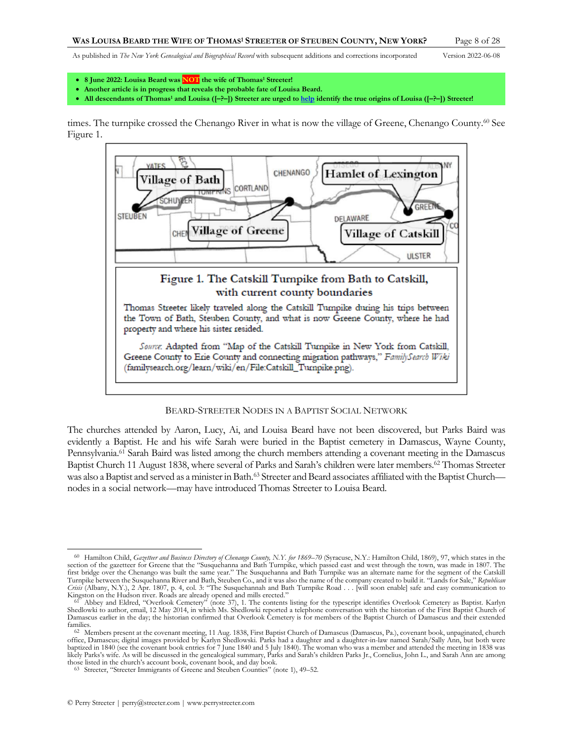- **8 June 2022: Louisa Beard was NOT the wife of Thomas<sup>1</sup> Streeter!**
- **Another article is in progress that reveals the probable fate of Louisa Beard.**
- **All descendants of Thomas<sup>1</sup> and Louisa ([–?–]) Streeter are urged t[o help](http://www.perrystreeter.com/help/streeter.pdf) identify the true origins of Louisa ([–?–]) Streeter!**

times. The turnpike crossed the Chenango River in what is now the village of Greene, Chenango County. <sup>60</sup> See Figure 1.



#### BEARD-STREETER NODES IN A BAPTIST SOCIAL NETWORK

The churches attended by Aaron, Lucy, Ai, and Louisa Beard have not been discovered, but Parks Baird was evidently a Baptist. He and his wife Sarah were buried in the Baptist cemetery in Damascus, Wayne County, Pennsylvania.<sup>61</sup> Sarah Baird was listed among the church members attending a covenant meeting in the Damascus Baptist Church 11 August 1838, where several of Parks and Sarah's children were later members.<sup>62</sup> Thomas Streeter was also a Baptist and served as a minister in Bath.<sup>63</sup> Streeter and Beard associates affiliated with the Baptist Church nodes in a social network—may have introduced Thomas Streeter to Louisa Beard.

<sup>60</sup> Hamilton Child, *Gazetteer and Business Directory of Chenango County, N.Y. for 1869–70* (Syracuse, N.Y.: Hamilton Child, 1869), 97, which states in the section of the gazetteer for Greene that the "Susquehanna and Bath Turnpike, which passed east and west through the town, was made in 1807. The<br>first bridge over the Chenango was built the same year." The Susquehanna and B Turnpike between the Susquehanna River and Bath, Steuben Co., and it was also the name of the company created to build it. "Lands for Sale," *Republican*  Crisis (Albany, N.Y.), 2 Apr. 1807, p. 4, col. 3: "The Susquehannah and Bath Turnpike Road . . . [will soon enable] safe and easy communication to<br>Kingston on the Hudson river. Roads are already opened and mills erected."

<sup>&</sup>lt;sup>61</sup> Abbey and Eldred, "Overlook Cemetery" (note [37\)](#page-4-1), 1. The contents listing for the typescript identifies Overlook Cemetery as Baptist. Karlyn Shedlowki to author, email, 12 May 2014, in which Ms. Shedlowki reported a telephone conversation with the historian of the First Baptist Church of Damascus earlier in the day; the historian confirmed that Overlook Cemetery is for members of the Baptist Church of Damascus and their extended families.

<sup>&</sup>lt;sup>62</sup> Members present at the covenant meeting, 11 Aug. 1838, First Baptist Church of Damascus (Damascus, Pa.), covenant book, unpaginated, church<br>office, Damascus; digital images provided by Karlyn Shedlowski. Parks had a d baptized in 1840 (see the covenant book entries for 7 June 1840 and 5 July 1840). The woman who was a member and attended the meeting in 1838 was likely Parks's wife. As will be discussed in the genealogical summary, Parks and Sarah's children Parks Jr., Cornelius, John L., and Sarah Ann are among

those listed in the church's account book, covenant book, and day book. 63 Streeter, "Streeter Immigrants of Greene and Steuben Counties" (note [1\)](#page-1-1), 49–52.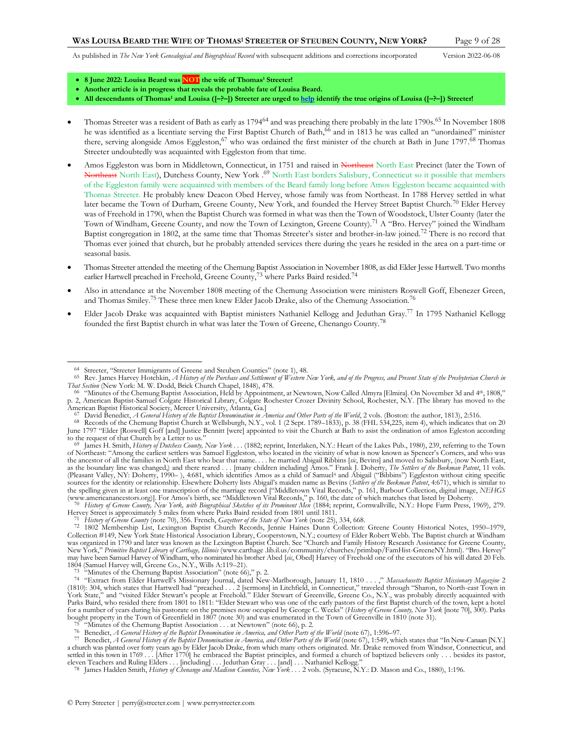<span id="page-8-3"></span><span id="page-8-1"></span><span id="page-8-0"></span>

- **8 June 2022: Louisa Beard was NOT the wife of Thomas<sup>1</sup> Streeter!**
- **Another article is in progress that reveals the probable fate of Louisa Beard.**
- <span id="page-8-2"></span>• **All descendants of Thomas<sup>1</sup> and Louisa ([–?–]) Streeter are urged t[o help](http://www.perrystreeter.com/help/streeter.pdf) identify the true origins of Louisa ([–?–]) Streeter!**
- Thomas Streeter was a resident of Bath as early as 1794<sup>64</sup> and was preaching there probably in the late 1790s.<sup>65</sup> In November 1808 he was identified as a licentiate serving the First Baptist Church of Bath,<sup>66</sup> and in 1813 he was called an "unordained" minister there, serving alongside Amos Eggleston,<sup>67</sup> who was ordained the first minister of the church at Bath in June 1797.<sup>68</sup> Thomas Streeter undoubtedly was acquainted with Eggleston from that time.
- Amos Eggleston was born in Middletown, Connecticut, in 1751 and raised in Northeast North East Precinct (later the Town of Northeast North East), Dutchess County, New York .<sup>69</sup> North East borders Salisbury, Connecticut so it possible that members of the Eggleston family were acquainted with members of the Beard family long before Amos Eggleston became acquainted with Thomas Streeter. He probably knew Deacon Obed Hervey, whose family was from Northeast. In 1788 Hervey settled in what later became the Town of Durham, Greene County, New York, and founded the Hervey Street Baptist Church.<sup>70</sup> Elder Hervey was of Freehold in 1790, when the Baptist Church was formed in what was then the Town of Woodstock, Ulster County (later the Town of Windham, Greene County, and now the Town of Lexington, Greene County).<sup>71</sup> A "Bro. Hervey" joined the Windham Baptist congregation in 1802, at the same time that Thomas Streeter's sister and brother-in-law joined.<sup>72</sup> There is no record that Thomas ever joined that church, but he probably attended services there during the years he resided in the area on a part-time or seasonal basis.
- Thomas Streeter attended the meeting of the Chemung Baptist Association in November 1808, as did Elder Jesse Hartwell. Two months earlier Hartwell preached in Freehold, Greene County,<sup>73</sup> where Parks Baird resided.<sup>74</sup>
- Also in attendance at the November 1808 meeting of the Chemung Association were ministers Roswell Goff, Ebenezer Green, and Thomas Smiley.<sup>75</sup> These three men knew Elder Jacob Drake, also of the Chemung Association.<sup>76</sup>
- Elder Jacob Drake was acquainted with Baptist ministers Nathaniel Kellogg and Jeduthan Gray. <sup>77</sup> In 1795 Nathaniel Kellogg founded the first Baptist church in what was later the Town of Greene, Chenango County.<sup>78</sup>

American Baptist Historical Society, Mercer University, Atlanta, Ga.]<br><sup>67</sup> David Benedict, *A General History of the Baptist Denomination in America and Other Parts of the World, 2 vols. (Boston: the author, 1813), 2:516.* 

<sup>64</sup> Streeter, "Streeter Immigrants of Greene and Steuben Counties" (not[e 1\)](#page-1-1), 48.

<sup>65</sup> Rev. James Harvey Hotchkin, *A History of the Purchase and Settlement of Western New York, and of the Progress, and Present State of the Presbyterian Church in That Section* (New York: M. W. Dodd, Brick Church Chapel, 1848), 478.

<sup>&</sup>lt;sup>66</sup> "Minutes of the Chemung Baptist Association, Held by Appointment, at Newtown, Now Called Almyra [Elmira]. On November 3d and 4<sup>th</sup>, 1808," p. 2, American Baptist-Samuel Colgate Historical Library, Colgate Rochester Crozer Divinity School, Rochester, N.Y. [The library has moved to the

<sup>68</sup> Records of the Chemung Baptist Church at Wellsburgh, N.Y., vol. 1 (2 Sept. 1789–1833), p. 38 (FHL 534,225, item 4), which indicates that on 20 June 1797 "Elder [Roswell] Goff [and] Justice Bennitt [were] appointed to visit the Church at Bath to asist the ordination of amos Egleston according to the request of that Church by a Letter to us."

James H. Smith, *History of Dutchess County, New York ...* (1882; reprint, Interlaken, N.Y.: Heart of the Lakes Pub., 1980), 239, referring to the Town of Northeast: "Among the earliest settlers was Samuel Eggleston, who located in the vicinity of what is now known as Spencer's Corners, and who was<br>the ancestor of all the families in North East who bear that name.... he m as the boundary line was changed,) and there reared . . . [many children including] Amos." Frank J. Doherty, *The Settlers of the Beekman Patent*, 11 vols. (Pleasant Valley, NY: Doherty, 1990–), 4:681, which identifies Amos as a child of Samuel<sup>4</sup> and Abigail ("Bibbins") Eggleston without citing specific<br>sources for the identity or relationship. Elsewhere Doherty lists Abigai the spelling given in at least one transcription of the marriage record ["Middletown Vital Records," p. 161, Barbour Collection, digital image, *NEHGS*  (www.americanancestors.org)]. For Amos's birth, see "Middletown Vital Records," p. 160, the date of which matches that listed by Doherty.<br><sup>70</sup> History of Greene County, New York, with Biographical Sketches of its Prominent

Hervey Street is approximately 5 miles from where Parks Baird resided from 1801 until 1811.

<sup>&</sup>lt;sup>71</sup> History of Greene County (not[e 70\),](#page-8-0) 356. French, Gazetteer of the State of New York (note [25\),](#page-3-1) 334, 668.<br><sup>72</sup> 1802 Membership List, Lexington Baptist Church Records, Jennie Haines Dunn Collection: Greene County Histor Collection #149, New York State Historical Association Library, Cooperstown, N.Y.; courtesy of Elder Robert Webb. The Baptist church at Windham was organized in 1790 and later was known as the Lexington Baptist Church. See "Church and Family History Research Assistance for Greene County, New York," *Primitive Baptist Library of Carthage, Illinois* (www.carthage .lib.il.us/community/churches/primbap/FamHist-GreeneNY.html). "Bro. Hervey" may have been Samuel Harvey of Windham, who nominated his brother Abed [*sic*, Obed] Harvey of Freehold one of the executors of his will dated 20 Feb. 1804 (Samuel Harvey will, Greene Co., N.Y., Wills A:119–21). 73 "Minutes of the Chemung Baptist Association" (note [66](#page-8-1))," p. 2.

<sup>74</sup> "Extract from Elder Hartwell's Missionary Journal, dated New-Marlborough, January 11, 1810 . . . ," *Massachusetts Baptist Missionary Magazine* 2 (1810): 304, which states that Hartwell had "preached . . . 2 [sermons] in Litchfield, in Connecticut," traveled through "Sharon, to North-east Town in<br>York State," and "visited Elder Stewart's people at Freehold." Elder S Parks Baird, who resided there from 1801 to 1811: "Elder Stewart who was one of the early pastors of the first Baptist church of the town, kept a hotel for a number of years during his pastorate on the premises now occupied by George C. Weeks" (History of Greene County, New York [not[e 70\]](#page-8-0), 300). Parks<br>bought property in the Town of Greenfield in 1807 (not[e 30\)](#page-4-2) and was enu

<sup>&</sup>quot;Minutes of the Chemung Baptist Association . . . at Newtown" (note [66\)](#page-8-1), p. 2.

<sup>76</sup> Benedict, *A General History of the Baptist Denomination in America, and Other Parts of the World* (not[e 67\)](#page-8-2), 1:596–97.

<sup>&</sup>lt;sup>77</sup> Benedict, *A General History of the Baptist Denomination in America, and Other Parts of the World (not[e 67\),](#page-8-2) 1:549, which states that "In New-Canaan [N.Y.]* a church was planted over forty years ago by Elder Jacob Drake, from which many others originated. Mr. Drake removed from Windsor, Connecticut, and settled in this town in 1769 . . . [After 1770] he embraced the Baptist principles, and formed a church of baptized believers only . . . besides its pastor, eleven Teachers and Ruling Elders . . . [including] . . . Jeduthan Gray . . . [and] . . . Nathaniel Kellogg."<br><sup>78</sup> James Hadden Smith, *History of Chenango and Madison Counties, New York* . . . 2 vols. (Syracuse, N.Y.: D.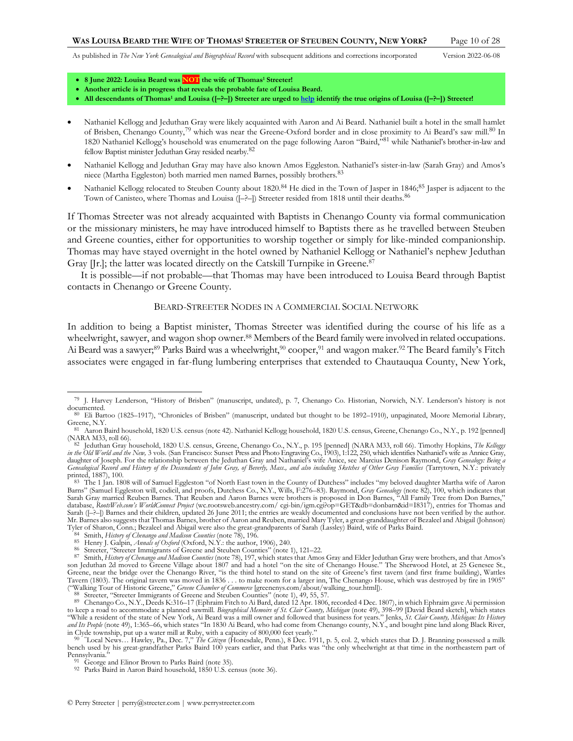- **8 June 2022: Louisa Beard was NOT the wife of Thomas<sup>1</sup> Streeter!**
- **Another article is in progress that reveals the probable fate of Louisa Beard.**
- <span id="page-9-0"></span>• **All descendants of Thomas<sup>1</sup> and Louisa ([–?–]) Streeter are urged t[o help](http://www.perrystreeter.com/help/streeter.pdf) identify the true origins of Louisa ([–?–]) Streeter!**
- Nathaniel Kellogg and Jeduthan Gray were likely acquainted with Aaron and Ai Beard. Nathaniel built a hotel in the small hamlet of Brisben, Chenango County,<sup>79</sup> which was near the Greene-Oxford border and in close proximity to Ai Beard's saw mill.<sup>80</sup> In 1820 Nathaniel Kellogg's household was enumerated on the page following Aaron "Baird,"<sup>81</sup> while Nathaniel's brother-in-law and fellow Baptist minister Jeduthan Gray resided nearby.<sup>82</sup>
- Nathaniel Kellogg and Jeduthan Gray may have also known Amos Eggleston. Nathaniel's sister-in-law (Sarah Gray) and Amos's niece (Martha Eggleston) both married men named Barnes, possibly brothers.<sup>83</sup>
- Nathaniel Kellogg relocated to Steuben County about 1820.<sup>84</sup> He died in the Town of Jasper in 1846;<sup>85</sup> Jasper is adjacent to the Town of Canisteo, where Thomas and Louisa ( $[-$ ?- $]$ ) Streeter resided from 1818 until their deaths.<sup>86</sup>

If Thomas Streeter was not already acquainted with Baptists in Chenango County via formal communication or the missionary ministers, he may have introduced himself to Baptists there as he travelled between Steuben and Greene counties, either for opportunities to worship together or simply for like-minded companionship. Thomas may have stayed overnight in the hotel owned by Nathaniel Kellogg or Nathaniel's nephew Jeduthan Gray [[r.]; the latter was located directly on the Catskill Turnpike in Greene.<sup>87</sup>

It is possible—if not probable—that Thomas may have been introduced to Louisa Beard through Baptist contacts in Chenango or Greene County.

### BEARD-STREETER NODES IN A COMMERCIAL SOCIAL NETWORK

In addition to being a Baptist minister, Thomas Streeter was identified during the course of his life as a wheelwright, sawyer, and wagon shop owner.<sup>88</sup> Members of the Beard family were involved in related occupations. Ai Beard was a sawyer;<sup>89</sup> Parks Baird was a wheelwright,<sup>90</sup> cooper,<sup>91</sup> and wagon maker.<sup>92</sup> The Beard family's Fitch associates were engaged in far-flung lumbering enterprises that extended to Chautauqua County, New York,

<sup>79</sup> J. Harvey Lenderson, "History of Brisben" (manuscript, undated), p. 7, Chenango Co. Historian, Norwich, N.Y. Lenderson's history is not documented.

<sup>80</sup> Eli Bartoo (1825–1917), "Chronicles of Brisben" (manuscript, undated but thought to be 1892–1910), unpaginated, Moore Memorial Library, Greene, N.Y.

Aaron Baird household, 1820 U.S. census (not[e 42\)](#page-5-4). Nathaniel Kellogg household, 1820 U.S. census, Greene, Chenango Co., N.Y., p. 192 [penned] (NARA M33, roll 66).

<sup>82</sup> Jeduthan Gray household, 1820 U.S. census, Greene, Chenango Co., N.Y., p. 195 [penned] (NARA M33, roll 66). Timothy Hopkins, *The Kelloggs*  in the Old World and the New, 3 vols. (San Francisco: Sunset Press and Photo Engraving Co., 1903), 1:122, 250, which identifies Nathaniel's wife as Annice Gray,<br>daughter of Joseph. For the relationship between the Jeduthan *Genealogical Record and History of the Descendants of John Gray, of Beverly, Mass., and also including Sketches of Other Gray Families* (Tarrytown, N.Y.: privately

printed, 1887), 100.<br><sup>83</sup> The 1 Jan. 1808 will of Samuel Eggleston "of North East town in the County of Dutchess" includes "my beloved daughter Martha wife of Aaron Barns" (Samuel Eggleston will, codicil, and proofs, Dutchess Co., N.Y., Wills, F:276–83). Raymond, *Gray Genealogy* (not[e 82\)](#page-9-0), 100, which indicates that Sarah Gray married Reuben Barnes. That Reuben and Aaron Barnes were brothers is proposed in Don Barnes, "All Family Tree from Don Barnes," database, *RootsWeb.com's WorldConnect Project* (wc.rootsweb.ancestry.com/ cgi-bin/igm.cgi?op=GET&db=donbarn&id=I8317), entries for Thomas and Sarah ([–?–]) Barnes and their children, updated 26 June 2011; the entries are weakly documented and conclusions have not been verified by the author. Mr. Barnes also suggests that Thomas Barnes, brother of Aaron and Reuben, married Mary Tyler, a great-granddaughter of Bezaleel and Abigail (Johnson)<br>Tyler of Sharon, Conn.; Bezaleel and Abigail were also the great-grandpa

<sup>84</sup> Smith, *History of Chenango and Madison Counties* (not[e 78\)](#page-8-3), 196.

<sup>85</sup> Henry J. Galpin, *Annals of Oxford* (Oxford, N.Y.: the author, 1906), 240.

<sup>86</sup> Streeter, "Streeter Immigrants of Greene and Steuben Counties" (not[e 1\)](#page-1-1), 121–22.

<sup>87</sup> Smith, *History of Chenango and Madison Counties* (not[e 78\)](#page-8-3), 197, which states that Amos Gray and Elder Jeduthan Gray were brothers, and that Amos's son Jeduthan 2d moved to Greene Village about 1807 and had a hotel "on the site of Chenango House." The Sherwood Hotel, at 25 Genesee St., Greene, near the bridge over the Chenango River, "is the third hotel to stand on the site of Greene's first tavern (and first frame building), Wattles Tavern (1803). The original tavern was moved in 1836 . . . to make room for a larger inn, The Chenango House, which was destroyed by fire in 1905" ("Walking Tour of Historic Greene," *Greene Chamber of Commerce* [greenenys.com/about/walking\_tour.html]).

<sup>88</sup> Streeter, "Streeter Immigrants of Greene and Steuben Counties" (not[e 1\)](#page-1-1), 49, 55, 57.

<sup>89</sup> Chenango Co., N.Y., Deeds K:316–17 (Ephraim Fitch to Ai Bard, dated 12 Apr. 1806, recorded 4 Dec. 1807), in which Ephraim gave Ai permission to keep a road to accommodate a planned sawmill. *Biographical Memoirs of St. Clair County, Michigan* (not[e 49\),](#page-5-5) 398–99 [David Beard sketch], which states<br>"While a resident of the state of New York, Ai Beard was a mill own *and Its People* (not[e 49\)](#page-5-5), 1:365–66, which states "In 1830 Ai Beard, who had come from Chenango county, N.Y., and bought pine land along Black River,

in Clyde township, put up a water mill at Ruby, with a capacity of 800,000 feet yearly."<br><sup>90</sup> "Local News... Hawley, Pa., Dec. 7," The Citizen (Honesdale, Penn.), 8 Dec. 1911, p. 5, col. 2, which states that D. J. Branning bench used by his great-grandfather Parks Baird 100 years earlier, and that Parks was "the only wheelwright at that time in the northeastern part of Pennsylvania.

George and Elinor Brown to Parks Baird (not[e 35\)](#page-4-4).

<sup>92</sup> Parks Baird in Aaron Baird household, 1850 U.S. census (not[e 36\)](#page-4-5).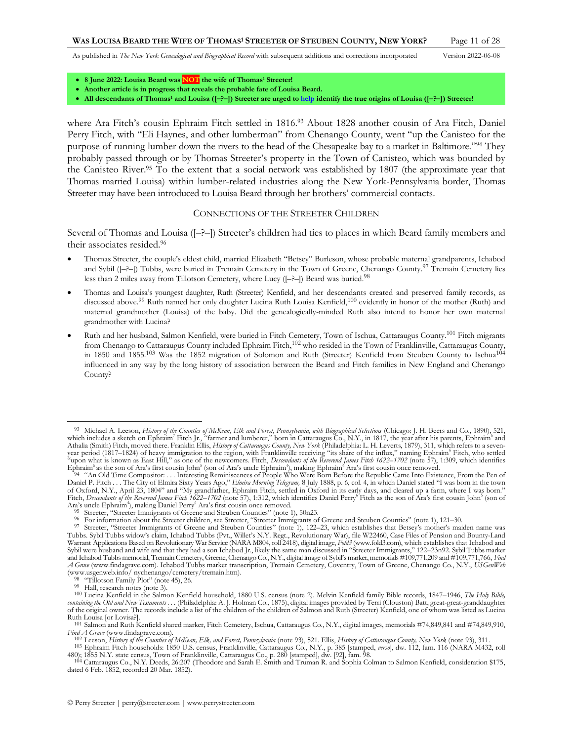- **8 June 2022: Louisa Beard was NOT the wife of Thomas<sup>1</sup> Streeter!**
- **Another article is in progress that reveals the probable fate of Louisa Beard.**
- **All descendants of Thomas<sup>1</sup> and Louisa ([–?–]) Streeter are urged t[o help](http://www.perrystreeter.com/help/streeter.pdf) identify the true origins of Louisa ([–?–]) Streeter!**

where Ara Fitch's cousin Ephraim Fitch settled in 1816. <sup>93</sup> About 1828 another cousin of Ara Fitch, Daniel Perry Fitch, with "Eli Haynes, and other lumberman" from Chenango County, went "up the Canisteo for the purpose of running lumber down the rivers to the head of the Chesapeake bay to a market in Baltimore."<sup>94</sup> They probably passed through or by Thomas Streeter's property in the Town of Canisteo, which was bounded by the Canisteo River.<sup>95</sup> To the extent that a social network was established by 1807 (the approximate year that Thomas married Louisa) within lumber-related industries along the New York-Pennsylvania border, Thomas Streeter may have been introduced to Louisa Beard through her brothers' commercial contacts.

### <span id="page-10-0"></span>CONNECTIONS OF THE STREETER CHILDREN

Several of Thomas and Louisa ([–?–]) Streeter's children had ties to places in which Beard family members and their associates resided.<sup>96</sup>

- Thomas Streeter, the couple's eldest child, married Elizabeth "Betsey" Burleson, whose probable maternal grandparents, Ichabod and Sybil ( $[-?-]$ ) Tubbs, were buried in Tremain Cemetery in the Town of Greene, Chenango County.<sup>97</sup> Tremain Cemetery lies less than 2 miles away from Tillotson Cemetery, where Lucy ( $[-?-]$ ) Beard was buried.<sup>98</sup>
- Thomas and Louisa's youngest daughter, Ruth (Streeter) Kenfield, and her descendants created and preserved family records, as discussed above.<sup>99</sup> Ruth named her only daughter Lucina Ruth Louisa Kenfield,<sup>100</sup> evidently in honor of the mother (Ruth) and maternal grandmother (Louisa) of the baby. Did the genealogically-minded Ruth also intend to honor her own maternal grandmother with Lucina?
- Ruth and her husband, Salmon Kenfield, were buried in Fitch Cemetery, Town of Ischua, Cattaraugus County.<sup>101</sup> Fitch migrants from Chenango to Cattaraugus County included Ephraim Fitch,<sup>102</sup> who resided in the Town of Franklinville, Cattaraugus County, in 1850 and 1855.<sup>103</sup> Was the 1852 migration of Solomon and Ruth (Streeter) Kenfield from Steuben County to Ischua<sup>104</sup> influenced in any way by the long history of association between the Beard and Fitch families in New England and Chenango County?

<sup>&</sup>lt;sup>93</sup> Michael A. Leeson, History of the Counties of McKean, Elk and Forest, Pennsylvania, with Biographical Selections (Chicago: J. H. Beers and Co., 1890), 521, which includes a sketch on Ephraim<sup>7</sup> Fitch Jr., "farmer and Athalia (Smith) Fitch, moved there. Franklin Ellis, *History of Cattaraugus County, New York* (Philadelphia: L. H. Leverts, 1879), 311, which refers to a seven-<br>year period (1817–1824) of heavy immigration to the region, w

<sup>&</sup>lt;sup>'94</sup> "An Old Time Compositor: . . . Interesting Reminiscences of People Who Were Born Before the Republic Came Into Existence, From the Pen of<br>Daniel P. Fitch . . . The City of Elmira Sixty Years Ago," Elmira Morning Tele of Oxford, N.Y., April 23, 1804" and "My grandfather, Ephraim Fitch, settled in Oxford in its early days, and cleared up a farm, where I was born." Fitch, *Descendants of the Reverend James Fitch 1622–1702* (not[e 57\)](#page-6-0), 1:312, which identifies Daniel Perry<sup>6</sup> Fitch as the son of Ara's first cousin John<sup>5</sup> (son of Ara's uncle Ephraim<sup>4</sup>), making Daniel Perry<sup>6</sup> Ara's first cousin once removed.

Streeter, "Streeter Immigrants of Greene and Steuben Counties" (not[e 1\)](#page-1-1), 50n23.

<sup>&</sup>lt;sup>96</sup> For information about the Streeter children, see Streeter, "Streeter Immigrants of Greene and Steuben Counties" (not[e 1\)](#page-1-1), 121–30.<br><sup>97</sup> Streeter, "Streeter Immigrants of Greene and Steuben Counties" (note [1\)](#page-1-1), 122–23, w Tubbs. Sybil Tubbs widow's claim, Ichabod Tubbs (Pvt., Willet's N.Y. Regt., Revolutionary War), file W22460, Case Files of Pension and Bounty-Land Warrant Applications Based on Revolutionary War Service (NARA M804, roll 2418), digital image, *Fold3* (www.fold3.com), which establishes that Ichabod and<br>Sybil were husband and wife and that they had a son Ichabod Jr., li and Ichabod Tubbs memorial, Tremain Cemetery, Greene, Chenango Co., N.Y., digital image of Sybil's marker, memorials #109,771,209 and #109,771,766, *Find A Grave* (www.findagrave.com). Ichabod Tubbs marker transcription, Tremain Cemetery, Coventry, Town of Greene, Chenango Co., N.Y., *USGenWeb* (www.usgenweb.info/ nychenango/cemetery/tremain.htm).

<sup>98</sup> "Tillotson Family Plot" (note [45\),](#page-5-0) 26. 99 Hall, research notes (not[e 3\)](#page-1-0).

<sup>100</sup> Lucina Kenfield in the Salmon Kenfield household, 1880 U.S. census (note [2\)](#page-1-2). Melvin Kenfield family Bible records, 1847–1946, *The Holy Bible, containing the Old and New Testaments . . .* (Philadelphia: A. J. Holman Co., 1875), digital images provided by Terri (Clouston) Batt, great-great-granddaughter of the original owner. The records include a list of the children of the children of Salmon and Ruth (Streeter) Kenfield, one of whom was listed as Lucina Ruth Louisa [or Lovisa?].

<sup>101</sup> Salmon and Ruth Kenfield shared marker, Fitch Cemetery, Ischua, Cattaraugus Co., N.Y., digital images, memorials #74,849,841 and #74,849,910, *Find A Grave* (www.findagrave.com).

<sup>102</sup> Leeson, *History of the Counties of McKean, Elk, and Forest, Pennsylvania* (not[e 93\)](#page-10-0), 521. Ellis, *History of Cattaraugus County, New York* (not[e 93\)](#page-10-0), 311.

<sup>103</sup> Ephraim Fitch households: 1850 U.S. census, Franklinville, Cattaraugus Co., N.Y., p. 385 [stamped, *verso*], dw. 112, fam. 116 (NARA M432, roll

<sup>480); 1855</sup> N.Y. state census, Town of Franklinville, Cattaraugus Co., p. 280 [stamped], dw. [92], fam. 98.<br>104 Cattaraugus Co., N.Y. Deeds, 26:207 (Theodore and Sarah E. Smith and Truman R. and Sophia Colman to Salmon Kenf dated 6 Feb. 1852, recorded 20 Mar. 1852).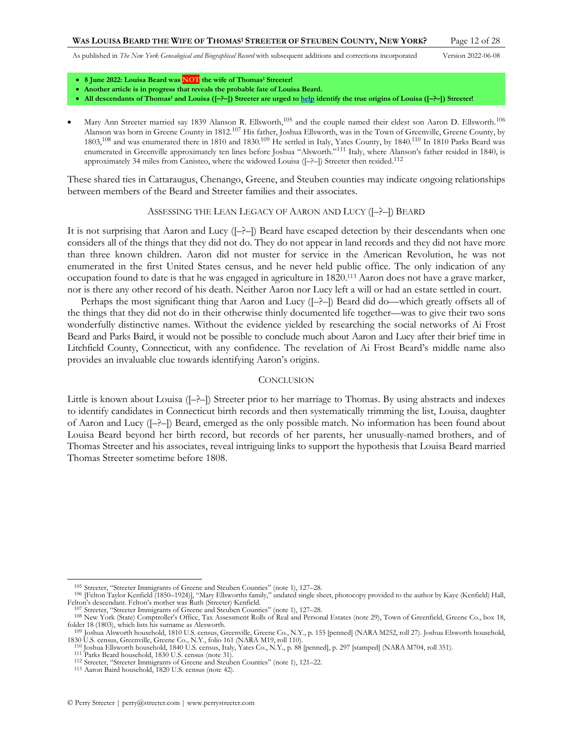- **8 June 2022: Louisa Beard was NOT the wife of Thomas<sup>1</sup> Streeter!**
- **Another article is in progress that reveals the probable fate of Louisa Beard.**
- **All descendants of Thomas<sup>1</sup> and Louisa ([–?–]) Streeter are urged t[o help](http://www.perrystreeter.com/help/streeter.pdf) identify the true origins of Louisa ([–?–]) Streeter!**
- Mary Ann Streeter married say 1839 Alanson R. Ellsworth,<sup>105</sup> and the couple named their eldest son Aaron D. Ellsworth.<sup>106</sup> Alanson was born in Greene County in 1812.<sup>107</sup> His father, Joshua Ellsworth, was in the Town of Greenville, Greene County, by 1803,<sup>108</sup> and was enumerated there in 1810 and 1830.<sup>109</sup> He settled in Italy, Yates County, by 1840.<sup>110</sup> In 1810 Parks Beard was enumerated in Greenville approximately ten lines before Joshua "Alsworth."<sup>111</sup> Italy, where Alanson's father resided in 1840, is approximately 34 miles from Canisteo, where the widowed Louisa ( $[-$ ?- $]$ ) Streeter then resided.<sup>112</sup>

These shared ties in Cattaraugus, Chenango, Greene, and Steuben counties may indicate ongoing relationships between members of the Beard and Streeter families and their associates.

### ASSESSING THE LEAN LEGACY OF AARON AND LUCY ([–?–]) BEARD

It is not surprising that Aaron and Lucy ([–?–]) Beard have escaped detection by their descendants when one considers all of the things that they did not do. They do not appear in land records and they did not have more than three known children. Aaron did not muster for service in the American Revolution, he was not enumerated in the first United States census, and he never held public office. The only indication of any occupation found to date is that he was engaged in agriculture in 1820.<sup>113</sup> Aaron does not have a grave marker, nor is there any other record of his death. Neither Aaron nor Lucy left a will or had an estate settled in court.

Perhaps the most significant thing that Aaron and Lucy ([–?–]) Beard did do—which greatly offsets all of the things that they did not do in their otherwise thinly documented life together—was to give their two sons wonderfully distinctive names. Without the evidence yielded by researching the social networks of Ai Frost Beard and Parks Baird, it would not be possible to conclude much about Aaron and Lucy after their brief time in Litchfield County, Connecticut, with any confidence. The revelation of Ai Frost Beard's middle name also provides an invaluable clue towards identifying Aaron's origins.

#### **CONCLUSION**

Little is known about Louisa ([–?–]) Streeter prior to her marriage to Thomas. By using abstracts and indexes to identify candidates in Connecticut birth records and then systematically trimming the list, Louisa, daughter of Aaron and Lucy ([–?–]) Beard, emerged as the only possible match. No information has been found about Louisa Beard beyond her birth record, but records of her parents, her unusually-named brothers, and of Thomas Streeter and his associates, reveal intriguing links to support the hypothesis that Louisa Beard married Thomas Streeter sometime before 1808.

<sup>&</sup>lt;sup>105</sup> Streeter, "Streeter Immigrants of Greene and Steuben Counties" (not[e 1\)](#page-1-1), 127–28.<br><sup>106</sup> [Felton Taylor Kenfield (1850–1924)], "Mary Ellsworths family," undated single sheet, photocopy provided to the author by Kaye (K Felton's descendant. Felton's mother was Ruth (Streeter) Kenfield.

<sup>107</sup> Streeter, "Streeter Immigrants of Greene and Steuben Counties" (not[e 1\)](#page-1-1), 127–28.

<sup>108</sup> New York (State) Comptroller's Office, Tax Assessment Rolls of Real and Personal Estates (not[e 29\)](#page-4-0), Town of Greenfield, Greene Co., box 18, folder 18 (1803), which lists his surname as Alesworth.

<sup>109</sup> Joshua Alsworth household, 1810 U.S. census, Greenville, Greene Co., N.Y., p. 155 [penned] (NARA M252, roll 27). Joshua Elsworth household, 1830 U.S. census, Greenville, Greene Co., N.Y., folio 161 (NARA M19, roll 110).

<sup>110</sup> Joshua Ellsworth household, 1840 U.S. census, Italy, Yates Co., N.Y., p. 88 [penned], p. 297 [stamped] (NARA M704, roll 351).

<sup>111</sup> Parks Beard household, 1830 U.S. census (not[e 31\).](#page-4-3)

<sup>112</sup> Streeter, "Streeter Immigrants of Greene and Steuben Counties" (not[e 1\)](#page-1-1), 121–22.

<sup>113</sup> Aaron Baird household, 1820 U.S. census (note [42\).](#page-5-4)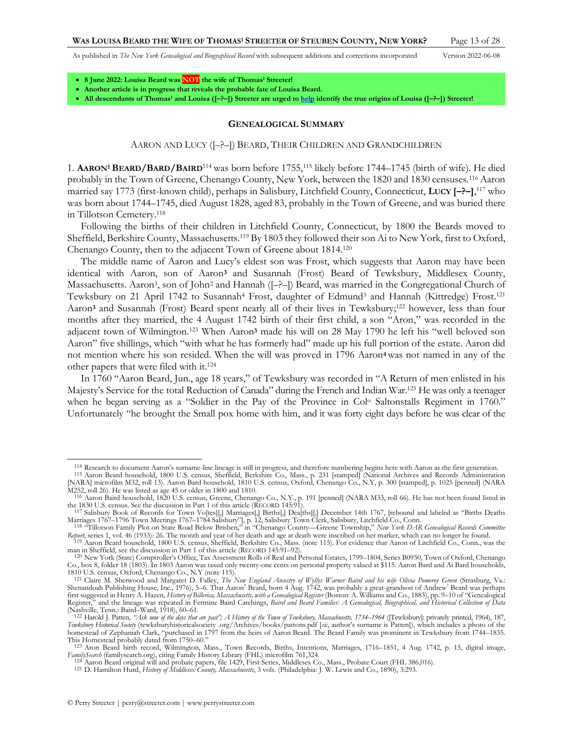- **8 June 2022: Louisa Beard was NOT the wife of Thomas<sup>1</sup> Streeter!**
- **Another article is in progress that reveals the probable fate of Louisa Beard.**
- **All descendants of Thomas<sup>1</sup> and Louisa ([–?–]) Streeter are urged t[o help](http://www.perrystreeter.com/help/streeter.pdf) identify the true origins of Louisa ([–?–]) Streeter!**

### <span id="page-12-2"></span><span id="page-12-1"></span><span id="page-12-0"></span>**GENEALOGICAL SUMMARY**

### AARON AND LUCY ([–?–]) BEARD, THEIR CHILDREN AND GRANDCHILDREN

1. **AARON<sup>1</sup> BEARD/BARD/BAIRD**<sup>114</sup> was born before 1755,<sup>115</sup> likely before 1744–1745 (birth of wife). He died probably in the Town of Greene, Chenango County, New York, between the 1820 and 1830 censuses.<sup>116</sup> Aaron married say 1773 (first-known child), perhaps in Salisbury, Litchfield County, Connecticut, **LUCY [–?–]**, <sup>117</sup> who was born about 1744–1745, died August 1828, aged 83, probably in the Town of Greene, and was buried there in Tillotson Cemetery.<sup>118</sup>

Following the births of their children in Litchfield County, Connecticut, by 1800 the Beards moved to Sheffield, Berkshire County, Massachusetts.<sup>119</sup> By 1803 they followed their son Ai to New York, first to Oxford, Chenango County, then to the adjacent Town of Greene about 1814.<sup>120</sup>

The middle name of Aaron and Lucy's eldest son was Frost, which suggests that Aaron may have been identical with Aaron, son of Aaron**<sup>3</sup>** and Susannah (Frost) Beard of Tewksbury, Middlesex County, Massachusetts. Aaron<sup>3</sup>, son of John<sup>2</sup> and Hannah ( $[-?-]$ ) Beard, was married in the Congregational Church of Tewksbury on 21 April 1742 to Susannah<sup>4</sup> Frost, daughter of Edmund<sup>3</sup> and Hannah (Kittredge) Frost.<sup>121</sup> Aaron<sup>3</sup> and Susannah (Frost) Beard spent nearly all of their lives in Tewksbury;<sup>122</sup> however, less than four months after they married, the 4 August 1742 birth of their first child, a son "Aron," was recorded in the adjacent town of Wilmington.<sup>123</sup> When Aaron**<sup>3</sup>** made his will on 28 May 1790 he left his "well beloved son Aaron" five shillings, which "with what he has formerly had" made up his full portion of the estate. Aaron did not mention where his son resided. When the will was proved in 1796 Aaron**4**was not named in any of the other papers that were filed with it.<sup>124</sup>

In 1760 "Aaron Beard, Jun., age 18 years," of Tewksbury was recorded in "A Return of men enlisted in his Majesty's Service for the total Reduction of Canada" during the French and Indian War.<sup>125</sup> He was only a teenager when he began serving as a "Soldier in the Pay of the Province in Col<sup>o</sup> Saltonstalls Regiment in 1760." Unfortunately "he brought the Small pox home with him, and it was forty eight days before he was clear of the

<sup>114</sup> Research to document Aaron's surname-line lineage is still in progress, and therefore numbering begins here with Aaron as the first generation.

<sup>&</sup>lt;sup>115</sup> Aaron Beard household, 1800 U.S. census, Sheffield, Berkshire Co., Mass., p. 231 [stamped] (National Archives and Records Administration [NARA] microfilm M32, roll 13). Aaron Bard household, 1810 U.S. census, Oxford,

M252, roll 26). He was listed as age 45 or older in 1800 and 1810.<br>
<sup>116</sup> Aaron Baird household, 1820 U.S. census, Greene, Chenango Co., N.Y., p. 191 [penned] (NARA M33, roll 66). He has not been found listed in<br>
the 1830

Marriages 1767–1796 Town Meetings 1767–1784 Salisbury"], p. 12, Salisbury Town Clerk, Salisbury, Litchfield Co., Conn.<br><sup>118</sup> "Tillotson Family Plot on State Road Below Brisben," in "Chenango County—Greene Township," New Yo

Report, series 1, vol. 46 (1933): 26. The month and year of her death and age at death were inscribed on her marker, which can no longer be found.<br><sup>119</sup> Aaron Beard household, 1800 U.S. census, Sheffield, Berkshire Co., Ma

man in Sheffield, see the discussion in Part 1 of this article (RECORD 145:91–92).

<sup>120</sup> New York (State) Comptroller's Office, Tax Assessment Rolls of Real and Personal Estates, 1799–1804, Series B0950, Town of Oxford, Chenango Co., box 8, folder 18 (1803). In 1803 Aaron was taxed only twenty-one cents on personal property valued at \$115. Aaron Bard and Ai Bard households, 1810 U.S. census, Oxford, Chenango Co., N.Y (note [115\)](#page-12-0).

<sup>121</sup> Claire M. Sherwood and Margaret D. Falley, *The New England Ancestry of Wyllys Warner Baird and his wife Olivia Pomeroy Green* (Strasburg, Va.: Shenandoah Publishing House, Inc., 1976), 5–6. That Aaron<sup>4</sup> Beard, born 4 Aug. 1742, was probably a great-grandson of Andrew<sup>1</sup> Beard was perhaps<br>first suggested in Henry A. Hazen, *History of Billerica, Massachusetts, wi* Register," and the lineage was repeated in Fermine Baird Catchings, *Baird and Beard Families: A Genealogical, Biographical, and Historical Collection of Data*

<sup>(</sup>Nashville, Tenn.: Baird–Ward, 1918), 60–61.<br><sup>122</sup> Harold J. Patten, *"Ask now of the days that are past"; A History of the Town of Tewksbury, Massachusetts, 1734–1964 ([Tewksbury]: privately printed, 1964), 187, Tewksbury Historical Society* (tewksburyhistoricalsociety .org/Archives/books/pattons.pdf [*sic*, author's surname is Patten]), which includes a photo of the homestead of Zephaniah Clark, "purchased in 1797 from the heirs of Aaron Beard. The Beard Family was prominent in Tewksbury from 1744–1835. This Homestead probably dated from 1750–60."

<sup>123</sup> Aron Beard birth record, Wilmington, Mass., Town Records, Births, Intentions, Marriages, 1716–1851, 4 Aug. 1742, p. 15, digital image, *FamilySearch* (familysearch.org), citing Family History Library (FHL) microfilm 761,324. 124 Aaron Beard original will and probate papers, file 1429, First Series, Middlesex Co., Mass., Probate Court (FHL 386,016).

<sup>125</sup> D. Hamilton Hurd, *History of Middlesex County, Massachusetts*, 3 vols. (Philadelphia: J. W. Lewis and Co., 1890), 3:293.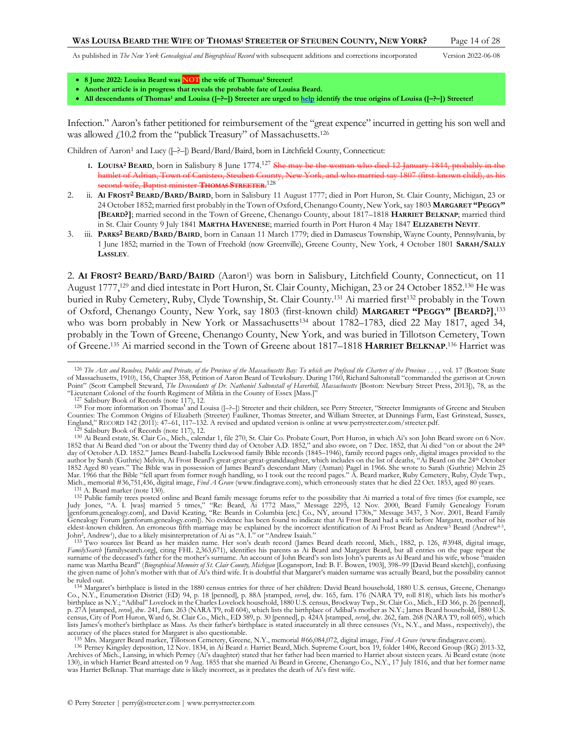<span id="page-13-2"></span><span id="page-13-1"></span><span id="page-13-0"></span>

- **8 June 2022: Louisa Beard was NOT the wife of Thomas<sup>1</sup> Streeter!**
- **Another article is in progress that reveals the probable fate of Louisa Beard.**
- **All descendants of Thomas<sup>1</sup> and Louisa ([–?–]) Streeter are urged t[o help](http://www.perrystreeter.com/help/streeter.pdf) identify the true origins of Louisa ([–?–]) Streeter!**

Infection." Aaron's father petitioned for reimbursement of the "great expence" incurred in getting his son well and was allowed £10.2 from the "publick Treasury" of Massachusetts.<sup>126</sup>

Children of Aaron<sup>1</sup> and Lucy ( $\left[-\right]$ ) Beard/Bard/Baird, born in Litchfield County, Connecticut:

- **I.** LOUISA<sup>2</sup> BEARD, born in Salisbury 8 June 1774.<sup>127</sup> She may be the woman who died 12 January 1844, probably in hamlet of Adrian, Town of Canisteo, Steuben County, New York, and who married say 1807 (first-known child), as his second wife, Baptist minister **THOMAS STREETER**. 128
- 2. ii. **AI FROST2 BEARD/BARD/BAIRD**, born in Salisbury 11 August 1777; died in Port Huron, St. Clair County, Michigan, 23 or 24 October 1852; married first probably in the Town of Oxford, Chenango County, New York, say 1803 **MARGARET "PEGGY" [BEARD?]**; married second in the Town of Greene, Chenango County, about 1817–1818 **HARRIET BELKNAP**; married third in St. Clair County 9 July 1841 **MARTHA HAVENESE**; married fourth in Port Huron 4 May 1847 **ELIZABETH NEVIT**.
- 3. iii. **PARKS2 BEARD/BARD/BAIRD**, born in Canaan 11 March 1779; died in Damascus Township, Wayne County, Pennsylvania, by 1 June 1852; married in the Town of Freehold (now Greenville), Greene County, New York, 4 October 1801 **SARAH/SALLY LASSLEY**.

<span id="page-13-3"></span>2. **AI FROST2 BEARD/BARD/BAIRD** (Aaron<sup>1</sup> ) was born in Salisbury, Litchfield County, Connecticut, on 11 August 1777,<sup>129</sup> and died intestate in Port Huron, St. Clair County, Michigan, 23 or 24 October 1852.<sup>130</sup> He was buried in Ruby Cemetery, Ruby, Clyde Township, St. Clair County.<sup>131</sup> Ai married first<sup>132</sup> probably in the Town of Oxford, Chenango County, New York, say 1803 (first-known child) **MARGARET "PEGGY" [BEARD?]**, 133 who was born probably in New York or Massachusetts<sup>134</sup> about 1782–1783, died 22 May 1817, aged 34, probably in the Town of Greene, Chenango County, New York, and was buried in Tillotson Cemetery, Town of Greene.<sup>135</sup> Ai married second in the Town of Greene about 1817–1818 **HARRIET BELKNAP**. <sup>136</sup> Harriet was

<sup>&</sup>lt;sup>126</sup> The Acts and Resolves, Public and Private, of the Province of the Massachusetts Bay: To which are Prefixed the Charters of the Province . . . , vol. 17 (Boston: State of Massachusetts, 1910), 156, Chapter 358, Petition of Aaron Beard of Tewksbury. During 1760, Richard Saltonstall "commanded the garrison at Crown Point" (Scott Campbell Steward, *The Descendants of Dr. Nathaniel Saltonstall of Haverbill, Massachusetts* [Boston: Newbury Street Press, 2013]), 78, as the "Lieutenant Colonel of the fourth Regiment of Militia in the Coun

<sup>127</sup> Salisbury Book of Records (not[e 117\)](#page-12-1), 12.

<sup>&</sup>lt;sup>128</sup> For more information on Thomas<sup>1</sup> and Louisa ([--?-]) Streeter and their children, see Perry Streeter, "Streeter Immigrants of Greene and Steuben<br>Counties: The Common Origins of Elizabeth (Streeter) Faulkner, Thomas England," RECORD 142 (2011): 47–61, 117–132. A revised and updated version is online at www.perrystreeter.com/streeter.pdf.

Salisbury Book of Records (not[e 117\)](#page-12-1), 12.

<sup>130</sup> Ai Beard estate, St. Clair Co., Mich., calendar 1, file 270, St. Clair Co. Probate Court, Port Huron, in which Ai's son John Beard swore on 6 Nov. 1852 that Ai Beard died "on or about the Twenty third day of October A.D. 1852," and also swore, on 7 Dec. 1852, that Ai died "on or about the 24th day of October A.D. 1852." James Beard-Isabella Lockwood family Bible records (1845–1946), family record pages only, digital images provided to the<br>author by Sarah (Guthrie) Melvin, Ai Frost Beard's great-great-great-grand 1852 Aged 80 years." The Bible was in possession of James Beard's descendant Mary (Asman) Pagel in 1966. She wrote to Sarah (Guthrie) Melvin 25 Mar. 1966 that the Bible "fell apart from former rough handling, so I took out the record pages." Å. Beard marker, Ruby Cemetery, Ruby, Clyde Twp.,<br>Mich., memorial #36,751,436, digital image, Find A Grave (www.findagrave.c 131 A. Beard marker (note [130\)](#page-13-0).

<sup>&</sup>lt;sup>132</sup> Public family trees posted online and Beard family message forums refer to the possibility that Ai married a total of five times (for example, see Judy Jones, "A. I. [was] married 5 times," "Re: Beard, Ai 1772 Mass," [genforum.genealogy.com], and David Keating, "Re: Beards in Columbia [etc.] Co., NY, around 1730s," Message 3437, 3 Nov. 2001, Beard Family Genealogy Forum [genforum.genealogy.com]). No evidence has been found to indicate that Ai Frost Beard had a wife before Margaret, mother of his eldest-known children. An erroneous fifth marriage may be explained by the incorrect identification of Ai Frost Beard as Andrew<sup>5</sup> Beard (Andrew<sup>43</sup>,

John<sup>2</sup>, Andrew<sup>1</sup>), due to a likely misinterpretation of Ai as "A. I." or "Andrew Isaiah."<br><sup>133</sup> Two sources list Beard as her maiden name. Her son's death record (James Beard death record, Mich., 1882, p. 126, #3948, dig surname of the deceased's father for the mother's surname. An account of John Beard's son lists John's parents as Ai Beard and his wife, whose "maiden name was Martha Beard" (*Biographical Memoirs of St. Clair County, Michigan* [Logansport, Ind: B. F. Bowen, 1903], 398–99 [David Beard sketch]), confusing<br>the given name of John's mother with that of Ai's third wife. It is be ruled out.

<sup>134</sup> Margaret's birthplace is listed in the 1880 census entries for three of her children: David Beard household, 1880 U.S. census, Greene, Chenango Co., N.Y., Enumeration District (ED) 94, p. 18 [penned], p. 88A [stamped, *verso*], dw. 165, fam. 176 (NARA T9, roll 818), which lists his mother's birthplace as N.Y.; "Adibal" Lovelock in the Charles Lovelock household, 1880 U.S. census, Brockway Twp., St. Clair Co., Mich., ED 366, p. 26 [penned], p. 27A [stamped, *verso*], dw. 241, fam. 263 (NARA T9, roll 604), which lists the birthplace of Adibal's mother as N.Y.; James Beard household, 1880 U.S. census, City of Port Huron, Ward 6, St. Clair Co., Mich., ED 389, p. 30 [penned], p. 424A [stamped, *verso*], dw. 262, fam. 268 (NARA T9, roll 605), which lists James's mother's birthplace as Mass. As their father's birthplace is stated inaccurately in all three censuses (Vt., N.Y., and Mass., respectively), the accuracy of the places stated for Margaret is also questionable.

<sup>135</sup> Mrs. Margaret Beard marker, Tillotson Cemetery, Greene, N.Y., memorial #66,084,072, digital image, *Find A Grave* (www.findagrave.com).

<sup>136</sup> Perney Kingsley deposition, 12 Nov. 1834, in Ai Beard *v*. Harriet Beard, Mich. Supreme Court, box 19, folder 1406, Record Group (RG) 2013-32, Archives of Mich., Lansing, in which Perney (Ai's daughter) stated that her father had been married to Harriet about sixteen years. Ai Beard estate (note [130\),](#page-13-0) in which Harriet Beard attested on 9 Aug. 1855 that she married Ai Beard in Greene, Chenango Co., N.Y., 17 July 1816, and that her former name was Harriet Belknap. That marriage date is likely incorrect, as it predates the death of Ai's first wife.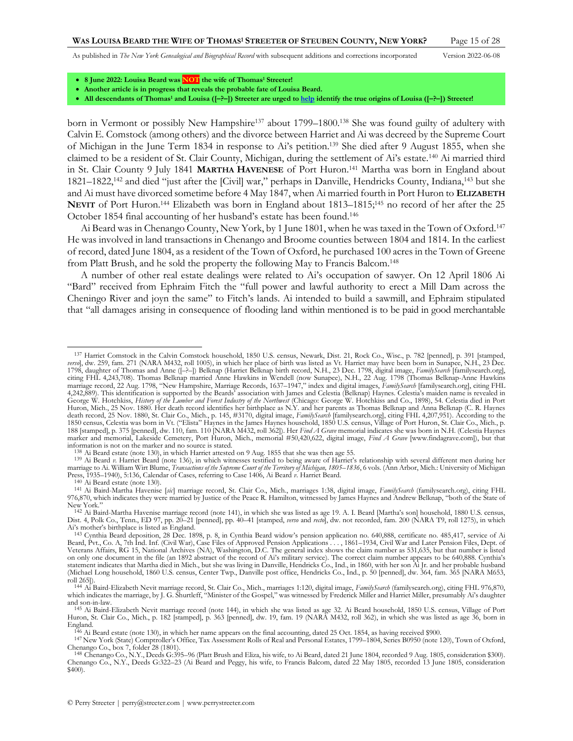<span id="page-14-5"></span><span id="page-14-2"></span><span id="page-14-0"></span>

- **8 June 2022: Louisa Beard was NOT the wife of Thomas<sup>1</sup> Streeter!**
- **Another article is in progress that reveals the probable fate of Louisa Beard.**
- **All descendants of Thomas<sup>1</sup> and Louisa ([–?–]) Streeter are urged t[o help](http://www.perrystreeter.com/help/streeter.pdf) identify the true origins of Louisa ([–?–]) Streeter!**

born in Vermont or possibly New Hampshire<sup>137</sup> about 1799–1800.<sup>138</sup> She was found guilty of adultery with Calvin E. Comstock (among others) and the divorce between Harriet and Ai was decreed by the Supreme Court of Michigan in the June Term 1834 in response to Ai's petition.<sup>139</sup> She died after 9 August 1855, when she claimed to be a resident of St. Clair County, Michigan, during the settlement of Ai's estate.<sup>140</sup> Ai married third in St. Clair County 9 July 1841 **MARTHA HAVENESE** of Port Huron.<sup>141</sup> Martha was born in England about 1821–1822,<sup>142</sup> and died "just after the [Civil] war," perhaps in Danville, Hendricks County, Indiana,<sup>143</sup> but she and Ai must have divorced sometime before 4 May 1847, when Ai married fourth in Port Huron to **ELIZABETH NEVIT** of Port Huron.<sup>144</sup> Elizabeth was born in England about 1813–1815;<sup>145</sup> no record of her after the 25 October 1854 final accounting of her husband's estate has been found.<sup>146</sup>

<span id="page-14-4"></span><span id="page-14-3"></span><span id="page-14-1"></span>Ai Beard was in Chenango County, New York, by 1 June 1801, when he was taxed in the Town of Oxford.<sup>147</sup> He was involved in land transactions in Chenango and Broome counties between 1804 and 1814. In the earliest of record, dated June 1804, as a resident of the Town of Oxford, he purchased 100 acres in the Town of Greene from Platt Brush, and he sold the property the following May to Francis Balcom.<sup>148</sup>

A number of other real estate dealings were related to Ai's occupation of sawyer. On 12 April 1806 Ai "Bard" received from Ephraim Fitch the "full power and lawful authority to erect a Mill Dam across the Cheningo River and joyn the same" to Fitch's lands. Ai intended to build a sawmill, and Ephraim stipulated that "all damages arising in consequence of flooding land within mentioned is to be paid in good merchantable

<sup>137</sup> Harriet Comstock in the Calvin Comstock household, 1850 U.S. census, Newark, Dist. 21, Rock Co., Wisc., p. 782 [penned], p. 391 [stamped, versø], dw. 259, fam. 271 (NARA M432, roll 1005), in which her place of birth was listed as Vt. Harriet may have been born in Sunapee, N.H., 23 Dec.<br>1798, daughter of Thomas and Anne ([-?-]) Belknap (Harriet Belknap birth citing FHL 4,243,708). Thomas Belknap married Anne Hawkins in Wendell (now Sunapee), N.H., 22 Aug. 1798 (Thomas Belknap-Anne Hawkins marriage record, 22 Aug. 1798, "New Hampshire, Marriage Records, 1637–1947," index and digital images, FamilySearth [familysearch.org], citing FHL<br>4,242,889). This identification is supported by the Beards' association wit George W. Hotchkiss, *History of the Lumber and Forest Industry of the Northwest* (Chicago: George W. Hotchkiss and Co., 1898), 54. Celestia died in Port Huron, Mich., 25 Nov. 1880. Her death record identifies her birthplace as N.Y. and her parents as Thomas Belknap and Anna Belknap (C. R. Haynes<br>death record, 25 Nov. 1880, St. Clair Co., Mich., p. 145, #3170, digital image 1850 census, Celestia was born in Vt. ("Elista" Haynes in the James Haynes household, 1850 U.S. census, Village of Port Huron, St. Clair Co., Mich., p. 188 [stamped], p. 375 [penned], dw. 110, fam. 110 [NARA M432, roll 362]). Her Find A Grave memorial indicates she was born in N.H. (Celestia Haynes<br>marker and memorial, Lakeside Cemetery, Port Huron, Mich., memorial #50,42 information is not on the marker and no source is stated.

<sup>&</sup>lt;sup>138</sup> Ai Beard estate (not[e 130\),](#page-13-0) in which Harriet attested on 9 Aug. 1855 that she was then age 55.<br><sup>139</sup> Ai Beard *v*. Harriet Beard (note [136\)](#page-13-1), in which witnesses testified to being aware of Harriet's relationship with marriage to Ai. William Wirt Blume, *Transactions of the Supreme Court of the Territory of Michigan, 1805–1836*, 6 vols. (Ann Arbor, Mich.: University of Michigan Press, 1935–1940), 5:136, Calendar of Cases, referring to Case 1406, Ai Beard *v*. Harriet Beard. 140 Ai Beard estate (not[e 130\).](#page-13-0)

<sup>141</sup> Ai Baird-Martha Havenise [*sic*] marriage record, St. Clair Co., Mich., marriages 1:38, digital image, *FamilySearch* (familysearch.org), citing FHL 976,870, which indicates they were married by Justice of the Peace R. Hamilton, witnessed by James Haynes and Andrew Belknap, "both of the State of New York." 142 Ai Baird-Martha Havenise marriage record (not[e 141](#page-14-0)), in which she was listed as age 19. A. I. Beard [Martha's son] household, 1880 U.S. census,

Dist. 4, Polk Co., Tenn., ED 97, pp. 20–21 [penned], pp. 40–41 [stamped, *verso* and *recto*], dw. not recorded, fam. 200 (NARA T9, roll 1275), in which Ai's mother's birthplace is listed as England.

<sup>143</sup> Cynthia Beard deposition, 28 Dec. 1898, p. 8, in Cynthia Beard widow's pension application no. 640,888, certificate no. 485,417, service of Ai Beard, Pvt., Co. A, 7th Ind. Inf. (Civil War), Case Files of Approved Pension Applications . . . , 1861–1934, Civil War and Later Pension Files, Dept. of Veterans Affairs, RG 15, National Archives (NA), Washington, D.C. The general index shows the claim number as 531,635, but that number is listed on only one document in the file (an 1892 abstract of the record of Ai's military service). The correct claim number appears to be 640,888. Cynthia's statement indicates that Martha died in Mich., but she was living in Danville, Hendricks Co., Ind., in 1860, with her son Ai Jr. and her probable husband (Michael Long household, 1860 U.S. census, Center Twp., Danville post office, Hendricks Co., Ind., p. 50 [penned], dw. 364, fam. 365 [NARA M653, roll 265]).

<sup>&</sup>lt;sup>144</sup> Ai Baird-Elizabeth Nevit marriage record, St. Clair Co., Mich., marriages 1:120, digital image, FamilySearth (familysearch.org), citing FHL 976,870, which indicates the marriage, by J. G. Shurtleff, "Minister of the and son-in-law.

<sup>145</sup> Ai Baird-Elizabeth Nevit marriage record (not[e 144\)](#page-14-1), in which she was listed as age 32. Ai Beard household, 1850 U.S. census, Village of Port Huron, St. Clair Co., Mich., p. 182 [stamped], p. 363 [penned], dw. 19, fam. 19 (NARA M432, roll 362), in which she was listed as age 36, born in England.

<sup>&</sup>lt;sup>146</sup> Ai Beard estate (not[e 130\)](#page-13-0), in which her name appears on the final accounting, dated 25 Oct. 1854, as having received \$900.<br><sup>147</sup> New York (State) Comptroller's Office, Tax Assessment Rolls of Real and Personal Estat Chenango Co., box 7, folder 28 (1801).

<sup>148</sup> Chenango Co., N.Y., Deeds G:395–96 (Platt Brush and Eliza, his wife, to Ai Beard, dated 21 June 1804, recorded 9 Aug. 1805, consideration \$300). Chenango Co., N.Y., Deeds G:322–23 (Ai Beard and Peggy, his wife, to Francis Balcom, dated 22 May 1805, recorded 13 June 1805, consideration \$400).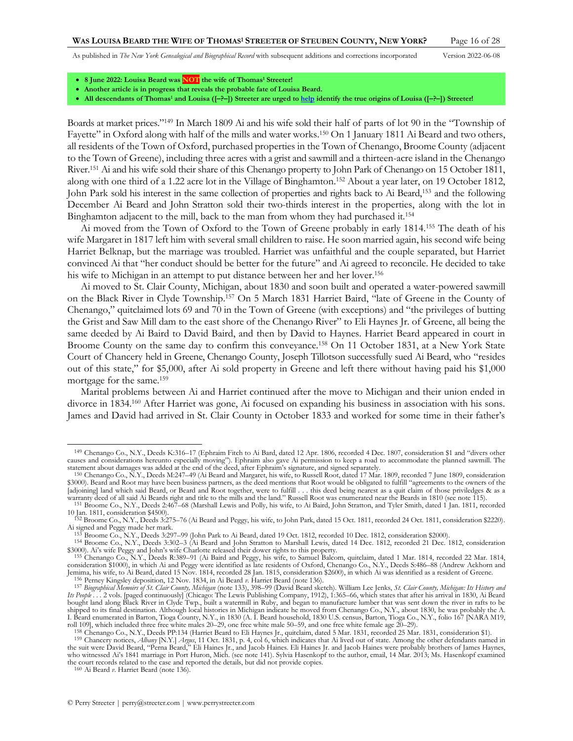- **8 June 2022: Louisa Beard was NOT the wife of Thomas<sup>1</sup> Streeter!**
- **Another article is in progress that reveals the probable fate of Louisa Beard.**
- **All descendants of Thomas<sup>1</sup> and Louisa ([–?–]) Streeter are urged t[o help](http://www.perrystreeter.com/help/streeter.pdf) identify the true origins of Louisa ([–?–]) Streeter!**

Boards at market prices."<sup>149</sup> In March 1809 Ai and his wife sold their half of parts of lot 90 in the "Township of Fayette" in Oxford along with half of the mills and water works.<sup>150</sup> On 1 January 1811 Ai Beard and two others, all residents of the Town of Oxford, purchased properties in the Town of Chenango, Broome County (adjacent to the Town of Greene), including three acres with a grist and sawmill and a thirteen-acre island in the Chenango River.<sup>151</sup> Ai and his wife sold their share of this Chenango property to John Park of Chenango on 15 October 1811, along with one third of a 1.22 acre lot in the Village of Binghamton.<sup>152</sup> About a year later, on 19 October 1812, John Park sold his interest in the same collection of properties and rights back to Ai Beard,<sup>153</sup> and the following December Ai Beard and John Stratton sold their two-thirds interest in the properties, along with the lot in Binghamton adjacent to the mill, back to the man from whom they had purchased it.<sup>154</sup>

Ai moved from the Town of Oxford to the Town of Greene probably in early 1814.<sup>155</sup> The death of his wife Margaret in 1817 left him with several small children to raise. He soon married again, his second wife being Harriet Belknap, but the marriage was troubled. Harriet was unfaithful and the couple separated, but Harriet convinced Ai that "her conduct should be better for the future" and Ai agreed to reconcile. He decided to take his wife to Michigan in an attempt to put distance between her and her lover.<sup>156</sup>

<span id="page-15-0"></span>Ai moved to St. Clair County, Michigan, about 1830 and soon built and operated a water-powered sawmill on the Black River in Clyde Township.<sup>157</sup> On 5 March 1831 Harriet Baird, "late of Greene in the County of Chenango," quitclaimed lots 69 and 70 in the Town of Greene (with exceptions) and "the privileges of butting the Grist and Saw Mill dam to the east shore of the Chenango River" to Eli Haynes Jr. of Greene, all being the same deeded by Ai Baird to David Baird, and then by David to Haynes. Harriet Beard appeared in court in Broome County on the same day to confirm this conveyance.<sup>158</sup> On 11 October 1831, at a New York State Court of Chancery held in Greene, Chenango County, Joseph Tillotson successfully sued Ai Beard, who "resides out of this state," for \$5,000, after Ai sold property in Greene and left there without having paid his \$1,000 mortgage for the same.<sup>159</sup>

Marital problems between Ai and Harriet continued after the move to Michigan and their union ended in divorce in 1834.<sup>160</sup> After Harriet was gone, Ai focused on expanding his business in association with his sons. James and David had arrived in St. Clair County in October 1833 and worked for some time in their father's

<sup>149</sup> Chenango Co., N.Y., Deeds K:316–17 (Ephraim Fitch to Ai Bard, dated 12 Apr. 1806, recorded 4 Dec. 1807, consideration \$1 and "divers other causes and considerations hereunto especially moving"). Ephraim also gave Ai permission to keep a road to accommodate the planned sawmill. The statement about damages was added at the end of the deed, after Ephraim's signature, and signed separately.

<sup>&</sup>lt;sup>150</sup> Chenango Co., N.Y., Deeds M:247–49 (Ai Beard and Margaret, his wife, to Russell Root, dated 17 Mar. 1809, recorded 7 June 1809, consideration<br>\$3000). Beard and Root may have been business partners, as the deed mentio [adjoining] land which said Beard, or Beard and Root together, were to fulfill . . . this deed being nearest as a quit claim of those priviledges & as a warranty deed of all said Ai Beards right and title to the mills and the land." Russell Root was enumerated near the Beards in 1810 (see note [115\).](#page-12-0)

<sup>151</sup> Broome Co., N.Y., Deeds 2:467–68 (Marshall Lewis and Polly, his wife, to Ai Baird, John Stratton, and Tyler Smith, dated 1 Jan. 1811, recorded 10 Jan. 1811, consideration \$4500). 152 Broome Co., N.Y., Deeds 3:275–76 (Ai Beard and Peggy, his wife, to John Park, dated 15 Oct. 1811, recorded 24 Oct. 1811, consideration \$2220).

Ai signed and Peggy made her mark. 153 Broome Co., N.Y., Deeds 3:297–99 (John Park to Ai Beard, dated 19 Oct. 1812, recorded 10 Dec. 1812, consideration \$2000).

<sup>154</sup> Broome Co., N.Y., Deeds 3:302–3 (Ai Beard and John Stratton to Marshall Lewis, dated 14 Dec. 1812, recorded 21 Dec. 1812, consideration \$3000). Ai's wife Peggy and John's wife Charlotte released their dower rights to this property.

<sup>155</sup> Chenango Co., N.Y., Deeds R:389–91 (Ai Baird and Peggy, his wife, to Samuel Balcom, quitclaim, dated 1 Mar. 1814, recorded 22 Mar. 1814, consideration \$1000), in which Ai and Peggy were identified as late residents of Oxford, Chenango Co., N.Y., Deeds S:486–88 (Andrew Ackhorn and Jemima, his wife, to Ai Beard, dated 15 Nov. 1814, recorded 28 Jan. 1815, consideration \$2600), in which Ai was identified as a resident of Greene. 156 Perney Kingsley deposition, 12 Nov. 1834, in Ai Beard *v*. Harriet Beard (not[e 136\)](#page-13-1).

<sup>&</sup>lt;sup>157</sup> Biographical Memoirs of St. Clair County, Michigan (not[e 133\)](#page-13-2), 398–99 (David Beard sketch). William Lee Jenks, St. Clair County, Michigan: Its History and<br>Its People ... 2 vols. [paged continuously] (Chicago: The Lew bought land along Black River in Clyde Twp., built a watermill in Ruby, and began to manufacture lumber that was sent down the river in rafts to be shipped to its final destination. Although local histories in Michigan indicate he moved from Chenango Co., N.Y., about 1830, he was probably the A.<br>I. Beard enumerated in Barton, Tioga County, N.Y., in 1830 (A. I. Beard h

roll 109], which included three free white males 20–29, one free white male 50–59, and one free white female age 20–29).

<sup>&</sup>lt;sup>158</sup> Chenango Co., N.Y., Deeds PP:134 (Harriet Beard to Eli Haynes Jr., quitclaim, dated 5 Mar. 1831, recorded 25 Mar. 1831, consideration \$1).<br><sup>159</sup> Chancery notices, *Albany* [N.Y.] *Argus*, 11 Oct. 1831, p. 4, col 6, w the suit were David Beard, "Perna Beard," Eli Haines Jr., and Jacob Haines. Eli Haines Jr. and Jacob Haines were probably brothers of James Haynes, who witnessed Ai's 1841 marriage in Port Huron, Mich. (see not[e 141\)](#page-14-0). Sylvia Hasenkopf to the author, email, 14 Mar. 2013; Ms. Hasenkopf examined the court records related to the case and reported the details, but did not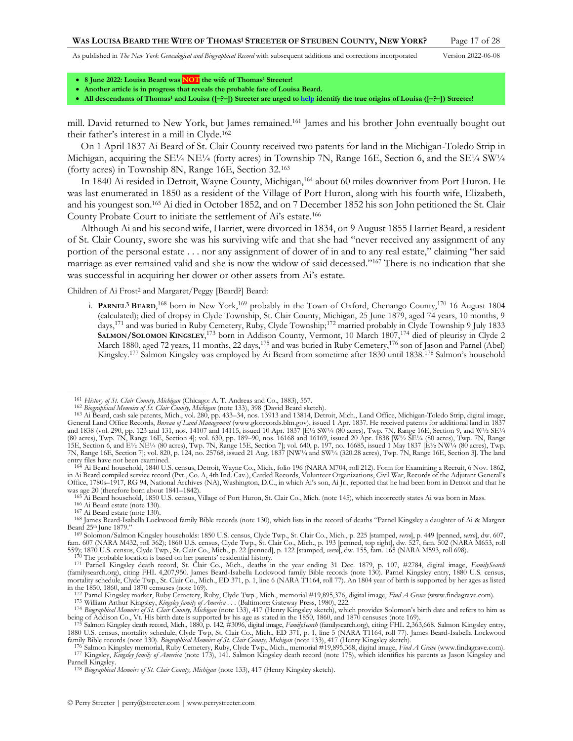<span id="page-16-4"></span><span id="page-16-3"></span>

- **8 June 2022: Louisa Beard was NOT the wife of Thomas<sup>1</sup> Streeter!**
- **Another article is in progress that reveals the probable fate of Louisa Beard.**
- **All descendants of Thomas<sup>1</sup> and Louisa ([–?–]) Streeter are urged t[o help](http://www.perrystreeter.com/help/streeter.pdf) identify the true origins of Louisa ([–?–]) Streeter!**

mill. David returned to New York, but James remained.<sup>161</sup> James and his brother John eventually bought out their father's interest in a mill in Clyde.<sup>162</sup>

On 1 April 1837 Ai Beard of St. Clair County received two patents for land in the Michigan-Toledo Strip in Michigan, acquiring the  $SE\frac{1}{4}$  NE<sup>1</sup>/<sub>4</sub> (forty acres) in Township 7N, Range 16E, Section 6, and the SE<sup>1</sup>/<sub>4</sub> SW<sup>1</sup>/<sub>4</sub> (forty acres) in Township 8N, Range 16E, Section 32.<sup>163</sup>

<span id="page-16-5"></span>In 1840 Ai resided in Detroit, Wayne County, Michigan,<sup>164</sup> about 60 miles downriver from Port Huron. He was last enumerated in 1850 as a resident of the Village of Port Huron, along with his fourth wife, Elizabeth, and his youngest son.<sup>165</sup> Ai died in October 1852, and on 7 December 1852 his son John petitioned the St. Clair County Probate Court to initiate the settlement of Ai's estate.<sup>166</sup>

Although Ai and his second wife, Harriet, were divorced in 1834, on 9 August 1855 Harriet Beard, a resident of St. Clair County, swore she was his surviving wife and that she had "never received any assignment of any portion of the personal estate . . . nor any assignment of dower of in and to any real estate," claiming "her said marriage as ever remained valid and she is now the widow of said deceased."<sup>167</sup> There is no indication that she was successful in acquiring her dower or other assets from Ai's estate.

Children of Ai Frost2 and Margaret/Peggy [Beard?] Beard:

<span id="page-16-2"></span><span id="page-16-1"></span><span id="page-16-0"></span>i. **PARNEL3 BEARD**, <sup>168</sup> born in New York,<sup>169</sup> probably in the Town of Oxford, Chenango County,<sup>170</sup> 16 August 1804 (calculated); died of dropsy in Clyde Township, St. Clair County, Michigan, 25 June 1879, aged 74 years, 10 months, 9 days,<sup>171</sup> and was buried in Ruby Cemetery, Ruby, Clyde Township;<sup>172</sup> married probably in Clyde Township 9 July 1833 **SALMON/SOLOMON KINGSLEY**, <sup>173</sup> born in Addison County, Vermont, 10 March 1807,<sup>174</sup> died of pleurisy in Clyde 2 March 1880, aged 72 years, 11 months, 22 days,<sup>175</sup> and was buried in Ruby Cemetery,<sup>176</sup> son of Jason and Parnel (Abel) Kingsley.<sup>177</sup> Salmon Kingsley was employed by Ai Beard from sometime after 1830 until 1838.<sup>178</sup> Salmon's household

<sup>161</sup> *History of St. Clair County, Michigan* (Chicago: A. T. Andreas and Co., 1883), 557.

<sup>162</sup> *Biographical Memoirs of St. Clair County, Michigan* (note [133\)](#page-13-2), 398 (David Beard sketch).

<sup>163</sup> Ai Beard, cash sale patents, Mich., vol. 280, pp. 433–34, nos. 13913 and 13814, Detroit, Mich., Land Office, Michigan-Toledo Strip, digital image, General Land Office Records, *Bureau of Land Management* (www.glorecords.blm.gov), issued 1 Apr. 1837. He received patents for additional land in 1837 and 1838 (vol. 290, pp. 123 and 131, nos. 14107 and 14115, issued 10 Apr. 1837 [E½ SW¼ (80 acres), Twp. 7N, Range 16E, Section 9, and W½ SE¼<br>(80 acres), Twp. 7N, Range 16E, Section 4]; vol. 630, pp. 189–90, nos. 16168 and 15E, Section 6, and E½ NE¼ (80 acres), Twp. 7N, Range 15E, Section 7]; vol. 640, p. 197, no. 16685, issued 1 May 1837 [E½ NW¼ (80 acres), Twp. 7N, Range 16E, Section 7]; vol. 820, p. 124, no. 25768, issued 21 Aug. 1837 [NW¼ and SW¼ (320.28 acres), Twp. 7N, Range 16E, Section 3]. The land

entry files have not been examined. 164 Ai Beard household, 1840 U.S. census, Detroit, Wayne Co., Mich., folio 196 (NARA M704, roll 212). Form for Examining a Recruit, 6 Nov. 1862, in Ai Beard compiled service record (Pvt., Co. A, 4th Ind. Cav.), Carded Records, Volunteer Organizations, Civil War, Records of the Adjutant General's<br>Office, 1780s–1917, RG 94, National Archives (NA), Washington, D.C., i

was age 20 (therefore born about 1841–1842). 165 Ai Beard household, 1850 U.S. census, Village of Port Huron, St. Clair Co., Mich. (not[e 145\),](#page-14-2) which incorrectly states Ai was born in Mass.

<sup>166</sup> Ai Beard estate (not[e 130\)](#page-13-0).

<sup>167</sup> Ai Beard estate (not[e 130\)](#page-13-0).

<sup>168</sup> James Beard-Isabella Lockwood family Bible records (not[e 130](#page-13-0)), which lists in the record of deaths "Parnel Kingsley a daughter of Ai & Margret Beard 25<sup>th</sup> June 1879."

<sup>169</sup> Solomon/Salmon Kingsley households: 1850 U.S. census, Clyde Twp., St. Clair Co., Mich., p. 225 [stamped, *verso*], p. 449 [penned, *verso*], dw. 607, fam. 607 (NARA M432, roll 362); 1860 U.S. census, Clyde Twp., St. Clair Co., Mich., p. 193 [penned, top right], dw. 527, fam. 502 (NARA M653, roll<br>559); 1870 U.S. census, Clyde Twp., St. Clair Co., Mich., p. 22 [penned], p

<sup>&</sup>lt;sup>171</sup> Parnell Kingsley death record, St. Clair Co., Mich., deaths in the year ending 31 Dec. 1879, p. 107, #2784, digital image, *FamilySearch* (familysearch.org), citing FHL 4,207,950. James Beard-Isabella Lockwood family mortality schedule, Clyde Twp., St. Clair Co., Mich., ED 371, p. 1, line 6 (NARA T1164, roll 77). An 1804 year of birth is supported by her ages as listed in the 1850, 1860, and 1870 censuses (not[e 169\)](#page-16-0).

<sup>172</sup> Parnel Kingsley marker, Ruby Cemetery, Ruby, Clyde Twp., Mich., memorial #19,895,376, digital image, *Find A Grave* (www.findagrave.com). 173 William Arthur Kingsley, *Kingsley family of America . . .* (Baltimore: Gateway Press, 1980), 222.

<sup>&</sup>lt;sup>174</sup> Biographical Memoirs of St. Clair County, Michigan (not[e 133](#page-13-2)), 417 (Henry Kingsley sketch), which provides Solomon's birth date and refers to him as being of Addison Co., Vt. His birth date is supported by his age as

<sup>175</sup> Salmon Kingsley death record, Mich., 1880, p. 142, #3096, digital image, *FamilySearch* (familysearch.org), citing FHL 2,363,668. Salmon Kingsley entry, 1880 U.S. census, mortality schedule, Clyde Twp, St. Clair Co., Mich., ED 371, p. 1, line 5 (NARA T1164, roll 77). James Beard-Isabella Lockwood<br>family Bible records (not[e 130\).](#page-13-0) Biographical Memoirs of St. Clair County, Mi

<sup>176</sup> Salmon Kingsley memorial, Ruby Cemetery, Ruby, Clyde Twp., Mich., memorial #19,895,368, digital image, *Find A Grave* (www.findagrave.com). 177 Kingsley, *Kingsley family of America* (not[e 173\)](#page-16-1), 141. Salmon Kingsley death record (note [175\)](#page-16-2), which identifies his parents as Jason Kingsley and Parnell Kingsley.

<sup>178</sup> *Biographical Memoirs of St. Clair County, Michigan* (not[e 133\),](#page-13-2) 417 (Henry Kingsley sketch).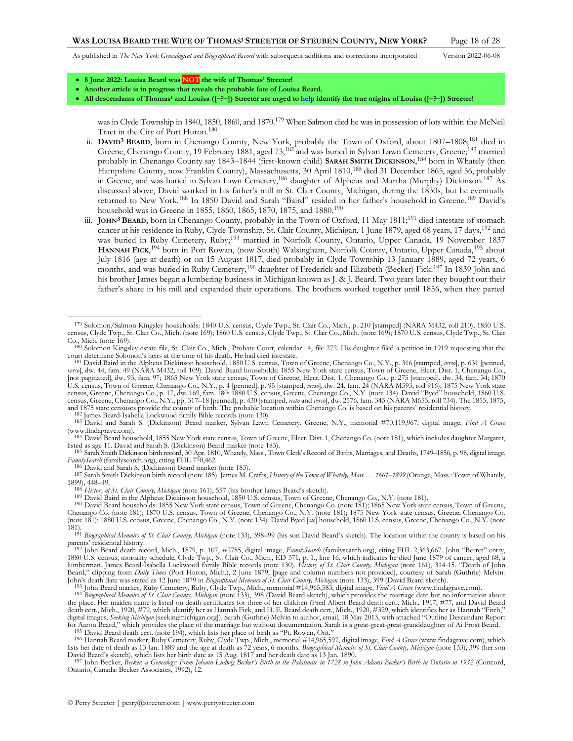<span id="page-17-2"></span><span id="page-17-1"></span><span id="page-17-0"></span>

- **8 June 2022: Louisa Beard was NOT the wife of Thomas<sup>1</sup> Streeter!**
- **Another article is in progress that reveals the probable fate of Louisa Beard.**
- **All descendants of Thomas<sup>1</sup> and Louisa ([–?–]) Streeter are urged t[o help](http://www.perrystreeter.com/help/streeter.pdf) identify the true origins of Louisa ([–?–]) Streeter!**

was in Clyde Township in 1840, 1850, 1860, and 1870.<sup>179</sup> When Salmon died he was in possession of lots within the McNeil Tract in the City of Port Huron.<sup>180</sup>

- ii. **DAVID3 BEARD**, born in Chenango County, New York, probably the Town of Oxford, about 1807–1808;<sup>181</sup> died in Greene, Chenango County, 19 February 1881, aged 73,<sup>182</sup> and was buried in Sylvan Lawn Cemetery, Greene;<sup>183</sup> married probably in Chenango County say 1843–1844 (first-known child) **SARAH SMITH DICKINSON**, <sup>184</sup> born in Whately (then Hampshire County, now Franklin County), Massachusetts, 30 April 1810,<sup>185</sup> died 31 December 1865, aged 56, probably in Greene, and was buried in Sylvan Lawn Cemetery,<sup>186</sup> daughter of Alpheus and Martha (Murphy) Dickinson.<sup>187</sup> As discussed above, David worked in his father's mill in St. Clair County, Michigan, during the 1830s, but he eventually returned to New York.<sup>188</sup> In 1850 David and Sarah "Baird" resided in her father's household in Greene.<sup>189</sup> David's household was in Greene in 1855, 1860, 1865, 1870, 1875, and 1880.<sup>190</sup>
- <span id="page-17-3"></span>iii. **JOHN3 BEARD**, born in Chenango County, probably in the Town of Oxford, 11 May 1811;<sup>191</sup> died intestate of stomach cancer at his residence in Ruby, Clyde Township, St. Clair County, Michigan, 1 June 1879, aged 68 years, 17 days,<sup>192</sup> and was buried in Ruby Cemetery, Ruby;<sup>193</sup> married in Norfolk County, Ontario, Upper Canada, 19 November 1837 **HANNAH FICK**, <sup>194</sup> born in Port Rowan, (now South) Walsingham, Norfolk County, Ontario, Upper Canada,<sup>195</sup> about July 1816 (age at death) or on 15 August 1817, died probably in Clyde Township 13 January 1889, aged 72 years, 6 months, and was buried in Ruby Cemetery,<sup>196</sup> daughter of Frederick and Elizabeth (Becker) Fick.<sup>197</sup> In 1839 John and his brother James began a lumbering business in Michigan known as J. & J. Beard. Two years later they bought out their father's share in his mill and expanded their operations. The brothers worked together until 1856, when they parted

182 James Beard-Isabella Lockwood family Bible records (not[e 130\).](#page-13-0)

<sup>179</sup> Solomon/Salmon Kingsley households: 1840 U.S. census, Clyde Twp., St. Clair Co., Mich., p. 210 [stamped] (NARA M432, roll 210); 1850 U.S. census, Clyde Twp., St. Clair Co., Mich. (not[e 169\)](#page-16-0); 1860 U.S. census, Clyde Twp., St. Clair Co., Mich. (not[e 169\)](#page-16-0); 1870 U.S. census, Clyde Twp., St. Clair  $Co$ , Mich. (note  $169$ ).

<sup>180</sup> Solomon Kingsley estate file, St. Clair Co., Mich., Probate Court, calendar 14, file 272. His daughter filed a petition in 1919 requesting that the court determine Solomon's heirs at the time of his death. He had died intestate.

<sup>&</sup>lt;sup>181</sup> David Baird in the Alpheus Dickinson household, 1850 U.S. census, Town of Greene, Chenango Co., N.Y., p. 316 [stamped, *verso*], p. 631 [penned, *lerso]*, dw. 44, fam. 49 (NARA M432, roll 109). David Beard households [not paginated], dw. 93, fam. 97; 1865 New York state census, Town of Greene, Elect. Dist. 1, Chenango Co., p. 275 [stamped], dw. 34, fam. 34; 1870 U.S. census, Town of Greene, Chenango Co., N.Y., p. 4 [penned], p. 95 [stamped*, verso*], dw. 24, fam. 24 (NARÀ M593, roll 916); 1875 New York state<br>census, Greene, Chenango Co., p. 17, dw. 169, fam. 180; 1880 U.S. census, census, Greene, Chenango Co., N.Y., pp. 317–18 [penned], p. 430 [stamped, *recto* and *verso*], dw. 2576, fam. 345 (NARA M653, roll 734). The 1855, 1875, and 1875 state censuses provide the county of birth. The probable location within Chenango Co. is based on his parents' residential history.

<sup>183</sup> David and Sarah S. (Dickinson) Beard marker, Sylvan Lawn Cemetery, Greene, N.Y., memorial #70,119,967, digital image, *Find A Grave* (www.findagrave.com).

<sup>184</sup> David Beard household, 1855 New York state census, Town of Greene, Elect. Dist. 1, Chenango Co. (not[e 181\)](#page-17-0), which includes daughter Margaret, listed as age 11. David and Sarah S. (Dickinson) Beard marker (not[e 183\)](#page-17-1).

<sup>185</sup> Sarah Smith Dickinson birth record, 30 Apr. 1810, Whately, Mass., Town Clerk's Record of Births, Marriages, and Deaths, 1749–1856, p. 98, digital image, *FamilySearch* (familysearch.org), citing FHL 770,462.

<sup>186</sup> David and Sarah S. (Dickinson) Beard marker (note [183\)](#page-17-1).

<sup>187</sup> Sarah Smith Dickinson birth record (not[e 185\)](#page-17-2). James M. Crafts, *History of the Town of Whately, Mass. . . . 1661–1899* (Orange, Mass.: Town of Whately, 1899), 448–49.

<sup>188</sup> *History of St. Clair County, Michigan* (not[e 161](#page-16-3)), 557 (his brother James Beard's sketch).

<sup>189</sup> David Baird in the Alpheus Dickinson household, 1850 U.S. census, Town of Greene, Chenango Co., N.Y. (not[e 181\)](#page-17-0).

<sup>190</sup> David Beard households: 1855 New York state census, Town of Greene, Chenango Co. (not[e 181\)](#page-17-0); 1865 New York state census, Town of Greene, Chenango Co. (note [181\);](#page-17-0) 1870 U.S. census, Town of Greene, Chenango Co., N.Y. (note [181\)](#page-17-0); 1875 New York state census, Greene, Chenango Co. (not[e 181\);](#page-17-0) 1880 U.S. census, Greene, Chenango Co., N.Y. (not[e 134\)](#page-13-3). David Byed [*sic*] household, 1860 U.S. census, Greene, Chenango Co., N.Y. (note

[<sup>181\).</sup>](#page-17-0) 191 *Biographical Memoirs of St. Clair County, Michigan* (not[e 133\),](#page-13-2) 398–99 (his son David Beard's sketch). The location within the county is based on his parents' residential history. 192 John Beard death record, Mich., 1879, p. 107, #2785, digital image, *FamilySearch* (familysearch.org), citing FHL 2,363,667. John "Berret" entry,

<sup>1880</sup> U.S. census, mortality schedule, Clyde Twp., St. Clair Co., Mich., ED 371, p. 1., line 16, which indicates he died June 1879 of cancer, aged 68, a lumberman. James Beard-Isabella Lockwood family Bible records (note [130\)](#page-13-0). *History of St. Clair County, Michigan* (not[e 161\)](#page-16-3), 314-15. "Death of John Beard," clipping from *Daily Times* (Port Huron, Mich.), 2 June 1879, [page and column numbers not provided], courtesy of Sarah (Guthrie) Melvin. John's death date was stated as 12 June 1879 in *Biographical Memoirs of St. Clair County, Michigan* (not[e 133\)](#page-13-2), 399 (David Beard sketch).<br><sup>193</sup> John Beard marker, Ruby Cemetery, Ruby, Clyde Twp., Mich., memorial #14,965,5

the place. Her maiden name is listed on death certificates for three of her children (Fred Albert Beard death cert., Mich., 1917, #77, and David Beard death cert., Mich., 1920, #79, which identify her as Hannah Fick, and H. E. Beard death cert., Mich., 1920, #329, which identifies her as Hannah "Fitch," digital images, *Seeking Michigan* [seekingmichigan.org]). Sarah (Guthrie) Melvin to author, email, 18 May 2013, with attached "Outline Descendant Report for Aaron Beard," which provides the place of the marriage but without documentation. Sarah is a great-great-great-granddaughter of Ai Frost Beard.

<sup>&</sup>lt;sup>195</sup> David Beard death cert. (not[e 194](#page-17-3)), which lists her place of birth as "Pt. Rowan, Ont."<br><sup>196</sup> Hannah Beard marker, Ruby Cemetery, Ruby, Clyde Twp., Mich., memorial #14,965,597, digital image, Find A Grave (www.findag lists her date of death as 13 Jan. 1889 and the age at death as 72 years, 6 months. *Biographical Memoirs of St. Clair County, Michigan* (not[e 133\)](#page-13-2), 399 (her son

David Beard's sketch), which lists her birth date as 15 Aug. 1817 and her death date as 13 Jan. 1890.<br><sup>197</sup> John Becker, *Becker, a Genealogy: From Johann Ludwig Becker's Birth in the Palatinate in 1728 to John Adams Becke* Ontario, Canada: Becker Associates, 1992), 12.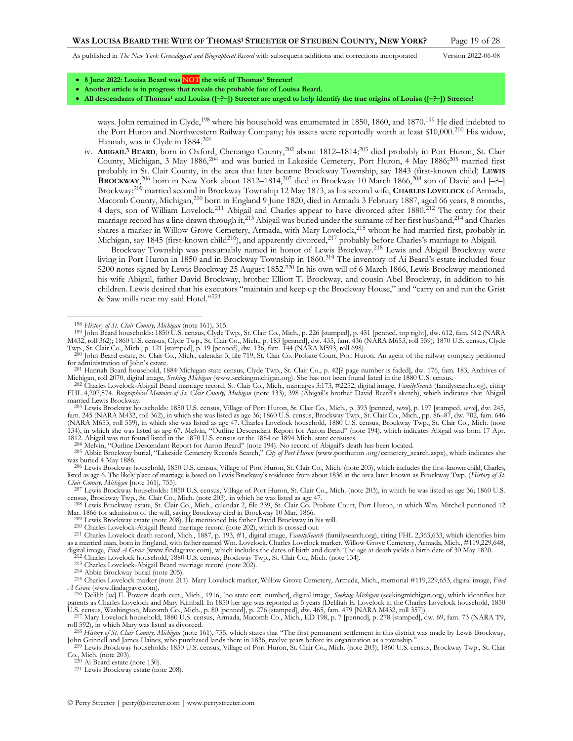<span id="page-18-3"></span><span id="page-18-1"></span><span id="page-18-0"></span>

- **8 June 2022: Louisa Beard was NOT the wife of Thomas<sup>1</sup> Streeter!**
- **Another article is in progress that reveals the probable fate of Louisa Beard.**
- **All descendants of Thomas<sup>1</sup> and Louisa ([–?–]) Streeter are urged t[o help](http://www.perrystreeter.com/help/streeter.pdf) identify the true origins of Louisa ([–?–]) Streeter!**

iv. **ABIGAIL3 BEARD**, born in Oxford, Chenango County,<sup>202</sup> about 1812–1814;<sup>203</sup> died probably in Port Huron, St. Clair County, Michigan, 3 May 1886,<sup>204</sup> and was buried in Lakeside Cemetery, Port Huron, 4 May 1886;<sup>205</sup> married first probably in St. Clair County, in the area that later became Brockway Township, say 1843 (first-known child) **LEWIS BROCKWAY**,<sup>206</sup> born in New York about 1812–1814,<sup>207</sup> died in Brockway 10 March 1866,<sup>208</sup> son of David and  $[-$ ?-Brockway;<sup>209</sup> married second in Brockway Township 12 May 1873, as his second wife, **CHARLES LOVELOCK** of Armada, Macomb County, Michigan,<sup>210</sup> born in England 9 June 1820, died in Armada 3 February 1887, aged 66 years, 8 months, 4 days, son of William Lovelock.<sup>211</sup> Abigail and Charles appear to have divorced after 1880.<sup>212</sup> The entry for their marriage record has a line drawn through it,<sup>213</sup> Abigail was buried under the surname of her first husband,<sup>214</sup> and Charles shares a marker in Willow Grove Cemetery, Armada, with Mary Lovelock,<sup>215</sup> whom he had married first, probably in Michigan, say 1845 (first-known child<sup>216</sup>), and apparently divorced,<sup>217</sup> probably before Charles's marriage to Abigail.

<span id="page-18-6"></span><span id="page-18-5"></span><span id="page-18-4"></span>Brockway Township was presumably named in honor of Lewis Brockway.<sup>218</sup> Lewis and Abigail Brockway were living in Port Huron in 1850 and in Brockway Township in 1860.<sup>219</sup> The inventory of Ai Beard's estate included four \$200 notes signed by Lewis Brockway 25 August 1852.<sup>220</sup> In his own will of 6 March 1866, Lewis Brockway mentioned his wife Abigail, father David Brockway, brother Elliott T. Brockway, and cousin Abel Brockway, in addition to his children. Lewis desired that his executors "maintain and keep up the Brockway House," and "carry on and run the Grist & Saw mills near my said Hotel."<sup>221</sup>

<sup>202</sup> Charles Lovelock-Abigail Beard marriage record, St. Clair Co., Mich., marriages 3:173, #2252, digital image, FamilySearch (familysearch.org), citing<br>FHL 4,207,574. Biographical Memoirs of St. Clair County, Michigan ( married Lewis Brockway.

<sup>203</sup> Lewis Brockway households: 1850 U.S. census, Village of Port Huron, St. Clair Co., Mich., p. 393 [penned, *verso*], p. 197 [stamped, *verso*], dw. 245, fam. 245 (NARA M432, roll 362), in which she was listed as age 3 (NARA M653, roll 559), in which she was listed as age 47. Charles Lovelock household, 1880 U.S. census, Brockway Twp., St. Clair Co., Mich. (note [134\),](#page-13-3) in which she was listed as age 67. Melvin, "Outline Descendant Report for Aaron Beard" (not[e 194\)](#page-17-3), which indicates Abigail was born 17 Apr.<br>1812. Abigail was not found listed in the 1870 U.S. census or the 1884 or 18

204 Melvin, "Outline Descendant Report for Aaron Beard" (not[e 194](#page-17-3)). No record of Abigail's death has been located.

206 Lewis Brockway household, 1850 U.S. census, Village of Port Huron, St. Clair Co., Mich. (not[e 203\)](#page-18-0), which includes the first-known child, Charles, listed as age 6. The likely place of marriage is based on Lewis Brockway's residence from about 1836 in the area later known as Brockway Twp. (*History of St. Clair County, Michigan* [not[e 161\],](#page-16-3) 755).

207 Lewis Brockway households: 1850 U.S. census, Village of Port Huron, St. Clair Co., Mich. (not[e 203\),](#page-18-0) in which he was listed as age 36; 1860 U.S. census, Brockway Twp., St. Clair Co., Mich. (note [203\)](#page-18-0), in which he was listed as age 47.<br><sup>208</sup> Lewis Brockway estate, St. Clair Co., Mich., calendar 2, file 239, St. Clair Co. Probate Court, Port Huron, in which Wm. Mitch

Mar. 1866 for admission of the will, saying Brockway died in Brockway 10 Mar. 1866.

209 Lewis Brockway estate (not[e 208\).](#page-18-1) He mentioned his father David Brockway in his will.

210 Charles Lovelock-Abigail Beard marriage record (not[e 202\)](#page-18-2), which is crossed out.

213 Charles Lovelock-Abigail Beard marriage record (not[e 202\)](#page-18-2).

U.S. census, Washington, Macomb Co., Mich., p. 80 [penned], p. 276 [stamped], dw. 465, fam. 479 [NARA M432, roll 357]).<br><sup>217</sup> Mary Lovelock household, 1880 U.S. census, Armada, Macomb Co., Mich., ED 198, p. 7 [penned], p. roll 592), in which Mary was listed as divorced.

 $220$  Ai Beard estate (not[e 130\).](#page-13-0)

221 Lewis Brockway estate (not[e 208\).](#page-18-1)

<span id="page-18-2"></span>ways. John remained in Clyde,<sup>198</sup> where his household was enumerated in 1850, 1860, and 1870.<sup>199</sup> He died indebted to the Port Huron and Northwestern Railway Company; his assets were reportedly worth at least \$10,000.<sup>200</sup> His widow, Hannah, was in Clyde in 1884.<sup>201</sup>

<sup>198</sup> *History of St. Clair County, Michigan* (not[e 161\),](#page-16-3) 315.

<sup>199</sup> John Beard households: 1850 U.S. census, Clyde Twp., St. Clair Co., Mich., p. 226 [stamped], p. 451 [penned, top right], dw. 612, fam. 612 (NARA M432, roll 362); 1860 U.S. census, Clyde Twp., St. Clair Co., Mich., p. 183 [penned], dw. 435, fam. 436 (NÄRA M653, roll 559); 1870 U.S. census, Clyde<br>Twp., St. Clair Co., Mich., p. 121 [stamped], p. 19 [penned], dw. 136,

<sup>200</sup> John Beard estate, St. Clair Co., Mich., calendar 3, file 719, St. Clair Co. Probate Court, Port Huron. An agent of the railway company petitioned for administration of John's estate.

<sup>201</sup> Hannah Beard household, 1884 Michigan state census, Clyde Twp., St. Clair Co., p. 42[? page number is faded], dw. 176, fam. 183, Archives of Michigan, roll 2070, digital image, *Seeking Michigan* (www.seekingmichigan.org). She has not been found listed in the 1880 U.S. census.

<sup>205</sup> Abbie Brockway burial, "Lakeside Cemetery Records Search," *City of Port Huron* (www.porthuron .org/cemetery\_search.aspx), which indicates she was buried 4 May 1886.

<sup>211</sup> Charles Lovelock death record, Mich., 1887, p. 193, #1, digital image, *FamilySearch* (familysearch.org), citing FHL 2,363,633, which identifies him as a married man, born in England, with father named Wm. Lovelock. Charles Lovelock marker, Willow Grove Cemetery, Armada, Mich., #119,229,648, digital image, Find A Grave (www.findagrave.com), which includes the dates of birth and death. The age at death yields a birth date of 30 May 1820.<br><sup>212</sup> Charles Lovelock household, 1880 U.S. census, Brockway Twp., St. Cla

<sup>214</sup> Abbie Brockway burial (not[e 205\).](#page-18-3)

<sup>215</sup> Charles Lovelock marker (not[e 211\)](#page-18-4). Mary Lovelock marker, Willow Grove Cemetery, Armada, Mich., memorial #119,229,653, digital image, *Find A Grave* (www.findagrave.com).

<sup>216</sup> Delilih [*sic*] E. Powers death cert., Mich., 1916, [no state cert. number], digital image, *Seeking Michigan* (seekingmichigan.org), which identifies her parents as Charles Lovelock and Mary Kimball. In 1850 her age was reported as 5 years (Deliliah E. Lovelock in the Charles Lovelock household, 1850

<sup>&</sup>lt;sup>218</sup> History of St. Clair County, Michigan (not[e 161\),](#page-16-3) 755, which states that "The first permanent settlement in this district was made by Lewis Brockway, John Grinnell and James Haines, who purchased lands there in 1836,

<sup>219</sup> Lewis Brockway households: 1850 U.S. census, Village of Port Huron, St. Clair Co., Mich. (not[e 203\)](#page-18-0); 1860 U.S. census, Brockway Twp., St. Clair Co., Mich. (not[e 203\)](#page-18-0).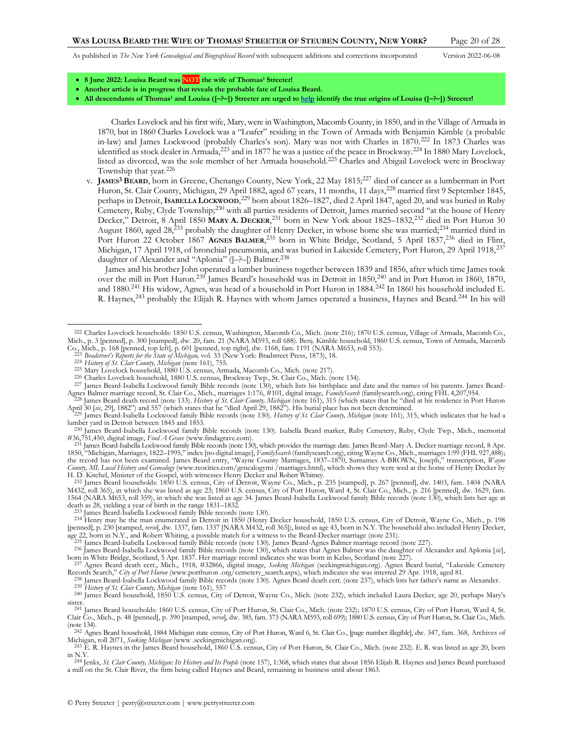<span id="page-19-3"></span><span id="page-19-2"></span><span id="page-19-1"></span>

- **8 June 2022: Louisa Beard was NOT the wife of Thomas<sup>1</sup> Streeter!**
- **Another article is in progress that reveals the probable fate of Louisa Beard.**
- **All descendants of Thomas<sup>1</sup> and Louisa ([–?–]) Streeter are urged t[o help](http://www.perrystreeter.com/help/streeter.pdf) identify the true origins of Louisa ([–?–]) Streeter!**

Charles Lovelock and his first wife, Mary, were in Washington, Macomb County, in 1850, and in the Village of Armada in 1870, but in 1860 Charles Lovelock was a "Loafer" residing in the Town of Armada with Benjamin Kimble (a probable in-law) and James Lockwood (probably Charles's son). Mary was not with Charles in 1870.<sup>222</sup> In 1873 Charles was identified as stock dealer in Armada,<sup>223</sup> and in 1877 he was a justice of the peace in Brockway.<sup>224</sup> In 1880 Mary Lovelock, listed as divorced, was the sole member of her Armada household.<sup>225</sup> Charles and Abigail Lovelock were in Brockway Township that year.<sup>226</sup>

v. **JAMES3 BEARD**, born in Greene, Chenango County, New York, 22 May 1815;<sup>227</sup> died of cancer as a lumberman in Port Huron, St. Clair County, Michigan, 29 April 1882, aged 67 years, 11 months, 11 days, <sup>228</sup> married first 9 September 1845, perhaps in Detroit, **ISABELLA LOCKWOOD**, <sup>229</sup> born about 1826–1827, died 2 April 1847, aged 20, and was buried in Ruby Cemetery, Ruby, Clyde Township;<sup>230</sup> with all parties residents of Detroit, James married second "at the house of Henry Decker," Detroit, 8 April 1850 **MARY A. DECKER**, <sup>231</sup> born in New York about 1825–1832,<sup>232</sup> died in Port Huron 30 August 1860, aged 28,<sup>233</sup> probably the daughter of Henry Decker, in whose home she was married;<sup>234</sup> married third in Port Huron 22 October 1867 **AGNES BALMER**,<sup>235</sup> born in White Bridge, Scotland, 5 April 1837,<sup>236</sup> died in Flint, Michigan, 17 April 1918, of bronchial pneumonia, and was buried in Lakeside Cemetery, Port Huron, 29 April 1918, <sup>237</sup> daughter of Alexander and "Aplonia" ([-?-]) Balmer.<sup>238</sup>

<span id="page-19-0"></span>James and his brother John operated a lumber business together between 1839 and 1856, after which time James took over the mill in Port Huron.<sup>239</sup> James Beard's household was in Detroit in 1850,<sup>240</sup> and in Port Huron in 1860, 1870, and 1880.<sup>241</sup> His widow, Agnes, was head of a household in Port Huron in 1884.<sup>242</sup> In 1860 his household included E. R. Haynes,<sup>243</sup> probably the Elijah R. Haynes with whom James operated a business, Haynes and Beard.<sup>244</sup> In his will

- 226 Charles Lovelock household, 1880 U.S. census, Brockway Twp., St. Clair Co., Mich. (note [134\)](#page-13-3).
- <sup>227</sup> James Beard-Isabella Lockwood family Bible records (not[e 130\)](#page-13-0), which lists his birthplace and date and the names of his parents. James Beard-<br>Agnes Balmer marriage record, St. Clair Co., Mich., marriages 1:176, #101,
- April 30 [*sic*, 29], 1882") and 557 (which states that he "died April 29, 1882"). His burial place has not been determined.
- 229 James Beard-Isabella Lockwood family Bible records (note [130\)](#page-13-0). *History of St. Clair County, Michigan* (note [161\)](#page-16-3), 315, which indicates that he had a lumber yard in Detroit between 1845 and 1853.

233 James Beard-Isabella Lockwood family Bible records (not[e 130\).](#page-13-0)

<sup>222</sup> Charles Lovelock households: 1850 U.S. census, Washington, Macomb Co., Mich. (not[e 216\);](#page-18-5) 1870 U.S. census, Village of Armada, Macomb Co., Mich., p. 3 [penned], p. 300 [stamped], dw. 20, fam. 21 (NARA M593, roll 688). Benj. Kimble household, 1860 U.S. census, Town of Armada, Macomb Co., Mich., p. 168 [penned, top left], p. 601 [penned, top right], dw. 1168, f

<sup>224</sup> *History of St. Clair County, Michigan* (not[e 161\),](#page-16-3) 755. 225 Mary Lovelock household, 1880 U.S. census, Armada, Macomb Co., Mich. (not[e 217\)](#page-18-6).

<sup>&</sup>lt;sup>230</sup> James Beard-Isabella Lockwood family Bible records (note [130\)](#page-13-0). Isabella Beard marker, Ruby Cemetery, Ruby, Clyde Twp., Mich., memorial #36,751,450, digital image, *Find A Grave* (www.findagrave.com).

<sup>&</sup>lt;sup>231</sup> James Beard-Isabella Lockwood family Bible records (not[e 130\)](#page-13-0), which provides the marriage date. James Beard-Mary A. Decker marriage record, 8 Apr. 1850, "Michigan, Marriages, 1822–1995," index [no digital image], FamilySearth (familysearch.org), citing Wayne Co., Mich., marriages 1:99 (FHL 927,488);<br>the record has not been examined. James Beard entry, "Wayne County M *County, MI, Local History and Genealogy* (www.reocities.com/genealogymi /marriages.html), which shows they were wed at the home of Henry Decker by

H. D. Kitchel, Minister of the Gospel, with witnesses Henry Decker and Robert Whitney.<br><sup>232</sup> James Beard households: 1850 U.S. census, City of Detroit, Wayne Co., Mich., p. 235 [stamped], p. 267 [penned], dw. 1403, fam. 14 M432, roll 365), in which she was listed as age 23; 1860 U.S. census, City of Port Huron, Ward 4, St. Clair Co., Mich., p. 216 [penned], dw. 1629, fam. 1564 (NARA M653, roll 359), in which she was listed as age 34. James Beard-Isabella Lockwood family Bible records (not[e 130\)](#page-13-0), which lists her age at death as 28, yielding a year of birth in the range 1831–1832.

<sup>&</sup>lt;sup>234</sup> Henry may be the man enumerated in Detroit in 1850 (Henry Decker household, 1850 U.S. census, City of Detroit, Wayne Co., Mich., p. 198 [penned], p. 230 [stamped, *verse*], dw. 1337, fam. 1337 [NARA M432, roll 365]),

age 22, born in N.Y., and Robert Whiting, a possible match for a witness to the Beard-Decker marriage (not[e 231\)](#page-19-0).<br><sup>235</sup> James Beard-Isabella Lockwood family Bible records (not[e 130\)](#page-13-0). James Beard-Agnes Balmer marriage recor born in White Bridge, Scotland, 5 Apr. 1837. Her marriage record indicates she was born in Kelso, Scotland (not[e 227\)](#page-19-1).

<sup>237</sup> Agnes Beard death cert., Mich., 1918, #32866, digital image, *Seeking Michigan* (seekingmichigan.org). Agnes Beard burial, "Lakeside Cemetery Records Search," *City of Port Huron* (www.porthuron .org/cemetery\_search.aspx), which indicates she was interred 29 Apr. 1918, aged 81.

<sup>238</sup> James Beard-Isabella Lockwood family Bible records (not[e 130\)](#page-13-0). Agnes Beard death cert. (not[e 237](#page-19-2)), which lists her father's name as Alexander.

<sup>239</sup> *History of St. Clair County, Michigan* (not[e 161\),](#page-16-3) 557 240 James Beard household, 1850 U.S. census, City of Detroit, Wayne Co., Mich. (note [232\)](#page-19-3), which included Laura Decker, age 20, perhaps Mary's sister.

<sup>241</sup> James Beard households: 1860 U.S. census, City of Port Huron, St. Clair Co., Mich. (not[e 232\)](#page-19-3); 1870 U.S. census, City of Port Huron, Ward 4, St. Clair Co., Mich., p. 48 [penned], p. 390 [stamped, *verso*], dw. 385, fam. 373 (NARA M593, roll 699); 1880 U.S. census, City of Port Huron, St. Clair Co., Mich. (not[e 134\).](#page-13-3)

<sup>&</sup>lt;sup>242</sup> Agnes Beard household, 1884 Michigan state census, City of Port Huron, Ward 6, St. Clair Co., [page number illegible], dw. 347, fam. 368, Archives of Michigan, roll 2071, *Seeking Michigan* (www .seekingmichigan.org).

<sup>243</sup> E. R. Haynes in the James Beard household, 1860 U.S. census, City of Port Huron, St. Clair Co., Mich. (note [232\)](#page-19-3). E. R. was listed as age 20, born in N.Y. 244 Jenks, *St. Clair County, Michigan: Its History and Its People* (note [157\)](#page-15-0), 1:368, which states that about 1856 Elijah R. Haynes and James Beard purchased

a mill on the St. Clair River, the firm being called Haynes and Beard, remaining in business until about 1863.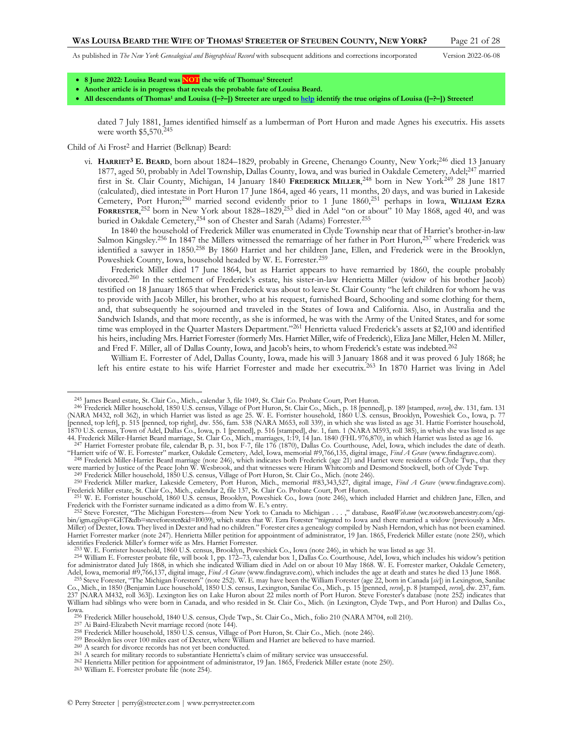<span id="page-20-1"></span><span id="page-20-0"></span>

- **8 June 2022: Louisa Beard was NOT the wife of Thomas<sup>1</sup> Streeter!**
- **Another article is in progress that reveals the probable fate of Louisa Beard.**
- **All descendants of Thomas<sup>1</sup> and Louisa ([–?–]) Streeter are urged t[o help](http://www.perrystreeter.com/help/streeter.pdf) identify the true origins of Louisa ([–?–]) Streeter!**

dated 7 July 1881, James identified himself as a lumberman of Port Huron and made Agnes his executrix. His assets were worth \$5,570.<sup>245</sup>

Child of Ai Frost<sup>2</sup> and Harriet (Belknap) Beard:

vi. **HARRIET3 E. BEARD**, born about 1824–1829, probably in Greene, Chenango County, New York;<sup>246</sup> died 13 January 1877, aged 50, probably in Adel Township, Dallas County, Iowa, and was buried in Oakdale Cemetery, Adel;<sup>247</sup> married first in St. Clair County, Michigan, 14 January 1840 **FREDERICK MILLER**, <sup>248</sup> born in New York<sup>249</sup> 28 June 1817 (calculated), died intestate in Port Huron 17 June 1864, aged 46 years, 11 months, 20 days, and was buried in Lakeside Cemetery, Port Huron;<sup>250</sup> married second evidently prior to 1 June 1860,<sup>251</sup> perhaps in Iowa, **WILLIAM EZRA FORRESTER**, <sup>252</sup> born in New York about 1828–1829,<sup>253</sup> died in Adel "on or about" 10 May 1868, aged 40, and was buried in Oakdale Cemetery,<sup>254</sup> son of Chester and Sarah (Adams) Forrester.<sup>255</sup>

<span id="page-20-4"></span><span id="page-20-3"></span><span id="page-20-2"></span>In 1840 the household of Frederick Miller was enumerated in Clyde Township near that of Harriet's brother-in-law Salmon Kingsley.<sup>256</sup> In 1847 the Millers witnessed the remarriage of her father in Port Huron,<sup>257</sup> where Frederick was identified a sawyer in 1850.<sup>258</sup> By 1860 Harriet and her children Jane, Ellen, and Frederick were in the Brooklyn, Poweshiek County, Iowa, household headed by W. E. Forrester.<sup>259</sup>

Frederick Miller died 17 June 1864, but as Harriet appears to have remarried by 1860, the couple probably divorced.<sup>260</sup> In the settlement of Frederick's estate, his sister-in-law Henrietta Miller (widow of his brother Jacob) testified on 18 January 1865 that when Frederick was about to leave St. Clair County "he left children for whom he was to provide with Jacob Miller, his brother, who at his request, furnished Board, Schooling and some clothing for them, and, that subsequently he sojourned and traveled in the States of Iowa and California. Also, in Australia and the Sandwich Islands, and that more recently, as she is informed, he was with the Army of the United States, and for some time was employed in the Quarter Masters Department."<sup>261</sup> Henrietta valued Frederick's assets at \$2,100 and identified his heirs, including Mrs. Harriet Forrester (formerly Mrs. Harriet Miller, wife of Frederick), Eliza Jane Miller, Helen M. Miller, and Fred F. Miller, all of Dallas County, Iowa, and Jacob's heirs, to whom Frederick's estate was indebted.<sup>262</sup>

William E. Forrester of Adel, Dallas County, Iowa, made his will 3 January 1868 and it was proved 6 July 1868; he left his entire estate to his wife Harriet Forrester and made her executrix.<sup>263</sup> In 1870 Harriet was living in Adel

253 W. E. Forrister household, 1860 U.S. census, Brooklyn, Poweshiek Co., Iowa (note [246\)](#page-20-0), in which he was listed as age 31.

263 William E. Forrester probate file (note [254\)](#page-20-4).

<sup>245</sup> James Beard estate, St. Clair Co., Mich., calendar 3, file 1049, St. Clair Co. Probate Court, Port Huron.

<sup>&</sup>lt;sup>246</sup> Frederick Miller household, 1850 U.S. census, Village of Port Huron, St. Clair Co., Mich., p. 18 [penned], p. 189 [stamped, versa], dw. 131, fam. 131 [NARA M432, roll 362), in which Harriet was listed as age 25. W. E [penned, top left], p. 515 [penned, top right], dw. 556, fam. 538 (NARA M653, roll 339), in which she was listed as age 31. Hattie Forrister household, 1870 U.S. census, Town of Adel, Dallas Co., Iowa, p. 1 [penned], p. 516 [stamped], dw. 1, fam. 1 (NARA M593, roll 385), in which she was listed as age<br>44. Frederick Miller-Harriet Beard marriage, St. Clair Co., Mich., marr

<sup>&</sup>quot;Harriett wife of W. E. Forrester" marker, Oakdale Cemetery, Adel, Iowa, memorial #9,766,135, digital image, *Find A Grave* (www.findagrave.com). <sup>248</sup> Frederick Miller-Harriet Beard marriage (note [246\)](#page-20-0), which indicates both Frederick (age 21) and Harriet were residents of Clyde Twp., that they

were married by Justice of the Peace John W. Wesbrook, and that witnesses were Hiram Whitcomb and Desmond Stockwell, both of Clyde Twp.

<sup>&</sup>lt;sup>249</sup> Frederick Miller household, 1850 U.S. census, Village of Port Huron, St. Clair Co., Mich. (note [246\)](#page-20-0).<br><sup>250</sup> Frederick Miller marker, Lakeside Cemetery, Port Huron, Mich., memorial #83,343,527, digital image, Find A G Frederick Miller estate, St. Clair Co., Mich., calendar 2, file 137, St. Clair Co. Probate Court, Port Huron.

<sup>251</sup> W. E. Forrister household, 1860 U.S. census, Brooklyn, Poweshiek Co., Iowa (note [246\)](#page-20-0), which included Harriet and children Jane, Ellen, and Frederick with the Forrister surname indicated as a ditto from W. E.'s entry.<br><sup>252</sup> Steve Forester, "The Michigan Foresters—from New York to Canada to Michigan . . . ," database, RootsWeb.com (wc.rootsweb.ancestry.com/cgi-

bin/igm.cgi?op=GET&db=steveforester&id=I0039), which states that W. Ezra Forester "migrated to Iowa and there married a widow (previously a Mrs.<br>Miller) of Dexter, Iowa. They lived in Dexter and had no children." Forester Harriet Forrester marker (not[e 247\).](#page-20-1) Henrietta Miller petition for appointment of administrator, 19 Jan. 1865, Frederick Miller estate (note [250\)](#page-20-2), which identifies Frederick Miller's former wife as Mrs. Harriet Forrester.

<sup>254</sup> William E. Forrester probate file, will book 1, pp. 172–73, calendar box 1, Dallas Co. Courthouse, Adel, Iowa, which includes his widow's petition for administrator dated July 1868, in which she indicated William died in Adel on or about 10 May 1868. W. E. Forrester marker, Oakdale Cemetery, Adel, Iowa, memorial #9,766,137, digital image, *Find A Grave* (www.findagrave.com), which includes the age at death and states he died 13 June 1868. 255 Steve Forester, "The Michigan Foresters" (note [252\).](#page-20-3) W. E. may have been the William Forester (age 22, born in Canada [*sic*]) in Lexington, Sanilac

Co., Mich., in 1850 (Benjamin Luce household, 1850 U.S. census, Lexington, Sanilac Co., Mich., p. 15 [penned, versa], p. 8 [stamped, versa], dw. 237, fam.<br>237 [NARA M432, roll 363]). Lexington lies on Lake Huron about 22 m William had siblings who were born in Canada, and who resided in St. Clair Co., Mich. (in Lexington, Clyde Twp., and Port Huron) and Dallas Co., Iowa.

<sup>256</sup> Frederick Miller household, 1840 U.S. census, Clyde Twp., St. Clair Co., Mich., folio 210 (NARA M704, roll 210).

<sup>257</sup> Ai Baird-Elizabeth Nevit marriage record (not[e 144\).](#page-14-1)

<sup>&</sup>lt;sup>258</sup> Frederick Miller household, 1850 U.S. census, Village of Port Huron, St. Clair Co., Mich. (not[e 246\)](#page-20-0).<br><sup>259</sup> Brooklyn lies over 100 miles east of Dexter, where William and Harriet are believed to have married.

<sup>260</sup> A search for divorce records has not yet been conducted.

<sup>261</sup> A search for military records to substantiate Henrietta's claim of military service was unsuccessful.

<sup>262</sup> Henrietta Miller petition for appointment of administrator, 19 Jan. 1865, Frederick Miller estate (not[e 250\)](#page-20-2).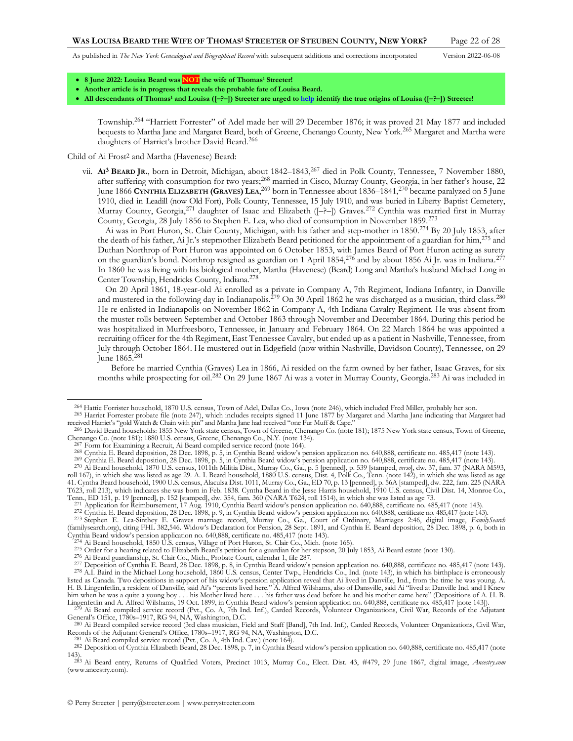<span id="page-21-0"></span>

- **8 June 2022: Louisa Beard was NOT the wife of Thomas<sup>1</sup> Streeter!**
- **Another article is in progress that reveals the probable fate of Louisa Beard.**
- **All descendants of Thomas<sup>1</sup> and Louisa ([–?–]) Streeter are urged t[o help](http://www.perrystreeter.com/help/streeter.pdf) identify the true origins of Louisa ([–?–]) Streeter!**

Township. <sup>264</sup> "Harriett Forrester" of Adel made her will 29 December 1876; it was proved 21 May 1877 and included bequests to Martha Jane and Margaret Beard, both of Greene, Chenango County, New York.<sup>265</sup> Margaret and Martha were daughters of Harriet's brother David Beard.<sup>266</sup>

Child of Ai Frost2 and Martha (Havenese) Beard:

vii. **AI <sup>3</sup> BEARD JR.**, born in Detroit, Michigan, about 1842–1843,<sup>267</sup> died in Polk County, Tennessee, 7 November 1880, after suffering with consumption for two years;<sup>268</sup> married in Cisco, Murray County, Georgia, in her father's house, 22 June 1866 **CYNTHIA ELIZABETH (GRAVES) LEA**, <sup>269</sup> born in Tennessee about 1836–1841, <sup>270</sup> became paralyzed on 5 June 1910, died in Leadill (now Old Fort), Polk County, Tennessee, 15 July 1910, and was buried in Liberty Baptist Cemetery, Murray County, Georgia,<sup>271</sup> daughter of Isaac and Elizabeth ( $[-(-2)]$ ) Graves.<sup>272</sup> Cynthia was married first in Murray County, Georgia, 28 July 1856 to Stephen E. Lea, who died of consumption in November 1859.<sup>273</sup>

Ai was in Port Huron, St. Clair County, Michigan, with his father and step-mother in 1850.<sup>274</sup> By 20 July 1853, after the death of his father, Ai Jr.'s stepmother Elizabeth Beard petitioned for the appointment of a guardian for him,<sup>275</sup> and Duthan Northrop of Port Huron was appointed on 6 October 1853, with James Beard of Port Huron acting as surety on the guardian's bond. Northrop resigned as guardian on 1 April 1854,<sup>276</sup> and by about 1856 Ai Jr. was in Indiana.<sup>277</sup> In 1860 he was living with his biological mother, Martha (Havenese) (Beard) Long and Martha's husband Michael Long in Center Township, Hendricks County, Indiana. 278

On 20 April 1861, 18-year-old Ai enrolled as a private in Company A, 7th Regiment, Indiana Infantry, in Danville and mustered in the following day in Indianapolis.<sup>279</sup> On 30 April 1862 he was discharged as a musician, third class.<sup>280</sup> He re-enlisted in Indianapolis on November 1862 in Company A, 4th Indiana Cavalry Regiment. He was absent from the muster rolls between September and October 1863 through November and December 1864. During this period he was hospitalized in Murfreesboro, Tennessee, in January and February 1864. On 22 March 1864 he was appointed a recruiting officer for the 4th Regiment, East Tennessee Cavalry, but ended up as a patient in Nashville, Tennessee, from July through October 1864. He mustered out in Edgefield (now within Nashville, Davidson County), Tennessee, on 29 June 1865.<sup>281</sup>

Before he married Cynthia (Graves) Lea in 1866, Ai resided on the farm owned by her father, Isaac Graves, for six months while prospecting for oil.<sup>282</sup> On 29 June 1867 Ai was a voter in Murray County, Georgia.<sup>283</sup> Ai was included in

received Harriet's "gold Watch & Chain with pin" and Martha Jane had received "one Fur Muff & Cape."

<sup>&</sup>lt;sup>264</sup> Hattie Forrister household, 1870 U.S. census, Town of Adel, Dallas Co., Iowa (note [246\),](#page-20-0) which included Fred Miller, probably her son.<br><sup>265</sup> Harriet Forrester probate file (note [247\),](#page-20-1) which includes receipts signed 1

<sup>266</sup> David Beard households: 1855 New York state census, Town of Greene, Chenango Co. (not[e 181\)](#page-17-0); 1875 New York state census, Town of Greene, Chenango Co. (not[e 181\)](#page-17-0); 1880 U.S. census, Greene, Chenango Co., N.Y. (not[e 134\).](#page-13-3)

<sup>&</sup>lt;sup>7</sup> Form for Examining a Recruit, Ai Beard compiled service record (not[e 164\)](#page-16-4).

<sup>&</sup>lt;sup>268</sup> Cynthia E. Beard deposition, 28 Dec. 1898, p. 5, in Cynthia Beard widow's pension application no. 640,888, certificate no. 485,417 (note [143\)](#page-14-3).<br><sup>269</sup> Cynthia E. Beard deposition, 28 Dec. 1898, p. 5, in Cynthia Beard w

<sup>270</sup> Ai Beard household, 1870 U.S. census, 1011th Militia Dist., Murray Co., Ga., p. 5 [penned], p. 539 [stamped, *verso*], dw. 37, fam. 37 (NARA M593, roll 167), in which she was listed as age 29. A. I. Beard household, 1880 U.S. census, Dist. 4, Polk Co., Tenn. (note [142\)](#page-14-4), in which she was listed as age<br>41. Cyntha Beard household, 1900 U.S. census, Alaculsa Dist. 1011, T623, roll 213), which indicates she was born in Feb. 1838. Cyntha Beard in the Jesse Harris household, 1910 U.S. census, Civil Dist. 14, Monroe Co., Tenn., ED 151, p. 19 [penned], p. 152 [stamped], dw. 354, fam. 360 (NARA T624, roll 1514), in which she was listed as age 73.<br><sup>271</sup> Application for Reimbursement, 17 Aug. 1910, Cynthia Beard widow's pension application no.

<sup>272</sup> Cynthia E. Beard deposition, 28 Dec. 1898, p. 9, in Cynthia Beard widow's pension application no. 640,888, certificate no. 485,417 (not[e 143\).](#page-14-3)

<sup>&</sup>lt;sup>273</sup> Stephen E. Lea-Sinthey E. Graves marriage record, Murray Co., Ga., Court of Ordinary, Marriages 2:46, digital image, FamilySearch (familysearch.org), citing FHL 382,546. Widow's Declaration for Pension, 28 Sept. 1891 Cynthia Beard widow's pension application no. 640,888, certificate no. 485,417 (note [143\).](#page-14-3)

<sup>&</sup>lt;sup>274</sup> Ai Beard household, 1850 Ü.S. census, Village of Port Huron, St. Clair Co., Mich. (not[e 165\)](#page-16-5).<br><sup>275</sup> Order for a hearing related to Elizabeth Beard's petition for a guardian for her stepson, 20 July 1853, Ai Beard est

<sup>276</sup> Ai Beard guardianship, St. Clair Co., Mich., Probate Court, calendar 1, file 287.

<sup>&</sup>lt;sup>277</sup> Deposition of Cynthia E. Beard, 28 Dec. 1898, p. 8, in Cynthia Beard widow's pension application no. 640,888, certificate no. 485,417 (not[e 143\)](#page-14-3).<br><sup>278</sup> A.I. Baird in the Michael Long household, 1860 U.S. census, Cent listed as Canada. Two depositions in support of his widow's pension application reveal that Ai lived in Danville, Ind., from the time he was young. A. H. B. Lingenfetlin, a resident of Danville, said Ai's "parents lived here." A. Alfred Wilshams, also of Dansville, said Ai "lived at Danville Ind. and I Knew<br>him when he was a quite a young boy . . . his Mother lived here

Lingenfetlin and A. Ålfred Wilshams, 19 Oct. 1899, in Cynthia Beard widow's pension application no. 640,888, certificate no. 485,417 [not[e 143\]](#page-14-3)).<br><sup>279</sup> Ai Beard compiled service record (Pvt., Co. A, 7th Ind. Inf.), Carded General's Office, 1780s–1917, RG 94, NA, Washington, D.C.

<sup>280</sup> Ai Beard compiled service record (3rd class musician, Field and Staff [Band], 7th Ind. Inf.), Carded Records, Volunteer Organizations, Civil War, Records of the Adjutant General's Office, 1780s–1917, RG 94, NA, Washington, D.C.

 $^{281}$  Ai Beard compiled service record (Pvt., Co. A, 4th Ind. Cav.) (not[e 164\)](#page-16-4).

<sup>282</sup> Deposition of Cynthia Elizabeth Beard, 28 Dec. 1898, p. 7, in Cynthia Beard widow's pension application no. 640,888, certificate no. 485,417 (note [143\).](#page-14-3) 283 Ai Beard entry, Returns of Qualified Voters, Precinct 1013, Murray Co., Elect. Dist. 43, #479, 29 June 1867, digital image, *Ancestry.com*

<sup>(</sup>www.ancestry.com).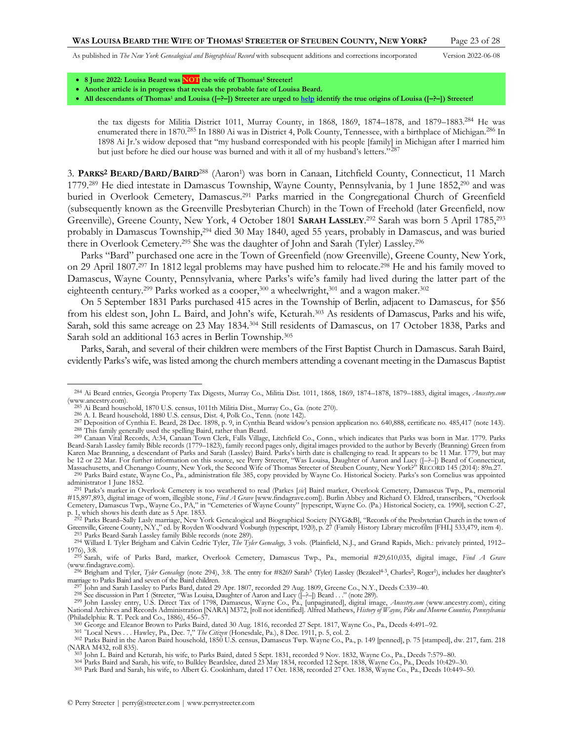<span id="page-22-2"></span>

- **8 June 2022: Louisa Beard was NOT the wife of Thomas<sup>1</sup> Streeter!**
- **Another article is in progress that reveals the probable fate of Louisa Beard.**
- **All descendants of Thomas<sup>1</sup> and Louisa ([–?–]) Streeter are urged t[o help](http://www.perrystreeter.com/help/streeter.pdf) identify the true origins of Louisa ([–?–]) Streeter!**

<span id="page-22-3"></span>the tax digests for Militia District 1011, Murray County, in 1868, 1869, 1874–1878, and 1879–1883.<sup>284</sup> He was enumerated there in 1870.<sup>285</sup> In 1880 Ai was in District 4, Polk County, Tennessee, with a birthplace of Michigan.<sup>286</sup> In 1898 Ai Jr.'s widow deposed that "my husband corresponded with his people [family] in Michigan after I married him but just before he died our house was burned and with it all of my husband's letters."287

<span id="page-22-0"></span>3. **PARKS2 BEARD/BARD/BAIRD**<sup>288</sup> (Aaron<sup>1</sup> ) was born in Canaan, Litchfield County, Connecticut, 11 March 1779.<sup>289</sup> He died intestate in Damascus Township, Wayne County, Pennsylvania, by 1 June 1852,<sup>290</sup> and was buried in Overlook Cemetery, Damascus.<sup>291</sup> Parks married in the Congregational Church of Greenfield (subsequently known as the Greenville Presbyterian Church) in the Town of Freehold (later Greenfield, now Greenville), Greene County, New York, 4 October 1801 **SARAH LASSLEY**. <sup>292</sup> Sarah was born 5 April 1785,<sup>293</sup> probably in Damascus Township,<sup>294</sup> died 30 May 1840, aged 55 years, probably in Damascus, and was buried there in Overlook Cemetery.<sup>295</sup> She was the daughter of John and Sarah (Tyler) Lassley.<sup>296</sup>

<span id="page-22-1"></span>Parks "Bard" purchased one acre in the Town of Greenfield (now Greenville), Greene County, New York, on 29 April 1807.<sup>297</sup> In 1812 legal problems may have pushed him to relocate.<sup>298</sup> He and his family moved to Damascus, Wayne County, Pennsylvania, where Parks's wife's family had lived during the latter part of the eighteenth century.<sup>299</sup> Parks worked as a cooper,<sup>300</sup> a wheelwright,<sup>301</sup> and a wagon maker.<sup>302</sup>

On 5 September 1831 Parks purchased 415 acres in the Township of Berlin, adjacent to Damascus, for \$56 from his eldest son, John L. Baird, and John's wife, Keturah.<sup>303</sup> As residents of Damascus, Parks and his wife, Sarah, sold this same acreage on 23 May 1834.<sup>304</sup> Still residents of Damascus, on 17 October 1838, Parks and Sarah sold an additional 163 acres in Berlin Township.<sup>305</sup>

Parks, Sarah, and several of their children were members of the First Baptist Church in Damascus. Sarah Baird, evidently Parks's wife, was listed among the church members attending a covenant meeting in the Damascus Baptist

<sup>284</sup> Ai Beard entries, Georgia Property Tax Digests, Murray Co., Militia Dist. 1011, 1868, 1869, 1874–1878, 1879–1883, digital images, *Ancestry.com* (www.ancestry.com).

<sup>285</sup> Ai Beard household, 1870 U.S. census, 1011th Militia Dist., Murray Co., Ga. (not[e 270\)](#page-21-0). 286 A. I. Beard household, 1880 U.S. census, Dist. 4, Polk Co., Tenn. (not[e 142\)](#page-14-4).

<sup>287</sup> Deposition of Cynthia E. Beard, 28 Dec. 1898, p. 9, in Cynthia Beard widow's pension application no. 640,888, certificate no. 485,417 (not[e 143\).](#page-14-3) 288 This family generally used the spelling Baird, rather than Beard. 289 Canaan Vital Records, A:34, Canaan Town Clerk, Falls Village, Litchfield Co., Conn., which indicates that Parks was born in Mar. 1779. Parks

Beard-Sarah Lassley family Bible records (1779–1823), family record pages only, digital images provided to the author by Beverly (Branning) Green from Karen Mae Branning, a descendant of Parks and Sarah (Lassley) Baird. Parks's birth date is challenging to read. It appears to be 11 Mar. 1779, but may<br>be 12 or 22 Mar. For further information on this source, see Perry Stre Massachusetts, and Chenango County, New York, the Second Wife of Thomas Streeter of Steuben County, New York?" RECORD 145 (2014): 89n.27.

<sup>290</sup> Parks Baird estate, Wayne Co., Pa., administration file 385, copy provided by Wayne Co. Historical Society. Parks's son Cornelius was appointed administrator 1 June 1852.

<sup>291</sup> Parks's marker in Overlook Cemetery is too weathered to read (Parkes [*sic*] Baird marker, Overlook Cemetery, Damascus Twp., Pa., memorial #15,897,893, digital image of worn, illegible stone, Find A Grave [www.findagrave.com]). Burlin Abbey and Richard O. Eldred, transcribers, "Overlook<br>Cemetery, Damascus Twp., Wayne Co., PA," in "Cemeteries of Wayne County"

p. 1, which shows his death date as 5 Apr. 1853.<br><sup>292</sup> Parks Beard–Sally Lasly marriage, New York Genealogical and Biographical Society [NYG&B], "Records of the Presbyterian Church in the town of<br>Greenville, Greene County, 293 Parks Beard-Sarah Lassley family Bible records (not[e 289\).](#page-22-0)

<sup>294</sup> Willard I. Tyler Brigham and Calvin Cedric Tyler, *The Tyler Genealogy,* 3 vols. (Plainfield, N.J., and Grand Rapids, Mich.: privately printed, 1912– 1976), 3:8. 295 Sarah, wife of Parks Bard, marker, Overlook Cemetery, Damascus Twp., Pa., memorial #29,610,035, digital image, *Find A Grave*

<sup>(</sup>www.findagrave.com).

<sup>&</sup>lt;sup>296</sup> Brigham and Tyler, *Tyler Genealogy* (not[e 294\)](#page-22-1), 3:8. The entry for #8269 Sarah<sup>5</sup> (Tyler) Lassley (Bezaleel<sup>4-3</sup>, Charles<sup>2</sup>, Roger<sup>1</sup>), includes her daughter's marriage to Parks Baird and seven of the Baird children.

<sup>297</sup> John and Sarah Lassley to Parks Bard, dated 29 Apr. 1807, recorded 29 Aug. 1809, Greene Co., N.Y., Deeds C:339–40.

<sup>298</sup> See discussion in Part 1 (Streeter, "Was Louisa, Daughter of Aaron and Lucy ([–?–]) Beard . . ." (note [289\)](#page-22-0).

<sup>299</sup> John Lassley entry, U.S. Direct Tax of 1798, Damascus, Wayne Co., Pa., [unpaginated], digital image, *Ancestry.com* (www.ancestry.com), citing National Archives and Records Administration [NARA] M372, [roll not identified]. Alfred Mathews, *History of Wayne, Pike and Monroe Counties, Pennsylvania* (Philadelphia: R. T. Peck and Co., 1886), 456–57.

<sup>300</sup> George and Eleanor Brown to Parks Baird, dated 30 Aug. 1816, recorded 27 Sept. 1817, Wayne Co., Pa., Deeds 4:491–92.

<sup>&</sup>lt;sup>301</sup> "Local News . . . Hawley, Pa., Dec. 7," *The Citizen* (Honesdale, Pa.), 8 Dec. 1911, p. 5, col. 2.<br><sup>302</sup> Parks Baird in the Aaron Baird household, 1850 U.S. census, Damascus Twp. Wayne Co., Pa., p. 149 [penned], p. 7 (NARA M432, roll 835).

<sup>&</sup>lt;sup>303</sup> John L. Baird and Keturah, his wife, to Parks Baird, dated 5 Sept. 1831, recorded 9 Nov. 1832, Wayne Co., Pa., Deeds 7:579–80.<br><sup>304</sup> Parks Baird and Sarah, his wife, to Bulkley Beardslee, dated 23 May 1834, recorded

<sup>305</sup> Park Bard and Sarah, his wife, to Albert G. Cookinham, dated 17 Oct. 1838, recorded 27 Oct. 1838, Wayne Co., Pa., Deeds 10:449–50.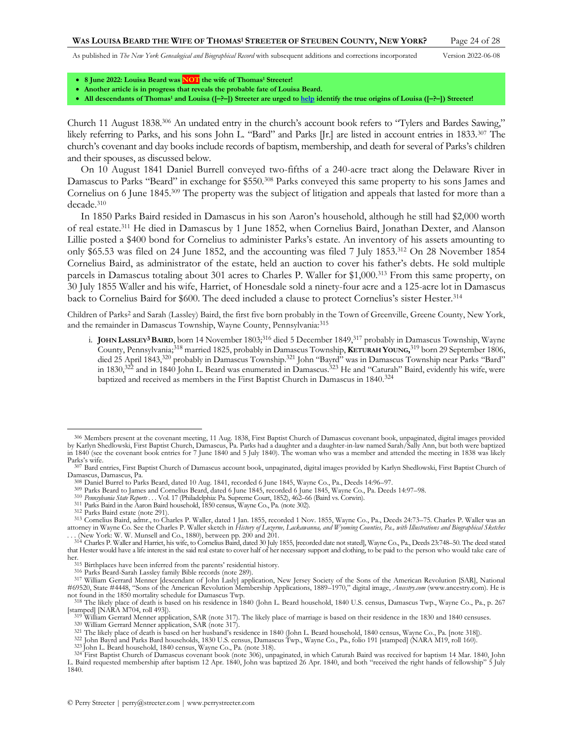- **8 June 2022: Louisa Beard was NOT the wife of Thomas<sup>1</sup> Streeter!**
- **Another article is in progress that reveals the probable fate of Louisa Beard.**
- <span id="page-23-2"></span>• **All descendants of Thomas<sup>1</sup> and Louisa ([–?–]) Streeter are urged t[o help](http://www.perrystreeter.com/help/streeter.pdf) identify the true origins of Louisa ([–?–]) Streeter!**

Church 11 August 1838.<sup>306</sup> An undated entry in the church's account book refers to "Tylers and Bardes Sawing," likely referring to Parks, and his sons John L. "Bard" and Parks [Jr.] are listed in account entries in 1833.<sup>307</sup> The church's covenant and day books include records of baptism, membership, and death for several of Parks's children and their spouses, as discussed below.

On 10 August 1841 Daniel Burrell conveyed two-fifths of a 240-acre tract along the Delaware River in Damascus to Parks "Beard" in exchange for \$550.<sup>308</sup> Parks conveyed this same property to his sons James and Cornelius on 6 June 1845.<sup>309</sup> The property was the subject of litigation and appeals that lasted for more than a decade.<sup>310</sup>

In 1850 Parks Baird resided in Damascus in his son Aaron's household, although he still had \$2,000 worth of real estate.<sup>311</sup> He died in Damascus by 1 June 1852, when Cornelius Baird, Jonathan Dexter, and Alanson Lillie posted a \$400 bond for Cornelius to administer Parks's estate. An inventory of his assets amounting to only \$65.53 was filed on 24 June 1852, and the accounting was filed 7 July 1853.<sup>312</sup> On 28 November 1854 Cornelius Baird, as administrator of the estate, held an auction to cover his father's debts. He sold multiple parcels in Damascus totaling about 301 acres to Charles P. Waller for \$1,000.<sup>313</sup> From this same property, on 30 July 1855 Waller and his wife, Harriet, of Honesdale sold a ninety-four acre and a 125-acre lot in Damascus back to Cornelius Baird for \$600. The deed included a clause to protect Cornelius's sister Hester.<sup>314</sup>

Children of Parks2 and Sarah (Lassley) Baird, the first five born probably in the Town of Greenville, Greene County, New York, and the remainder in Damascus Township, Wayne County, Pennsylvania:<sup>315</sup>

<span id="page-23-1"></span><span id="page-23-0"></span>i. **JOHN LASSLEY3BAIRD**, born 14 November 1803; <sup>316</sup> died 5 December 1849, <sup>317</sup> probably in Damascus Township, Wayne County, Pennsylvania;<sup>318</sup> married 1825, probably in Damascus Township, **KETURAH YOUNG,** <sup>319</sup> born 29 September 1806, died 25 April 1843,<sup>320</sup> probably in Damascus Township.<sup>321</sup> John "Bayrd" was in Damascus Township near Parks "Bard" in 1830,<sup>322</sup> and in 1840 John L. Beard was enumerated in Damascus.<sup>323</sup> He and "Caturah" Baird, evidently his wife, were baptized and received as members in the First Baptist Church in Damascus in 1840.<sup>324</sup>

- 309 Parks Beard to James and Cornelius Beard, dated 6 June 1845, recorded 6 June 1845, Wayne Co., Pa. Deeds 14:97–98.
- 310 *Pennsylvania State Reports . . .* Vol. 17 (Philadelphia: Pa. Supreme Court, 1852), 462–66 (Baird vs. Corwin). 311 Parks Baird in the Aaron Baird household, 1850 census, Wayne Co., Pa. (not[e 302\).](#page-22-2)
- 
- 312 Parks Baird estate (not[e 291\)](#page-22-3).

316 Parks Beard-Sarah Lassley family Bible records (not[e 289\).](#page-22-0)

320 William Gerrard Menner application, SAR (note [317\)](#page-23-0).

<sup>306</sup> Members present at the covenant meeting, 11 Aug. 1838, First Baptist Church of Damascus covenant book, unpaginated, digital images provided by Karlyn Shedlowski, First Baptist Church, Damascus, Pa. Parks had a daughter and a daughter-in-law named Sarah/Sally Ann, but both were baptized in 1840 (see the covenant book entries for 7 June 1840 and 5 July 1840). The woman who was a member and attended the meeting in 1838 was likely Parks's wife.

<sup>307</sup> Bard entries, First Baptist Church of Damascus account book, unpaginated, digital images provided by Karlyn Shedlowski, First Baptist Church of Damascus, Damascus, Pa.

<sup>308</sup> Daniel Burrel to Parks Beard, dated 10 Aug. 1841, recorded 6 June 1845, Wayne Co., Pa., Deeds 14:96–97.

<sup>313</sup> Cornelius Baird, admr., to Charles P. Waller, dated 1 Jan. 1855, recorded 1 Nov. 1855, Wayne Co., Pa., Deeds 24:73–75. Charles P. Waller was an attorney in Wayne Co. See the Charles P. Waller sketch in *History of Luzerne, Lackawanna, and Wyoming Counties, Pa., with Illustrations and Biographical Sketches* 

<sup>... (</sup>New York: W. W. Munsell and Co., 1880), between pp. 200 and 201.<br>314 Charles P. Waller and Harriet, his wife, to Cornelius Baird, dated 30 July 1855, [recorded date not stated], Wayne Co., Pa., Deeds 23:748–50. The de that Hester would have a life interest in the said real estate to cover half of her necessary support and clothing, to be paid to the person who would take care of her.

<sup>315</sup> Birthplaces have been inferred from the parents' residential history.

<sup>317</sup> William Gerrard Menner [descendant of John Lasly] application, New Jersey Society of the Sons of the American Revolution [SAR], National #69520, State #4448, "Sons of the American Revolution Membership Applications, 1889–1970," digital image, *Ancestry.com* (www.ancestry.com). He is not found in the 1850 mortality schedule for Damascus Twp.

<sup>318</sup> The likely place of death is based on his residence in 1840 (John L. Beard household, 1840 U.S. census, Damascus Twp., Wayne Co., Pa., p. 267

<sup>[</sup>stamped] [NARA M704, roll 493]).<br><sup>319</sup> William Gerrard Menner application, SAR (note [317\)](#page-23-0). The likely place of marriage is based on their residence in the 1830 and 1840 censuses.

<sup>&</sup>lt;sup>321</sup> The likely place of death is based on her husband's residence in 1840 (John L. Beard household, 1840 census, Wayne Co., Pa. [not[e 318\]\)](#page-23-1).<br><sup>322</sup> John Bayrd and Parks Bard households, 1830 U.S. census, Damascus Twp., Wa

<sup>323</sup> John L. Beard household, 1840 census, Wayne Co., Pa. (not[e 318\).](#page-23-1)

<sup>&</sup>lt;sup>324</sup> First Baptist Church of Damascus covenant book (note [306\)](#page-23-2), unpaginated, in which Caturah Baird was received for baptism 14 Mar. 1840, John<br>L. Baird requested membership after baptism 12 Apr. 1840, John was baptized 2 1840.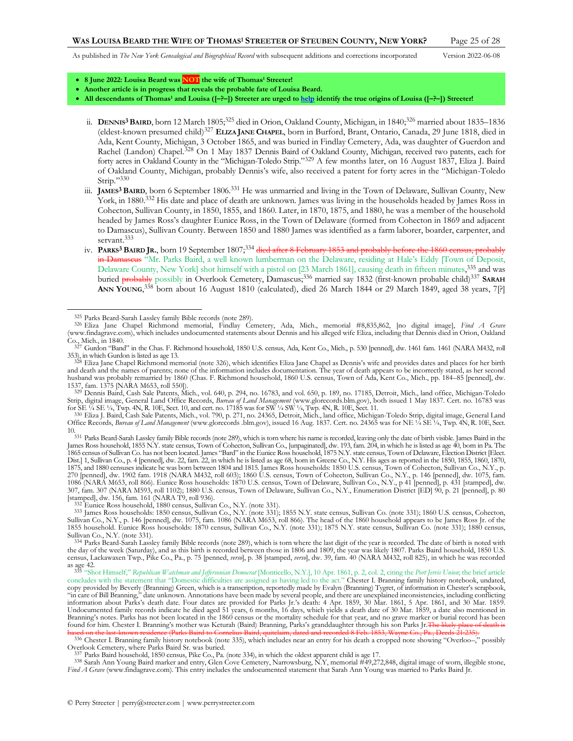<span id="page-24-2"></span><span id="page-24-0"></span>

- **8 June 2022: Louisa Beard was NOT the wife of Thomas<sup>1</sup> Streeter!**
- **Another article is in progress that reveals the probable fate of Louisa Beard.**
- **All descendants of Thomas<sup>1</sup> and Louisa ([–?–]) Streeter are urged t[o help](http://www.perrystreeter.com/help/streeter.pdf) identify the true origins of Louisa ([–?–]) Streeter!**
	- ii. DENNIS<sup>3</sup> BAIRD, born 12 March 1805;<sup>325</sup> died in Orion, Oakland County, Michigan, in 1840;<sup>326</sup> married about 1835-1836 (eldest-known presumed child)<sup>327</sup> **ELIZA JANE CHAPEL**, born in Burford, Brant, Ontario, Canada, 29 June 1818, died in Ada, Kent County, Michigan, 3 October 1865, and was buried in Findlay Cemetery, Ada, was daughter of Guerdon and Rachel (Landon) Chapel.<sup>328</sup> On 1 May 1837 Dennis Baird of Oakland County, Michigan, received two patents, each for forty acres in Oakland County in the "Michigan-Toledo Strip."<sup>329</sup> A few months later, on 16 August 1837, Eliza J. Baird of Oakland County, Michigan, probably Dennis's wife, also received a patent for forty acres in the "Michigan-Toledo Strip."330
	- iii. **JAMES3 BAIRD**, born 6 September 1806.<sup>331</sup> He was unmarried and living in the Town of Delaware, Sullivan County, New York, in 1880.<sup>332</sup> His date and place of death are unknown. James was living in the households headed by James Ross in Cohecton, Sullivan County, in 1850, 1855, and 1860. Later, in 1870, 1875, and 1880, he was a member of the household headed by James Ross's daughter Eunice Ross, in the Town of Delaware (formed from Cohecton in 1869 and adjacent to Damascus), Sullivan County. Between 1850 and 1880 James was identified as a farm laborer, boarder, carpenter, and servant.<sup>333</sup>
- <span id="page-24-4"></span><span id="page-24-3"></span><span id="page-24-1"></span>iv. PARKS<sup>3</sup> BAIRD JR., born 19 September 1807;<sup>334</sup> died after 8 February 1853 and probably before in Damascus "Mr. Parks Baird, a well known lumberman on the Delaware, residing at Hale's Eddy [Town of Deposit, Delaware County, New York] shot himself with a pistol on [23 March 1861], causing death in fifteen minutes,<sup>335</sup> and was buried probably possibly in Overlook Cemetery, Damascus;<sup>336</sup> married say 1832 (first-known probable child)<sup>337</sup> **SARAH ANN YOUNG**, <sup>338</sup> born about 16 August 1810 (calculated), died 26 March 1844 or 29 March 1849, aged 38 years, 7[?]

337 Parks Baird household, 1850 census, Pike Co., Pa. (not[e 334\)](#page-24-3), in which the oldest apparent child is age 17.<br><sup>338</sup> Sarah Ann Young Baird marker and entry, Glen Cove Cemetery, Narrowsburg, N.Y, memorial #49,272,848, digi *Find A Grave* (www.findagrave.com). This entry includes the undocumented statement that Sarah Ann Young was married to Parks Baird Jr.

<sup>325</sup> Parks Beard-Sarah Lassley family Bible records (not[e 289\).](#page-22-0)

<sup>326</sup> Eliza Jane Chapel Richmond memorial, Findlay Cemetery, Ada, Mich., memorial #8,835,862, [no digital image], *Find A Grave* (www.findagrave.com), which includes undocumented statements about Dennis and his alleged wife Eliza, including that Dennis died in Orion, Oakland Co., Mich., in 1840. 327 Gurdon "Band" in the Chas. F. Richmond household, 1850 U.S. census, Ada, Kent Co., Mich., p. 530 [penned], dw. 1461 fam. 1461 (NARA M432, roll

<sup>353),</sup> in which Gurdon is listed as age 13.

<sup>&</sup>lt;sup>328</sup> Eliza Jane Chapel Richmond memorial (not[e 326](#page-24-0)), which identifies Eliza Jane Chapel as Dennis's wife and provides dates and places for her birth and death and the names of parents; none of the information includes documentation. The year of death appears to be incorrectly stated, as her second husband was probably remarried by 1860 (Chas. F. Richmond household, 1860 U.S. census, Town of Ada, Kent Co., Mich., pp. 184–85 [penned], dw.

<sup>1537,</sup> fam. 1375 [NARA M653, roll 550]). 329 Dennis Baird, Cash Sale Patents, Mich., vol. 640, p. 294, no. 16783, and vol. 650, p. 189, no. 17185, Detroit, Mich., land office, Michigan-Toledo Strip, digital image, General Land Office Records, *Bureau of Land Management* (www.glorecords.blm.gov), both issued 1 May 1837. Cert. no. 16783 was

for SE ¼ SE ¼, Twp. 4N, R. 10E, Sect. 10, and cert. no. 17185 was for SW ¼ SW ¼, Twp. 4N, R. 10E, Sect. 11.<br>330 Eliza J. Baird, Cash Sale Patents, Mich., vol. 790, p. 271, no. 24365, Detroit, Mich., land office, Michigan-T Office Records, *Bureau of Land Management* (www.glorecords .blm.gov), issued 16 Aug. 1837. Cert. no. 24365 was for NE ¼ SE ¼, Twp. 4N, R. 10E, Sect.

<sup>10.&</sup>lt;br><sup>331</sup> Parks Beard-Sarah Lassley family Bible records (not[e 289\),](#page-22-0) which is torn where his name is recorded, leaving only the date of birth visible. James Baird in the James Ross household, 1855 N.Y. state census, Town of Cohecton, Sullivan Co., [unpaginated], dw. 193, fam. 204, in which he is listed as age 40, born in Pa. The 1865 census of Sullivan Co. has not been located. James 'Bard'' in the Eunice Ross household, 1875 N.Y. state census, Town of Delaware, Election District [Elect.<br>Dist.] 1, Sullivan Co., p. 4 [penned], dw. 22, fam. 22, in w 1875, and 1880 censuses indicate he was born between 1804 and 1815. James Ross households: 1850 U.S. census, Town of Cohecton, Sullivan Co., N.Y., p. 270 [penned], dw. 1902 fam. 1918 (NARA M432, roll 603); 1860 U.S. census, Town of Cohecton, Sullivan Co., N.Y., p. 146 [penned], dw. 1075, fam.<br>1086 (NARA M653, roll 866). Eunice Ross households: 1870 U.S. census, Town of 307, fam. 307 (NARA M593, roll 1102); 1880 U.S. census, Town of Delaware, Sullivan Co., N.Y., Enumeration District [ED] 90, p. 21 [penned], p. 80 [stamped], dw. 156, fam. 161 (NARA T9, roll 936). 332 Eunice Ross household, 1880 census, Sullivan Co., N.Y. (not[e 331\).](#page-24-1)

<sup>333</sup> James Ross households: 1850 census, Sullivan Co., N.Y. (not[e 331\);](#page-24-1) 1855 N.Y. state census, Sullivan Co. (note [331\)](#page-24-1); 1860 U.S. census, Cohecton, Sullivan Co., N.Y., p. 146 [penned], dw. 1075, fam. 1086 (NARA M653, roll 866). The head of the 1860 household appears to be James Ross Jr. of the<br>1855 household. Eunice Ross households: 1870 census, Sullivan Co., N.Y. (no Sullivan Co., N.Y. (not[e 331\).](#page-24-1)

<sup>334</sup> Parks Beard-Sarah Lassley family Bible records (not[e 289\),](#page-22-0) which is torn where the last digit of the year is recorded. The date of birth is noted with the day of the week (Saturday), and as this birth is recorded between those in 1806 and 1809, the year was likely 1807. Parks Baird household, 1850 U.S. census, Lackawaxen Twp., Pike Co., Pa., p. 75 [penned, *verso*], p. 38 [stamped, *verso*], dw. 39, fam. 40 (NARA M432, roll 825), in which he was recorded

as age 42. 335 "Shot Himself," *Republican Watchman and Jeffersonian Democrat* [Monticello, N.Y.], 10 Apr. 1861, p. 2, col. 2, citing the *Port Jervis Union*; the brief article concludes with the statement that "Domestic difficulties are assigned as having led to the act." Chester I. Branning family history notebook, undated, copy provided by Beverly (Branning) Green, which is a transcription, reportedly made by Evalyn (Branning) Tygret, of information in Chester's scrapbook,<br>"in care of Bill Branning," date unknown. Annotations have been made information about Parks's death date. Four dates are provided for Parks Jr.'s death: 4 Apr. 1859, 30 Mar. 1861, 5 Apr. 1861, and 30 Mar. 1859. Undocumented family records indicate he died aged 51 years, 6 months, 16 days, which yields a death date of 30 Mar. 1859, a date also mentioned in<br>Branning's notes. Parks has not been located in the 1860 census or the mort found for him. Chester I. Branning's mother was Keturah (Baird) Branning, Parks's granddaughter through his son Parks Jr.<del>T</del>

based on the last-known residence (Parks Baird to Cornelius Baird, quitelaim, dated and recorded 8 Feb. 1853, Wayne Co., Pa., Deeds 21:235).<br><sup>336</sup> Chester I. Branning family history notebook (not[e 335](#page-24-2)), which includes near Overlook Cemetery, where Parks Baird Sr. was buried.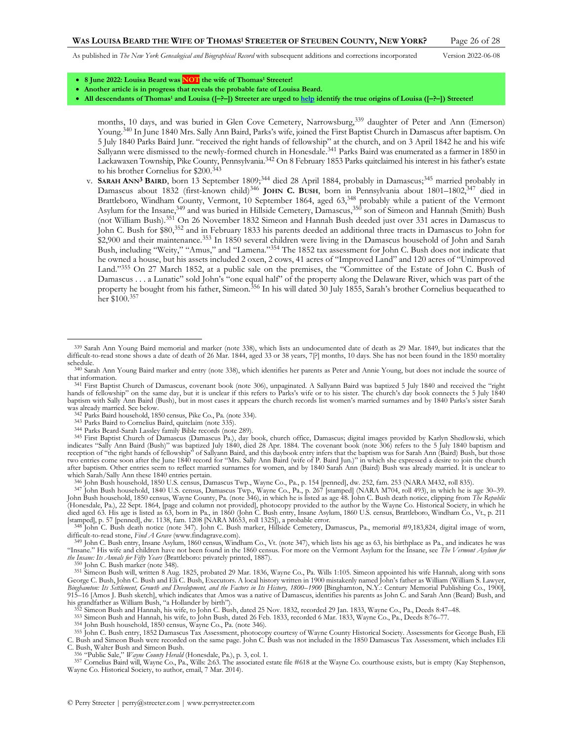<span id="page-25-5"></span><span id="page-25-2"></span><span id="page-25-1"></span>

- **8 June 2022: Louisa Beard was NOT the wife of Thomas<sup>1</sup> Streeter!**
- **Another article is in progress that reveals the probable fate of Louisa Beard.**
- **All descendants of Thomas<sup>1</sup> and Louisa ([–?–]) Streeter are urged t[o help](http://www.perrystreeter.com/help/streeter.pdf) identify the true origins of Louisa ([–?–]) Streeter!**

<span id="page-25-3"></span>months, 10 days, and was buried in Glen Cove Cemetery, Narrowsburg,<sup>339</sup> daughter of Peter and Ann (Emerson) Young.<sup>340</sup> In June 1840 Mrs. Sally Ann Baird, Parks's wife, joined the First Baptist Church in Damascus after baptism. On 5 July 1840 Parks Baird Junr. "received the right hands of fellowship" at the church, and on 3 April 1842 he and his wife Sallyann were dismissed to the newly-formed church in Honesdale.<sup>341</sup> Parks Baird was enumerated as a farmer in 1850 in Lackawaxen Township, Pike County, Pennsylvania. <sup>342</sup> On 8 February 1853 Parks quitclaimed his interest in his father's estate to his brother Cornelius for \$200.<sup>343</sup>

<span id="page-25-0"></span>v. **SARAH ANN3 BAIRD**, born 13 September 1809; <sup>344</sup> died 28 April 1884, probably in Damascus;<sup>345</sup> married probably in Damascus about 1832 (first-known child)<sup>346</sup> JOHN C. BUSH, born in Pennsylvania about 1801–1802,<sup>347</sup> died in Brattleboro, Windham County, Vermont, 10 September 1864, aged 63,<sup>348</sup> probably while a patient of the Vermont Asylum for the Insane,<sup>349</sup> and was buried in Hillside Cemetery, Damascus,<sup>350</sup> son of Simeon and Hannah (Smith) Bush (not William Bush).<sup>351</sup> On 26 November 1832 Simeon and Hannah Bush deeded just over 331 acres in Damascus to John C. Bush for \$80, <sup>352</sup> and in February 1833 his parents deeded an additional three tracts in Damascus to John for \$2,900 and their maintenance.<sup>353</sup> In 1850 several children were living in the Damascus household of John and Sarah Bush, including "Weity," "Amus," and "Lamena."<sup>354</sup> The 1852 tax assessment for John C. Bush does not indicate that he owned a house, but his assets included 2 oxen, 2 cows, 41 acres of "Improved Land" and 120 acres of "Unimproved Land." <sup>355</sup> On 27 March 1852, at a public sale on the premises, the "Committee of the Estate of John C. Bush of Damascus . . . a Lunatic" sold John's "one equal half" of the property along the Delaware River, which was part of the property he bought from his father, Simeon.<sup>356</sup> In his will dated 30 July 1855, Sarah's brother Cornelius bequeathed to her \$100. 357

350 John C. Bush marker (not[e 348\)](#page-25-2).

<span id="page-25-4"></span><sup>339</sup> Sarah Ann Young Baird memorial and marker (note [338\)](#page-24-4), which lists an undocumented date of death as 29 Mar. 1849, but indicates that the difficult-to-read stone shows a date of death of 26 Mar. 1844, aged 33 or 38 years, 7[?] months, 10 days. She has not been found in the 1850 mortality schedule.

<sup>340</sup> Sarah Ann Young Baird marker and entry (note [338\)](#page-24-4), which identifies her parents as Peter and Annie Young, but does not include the source of that information.

<sup>&</sup>lt;sup>341</sup> First Baptist Church of Damascus, covenant book (not[e 306](#page-23-2)), unpaginated. A Sallyann Baird was baptized 5 July 1840 and received the "right hands of fellowship" on the same day, but it is unclear if this refers to Par baptism with Sally Ann Baird (Bush), but in most cases it appears the church records list women's married surnames and by 1840 Parks's sister Sarah was already married. See below.

<sup>342</sup> Parks Baird household, 1850 census, Pike Co., Pa. (not[e 334\)](#page-24-3).

<sup>343</sup> Parks Baird to Cornelius Baird, quitclaim (not[e 335\)](#page-24-2).

<sup>344</sup> Parks Beard-Sarah Lassley family Bible records (not[e 289\).](#page-22-0) 345 First Baptist Church of Damascus (Damascus Pa.), day book, church office, Damascus; digital images provided by Karlyn Shedlowski, which indicates "Sally Ann Baird (Bush)" was baptized July 1840, died 28 Apr. 1884. The covenant book (not[e 306\)](#page-23-2) refers to the 5 July 1840 baptism and reception of "the right hands of fellowship" of Sallyann Baird, and this daybook entry infers that the baptism was for Sarah Ann (Baird) Bush, but those<br>two entries come soon after the June 1840 record for "Mrs. Sally Ann after baptism. Other entries seem to reflect married surnames for women, and by 1840 Sarah Ann (Baird) Bush was already married. It is unclear to which Sarah/Sally Ann these 1840 entries pertain. 346 John Bush household, 1850 U.S. census, Damascus Twp., Wayne Co., Pa., p. 154 [penned], dw. 252, fam. 253 (NARA M432, roll 835).

<sup>347</sup> John Bush household, 1840 U.S. census, Damascus Twp., Wayne Co., Pa., p. 267 [stamped] (NARA M704, roll 493), in which he is age 30–39. John Bush household, 1850 census, Wayne County, Pa. (not[e 346\)](#page-25-0), in which he is listed as age 48. John C. Bush death notice, clipping from *The Republic* (Honesdale, Pa.), 22 Sept. 1864, [page and column not provided], photocopy provided to the author by the Wayne Co. Historical Society, in which he died aged 63. His age is listed as 63, born in Pa., in 1860 (John C. Bush entry, Insane Asylum, 1860 U.S. census, Brattleboro, Windham Co., Vt., p. 211

<sup>[</sup>stamped], p. 57 [penned], dw. 1138, fam. 1208 [NARA M653, roll 1325]), a probable error.<br><sup>348</sup> John C. Bush death notice (note [347\).](#page-25-1) John C. Bush marker, Hillside Cemetery, Damascus, Pa., memorial #9,183,824, digital imag difficult-to-read stone, *Find A Grave* (www.findagrave.com).

<sup>349</sup> John C. Bush entry, Insane Asylum, 1860 census, Windham Co., Vt. (not[e 347\),](#page-25-1) which lists his age as 63, his birthplace as Pa., and indicates he was "Insane." His wife and children have not been found in the 1860 census. For more on the Vermont Asylum for the Insane, see *The Vermont Asylum for the Insane: Its Annals for Fifty Years* (Brattleboro: privately printed, 1887).

<sup>351</sup> Simeon Bush will, written 8 Aug. 1825, probated 29 Mar. 1836, Wayne Co., Pa. Wills 1:105. Simeon appointed his wife Hannah, along with sons George C. Bush, John C. Bush and Eli C. Bush, Executors. A local history written in 1900 mistakenly named John's father as William (William S. Lawyer, *Binghamton: Its Settlement, Growth and Development, and the Factors in Its History, 1800–1900* [Binghamton, N.Y.: Century Memorial Publishing Co., 1900], 915–16 [Amos J. Bush sketch], which indicates that Amos was a native of Damascus, identifies his parents as John C. and Sarah Ann (Beard) Bush, and his grandfather as William Bush, "a Hollander by birth").

<sup>352</sup> Simeon Bush and Hannah, his wife, to John C. Bush, dated 25 Nov. 1832, recorded 29 Jan. 1833, Wayne Co., Pa., Deeds 8:47–48.

<sup>353</sup> Simeon Bush and Hannah, his wife, to John Bush, dated 26 Feb. 1833, recorded 6 Mar. 1833, Wayne Co., Pa., Deeds 8:76–77.

<sup>354</sup> John Bush household, 1850 census, Wayne Co., Pa. (not[e 346\)](#page-25-0).

<sup>&</sup>lt;sup>355</sup> John C. Bush entry, 1852 Damascus Tax Assessment, photocopy courtesy of Wayne County Historical Society. Assessments for George Bush, Eli<br>C. Bush and Simeon Bush were recorded on the same page. John C. Bush was not i C. Bush, Walter Bush and Simeon Bush.

<sup>&</sup>lt;sup>356</sup> "Public Sale," *Wayne County Herald* (Honesdale, Pa.), p. 3, col. 1.<br><sup>357</sup> Cornelius Baird will, Wayne Co., Pa., Wills: 2:63. The associated estate file #618 at the Wayne Co. courthouse exists, but is empty (Kay Step Wayne Co. Historical Society, to author, email, 7 Mar. 2014).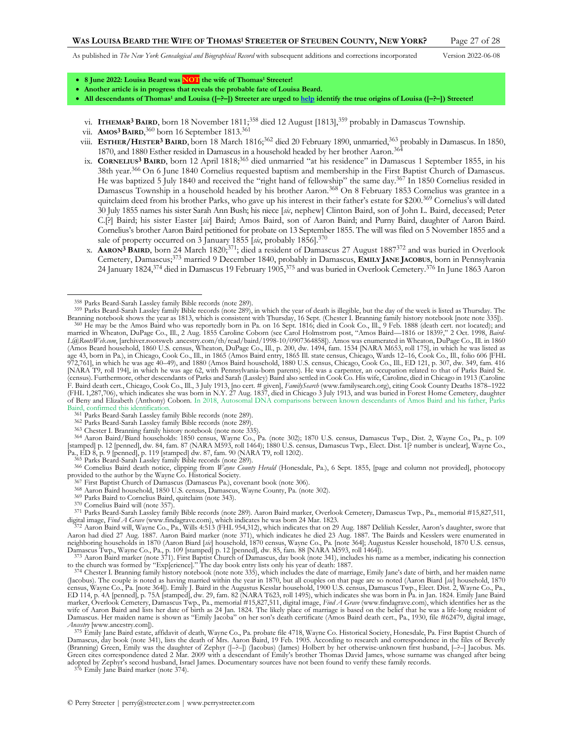<span id="page-26-1"></span>

- **8 June 2022: Louisa Beard was NOT the wife of Thomas<sup>1</sup> Streeter!**
- **Another article is in progress that reveals the probable fate of Louisa Beard.**
- **All descendants of Thomas<sup>1</sup> and Louisa ([–?–]) Streeter are urged t[o help](http://www.perrystreeter.com/help/streeter.pdf) identify the true origins of Louisa ([–?–]) Streeter!**
- vi. **ITHEMAR<sup>3</sup> BAIRD**, born 18 November 1811;<sup>358</sup> died 12 August [1813],<sup>359</sup> probably in Damascus Township.
- vii. **AMOS3 BAIRD**, <sup>360</sup> born 16 September 1813.<sup>361</sup>
- viii. **ESTHER/HESTER3 BAIRD**, born 18 March 1816;<sup>362</sup> died 20 February 1890, unmarried, <sup>363</sup> probably in Damascus. In 1850, 1870, and 1880 Esther resided in Damascus in a household headed by her brother Aaron.<sup>364</sup>
- ix. **CORNELIUS<sup>3</sup> BAIRD**, born 12 April 1818;<sup>365</sup> died unmarried "at his residence" in Damascus 1 September 1855, in his 38th year.<sup>366</sup> On 6 June 1840 Cornelius requested baptism and membership in the First Baptist Church of Damascus. He was baptized 5 July 1840 and received the "right hand of fellowship" the same day.<sup>367</sup> In 1850 Cornelius resided in Damascus Township in a household headed by his brother Aaron.<sup>368</sup> On 8 February 1853 Cornelius was grantee in a quitclaim deed from his brother Parks, who gave up his interest in their father's estate for \$200.<sup>369</sup> Cornelius's will dated 30 July 1855 names his sister Sarah Ann Bush; his niece [*sic*, nephew] Clinton Baird, son of John L. Baird, deceased; Peter C.[?] Baird; his sister Easter [*sic*] Baird; Amos Baird, son of Aaron Baird; and Purny Baird, daughter of Aaron Baird. Cornelius's brother Aaron Baird petitioned for probate on 13 September 1855. The will was filed on 5 November 1855 and a sale of property occurred on 3 January 1855 [sic, probably 1856].<sup>370</sup>
- <span id="page-26-2"></span><span id="page-26-0"></span>x. **AARON3 BAIRD**, born 24 March 1820;371; died a resident of Damascus 27 August 1887<sup>372</sup> and was buried in Overlook Cemetery, Damascus; <sup>373</sup> married 9 December 1840, probably in Damascus, **EMILY JANE JACOBUS**, born in Pennsylvania 24 January 1824,<sup>374</sup> died in Damascus 19 February 1905,<sup>375</sup> and was buried in Overlook Cemetery.<sup>376</sup> In June 1863 Aaron

366 Cornelius Baird death notice, clipping from *Wayne County Herald* (Honesdale, Pa.), 6 Sept. 1855, [page and column not provided], photocopy provided to the author by the Wayne Co. Historical Society.

- <sup>57</sup> First Baptist Church of Damascus (Damascus Pa.), covenant book (not[e 306\)](#page-23-2).
- 368 Aaron Baird household, 1850 U.S. census, Damascus, Wayne County, Pa. (not[e 302\)](#page-22-2).
- 369 Parks Baird to Cornelius Baird, quitclaim (not[e 343\)](#page-25-3).
- 370 Cornelius Baird will (not[e 357\)](#page-25-4).

371 Parks Beard-Sarah Lassley family Bible records (not[e 289\).](#page-22-0) Aaron Baird marker, Overlook Cemetery, Damascus Twp., Pa., memorial #15,827,511, digital image, Find A Grave (www.findagrave.com), which indicates he was born 24 Mar. 1823.<br><sup>372</sup> Aaron Baird will, Wayne Co., Pa., Wills 4:513 (FHL 954,312), which indicates that on 29 Aug. 1887 Deliliah Kessler, Aaron's

Aaron had died 27 Aug. 1887. Aaron Baird marker (note [371\)](#page-26-0), which indicates he died 23 Aug. 1887. The Bairds and Kesslers were enumerated in neighboring households in 1870 (Aaron Biard [*sic*] household, 1870 census, Wayne Co., Pa. [not[e 364\]](#page-26-1); Augustus Kessler household, 1870 U.S. census, Damascus Twp., Wayne Co., Pa., p. 109 [stamped] p. 12 [penned], dw. 85, fam. 88 [NARA M593, roll 1464]).<br><sup>373</sup> Aaron Baird marker (not[e 371\)](#page-26-0). First Baptist Church of Damascus, day book (not[e 341\),](#page-25-5) includes his name as a me

to the church was formed by "Exp[erience]." The day book entry lists only his year of death: 1887.<br><sup>374</sup> Chester I. Branning family history notebook (note not[e 335](#page-24-2)), which includes the date of marriage, Emily Jane's date o

(Jacobus). The couple is noted as having married within the year in 1870, but all couples on that page are so noted (Aaron Biard [*sic*] household, 1870 census, Wayne Co., Pa. [not[e 364\]](#page-26-1)). Emily J. Baird in the Augustus Kesslar household, 1900 U.S. census, Damascus Twp., Elect. Dist. 2, Wayne Co., Pa.,<br>ED 114, p. 4A [penned], p. 75A [stamped], dw. 29, fam. 82 (NARA T623, r marker, Overlook Cemetery, Damascus Twp., Pa., memorial #15,827,511, digital image, *Find A Grave* (www.findagrave.com), which identifies her as the wife of Aaron Baird and lists her date of birth as 24 Jan. 1824. The likely place of marriage is based on the belief that he was a life-long resident of<br>Damascus. Her maiden name is shown as "Emily Jacoba" on her son's dea *Ancestry* [www.ancestry.com]).

<sup>375</sup> Emily Jane Baird estate, affidavit of death, Wayne Co., Pa. probate file 4718, Wayne Co. Historical Society, Honesdale, Pa. First Baptist Church of Damascus, day book (note [341\),](#page-25-5) lists the death of Mrs. Aaron Baird, (Branning) Green, Emily was the daughter of Zephyr ([–?–]) (Jacobus) (James) Holbert by her otherwise-unknown first husband, [–?–] Jacobus. Ms. Green cites correspondence dated 2 Mar. 2009 with a descendant of Emily's brother Thomas David James, whose surname was changed after being adopted by Zephyr's second husband, Israel James. Documentary sources have not been found to verify these family records. 376 Emily Jane Baird marker (not[e 374\)](#page-26-2).

<sup>358</sup> Parks Beard-Sarah Lassley family Bible records (not[e 289\).](#page-22-0)

<sup>359</sup> Parks Beard-Sarah Lassley family Bible records (not[e 289\)](#page-22-0), in which the year of death is illegible, but the day of the week is listed as Thursday. The Branning notebook shows the year as 1813, which is consistent with Thursday, 16 Sept. (Chester I. Branning family history notebook [note not[e 335\]](#page-24-2)).<br><sup>360</sup> He may be the Amos Baird who was reportedly born in Pa. on 16 Sept. married in Wheaton, DuPage Co., Ill., 2 Aug. 1855 Caroline Coborn (see Carol Holmstrom post, "Amos Baird—1816 or 1839?," 2 Oct. 1998, *Baird-L@RootsWeb.com*, [archiver.rootsweb .ancestry.com/th/read/baird/1998-10/0907364858]). Amos was enumerated in Wheaton, DuPage Co., Ill. in 1860 (Amos Beard household, 1860 U.S. census, Wheaton, DuPage Co., Ill., p. 200, dw. 1494, fam. 1534 [NARA M653, roll 175], in which he was listed as age 43, born in Pa.), in Chicago, Cook Co., Ill., in 1865 (Amos Baird entry, 1865 Ill. state census, Chicago, Wards 12–16, Cook Co., Ill., folio 606 [FHL 972,761], in which he was age 40–49), and 1880 (Amos Baird household, 1880 U.S. census, Chicago, Cook Co., Ill., ED 121, p. 307, dw. 349, fam. 416 [NARA T9, roll 194], in which he was age 62, with Pennsylvania-born parents). He was a carpenter, an occupation related to that of Parks Baird Sr. (census). Furthermore, other descendants of Parks and Sarah (Lassley) Baird also settled in Cook Co. His wife, Caroline, died in Chicago in 1913 (Caroline F. Baird death cert., Chicago, Cook Co., Ill., 3 July 1913, [no cert. # given], *FamilySearth* (www.familysearch.org), citing Cook County Deaths 1878–1922<br>(FHL 1,287,706), which indicates she was born in N.Y. 27 Aug. 1837, of Beny and Elizabeth (Anthony) Coborn. In 2018, Autosomal DNA comparisons between known descendants of Amos Baird and his father, Parks Baird, confirmed this identification.

<sup>&</sup>lt;sup>361</sup> Parks Beard-Sarah Lassley family Bible records (not[e 289\).](#page-22-0)

<sup>362</sup> Parks Beard-Sarah Lassley family Bible records (not[e 289\).](#page-22-0)

<sup>363</sup> Chester I. Branning family history notebook (note not[e 335\)](#page-24-2). 364 Aaron Baird/Biard households: 1850 census, Wayne Co., Pa. (note [302\)](#page-22-2); 1870 U.S. census, Damascus Twp., Dist. 2, Wayne Co., Pa., p. 109 [stamped] p. 12 [penned], dw. 84, fam. 87 (NARA M593, roll 1464); 1880 U.S. census, Damascus Twp., Elect. Dist. 1[? number is unclear], Wayne Co., Pa., ED 8, p. 9 [penned], p. 119 [stamped] dw. 87, fam. 90 (NARA T9, roll 1202). 365 Parks Beard-Sarah Lassley family Bible records (not[e 289\).](#page-22-0)